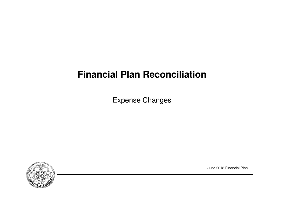# **Financial Plan Reconciliation**

Expense Changes



June 2018 Financial Plan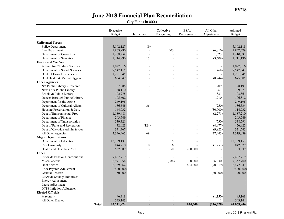|                                  |              | Executive<br><b>Budget</b> | Initiatives              | Collective<br>Bargaining | BSA/<br>Prepayments | All Other<br>Adjustments | Adopted<br><b>Budget</b> |
|----------------------------------|--------------|----------------------------|--------------------------|--------------------------|---------------------|--------------------------|--------------------------|
|                                  |              |                            |                          |                          |                     |                          |                          |
| <b>Uniformed Forces</b>          |              |                            |                          |                          |                     |                          |                          |
| Police Department                |              | 5,192,127                  | (9)                      |                          |                     | $\overline{\phantom{a}}$ | 5,192,118                |
| Fire Department                  |              | 1,863,986                  |                          | 303                      |                     | (6, 810)                 | 1,857,479                |
| Department of Correction         |              | 1,408,758                  | $\sim$                   |                          | $\overline{a}$      | 1,323                    | 1,410,081                |
| Department of Sanitation         |              | 1,714,790                  | 15                       |                          |                     | (3,609)                  | 1,711,196                |
| <b>Health and Welfare</b>        |              |                            |                          |                          |                     |                          |                          |
| Admin. for Children Services     |              | 1,027,316                  |                          |                          |                     | $\overline{\phantom{a}}$ | 1,027,316                |
| Department of Social Services    |              | 7,547,115                  |                          |                          |                     | (68)                     | 7,547,047                |
| Dept. of Homeless Services       |              | 1,291,345                  |                          |                          |                     |                          | 1,291,345                |
| Dept Health & Mental Hygiene     |              | 684,649                    |                          |                          |                     | (8, 744)                 | 675,905                  |
| <b>Other Agencies</b>            |              |                            |                          |                          |                     |                          |                          |
| NY Public Library - Research     |              | 27,988                     |                          |                          |                     | 209                      | 28,197                   |
| New York Public Library          |              | 138,110                    |                          |                          |                     | 967                      | 139,077                  |
| Brooklyn Public Library          |              | 102,978                    |                          |                          |                     | 883                      | 103,861                  |
| Queens Borough Public Library    |              | 105,602                    |                          |                          |                     | 1,210                    | 106,812                  |
| Department for the Aging         |              | 249,196                    |                          |                          | $\overline{a}$      |                          | 249,196                  |
| Department of Cultural Affairs   |              | 186,548                    | 36                       |                          |                     | (250)                    | 186,334                  |
| Housing Preservation & Dev.      |              | 144,932                    |                          |                          | $\overline{a}$      | (30,000)                 | 114,932                  |
| Dept of Environmental Prot.      |              | 1,189,481                  |                          |                          | $\overline{a}$      | (2,271)                  | 1,187,210                |
| Department of Finance            |              | 293,749                    |                          |                          |                     |                          | 293,749                  |
| Department of Transportation     |              | 539,321                    |                          |                          | $\overline{a}$      | (530)                    | 538,791                  |
| Dept of Parks and Recreation     |              | 432,023                    | (124)                    |                          |                     | (4,977)                  | 426,922                  |
| Dept of Citywide Admin Srvces    |              | 331,367                    |                          |                          | $\overline{a}$      | (9,822)                  | 321,545                  |
| All Other Agencies               |              | 2,346,465                  | 69                       |                          | $\overline{a}$      | (27, 445)                | 2,319,089                |
| <b>Major Organizations</b>       |              |                            |                          |                          |                     |                          |                          |
| Department of Education          |              | 12,189,133                 | 3                        | 15                       |                     | $\mathbf{1}$             | 12,189,152               |
| <b>City University</b>           |              | 844,210                    | 10                       | 16                       |                     | (1,257)                  | 842,979                  |
| Health and Hospitals Corp.       |              | 532,989                    | $\overline{a}$           | 50                       | 200,000             |                          | 733,039                  |
| Other                            |              |                            |                          |                          |                     |                          |                          |
| Citywide Pension Contributions   |              | 9,487,719                  |                          |                          |                     |                          | 9,487,719                |
| Miscellaneous                    |              | 6,971,254                  |                          | (384)                    | 300,000             | 86,830                   | 7,357,700                |
| Debt Service                     |              | 6,139,362                  |                          | $\overline{a}$           | 424,300             | (90, 819)                | 6,472,843                |
| Prior Payable Adjustment         |              | (400,000)                  |                          | $\overline{a}$           |                     |                          | (400,000)                |
| General Reserve                  |              | 50,000                     |                          |                          |                     | (30,000)                 | 20,000                   |
| Citywide Savings Initiatives     |              |                            |                          |                          |                     |                          |                          |
| <b>Energy Adjustment</b>         |              |                            |                          |                          |                     |                          |                          |
| Lease Adjustment                 |              |                            |                          |                          |                     |                          |                          |
| <b>OTPS</b> Inflation Adjustment |              |                            |                          |                          |                     |                          |                          |
| <b>Elected Officials</b>         |              |                            |                          |                          |                     |                          |                          |
| Mayoralty                        |              | 96,318                     |                          |                          |                     | (1,150)                  | 95,168                   |
| All Other Elected                |              | 543,143                    | $\overline{\phantom{a}}$ | $\overline{\phantom{a}}$ |                     | 1                        | 543,144                  |
|                                  | <b>Total</b> | 63,271,974                 |                          | ä,                       | 924,300             | (126, 328)               | 64,069,946               |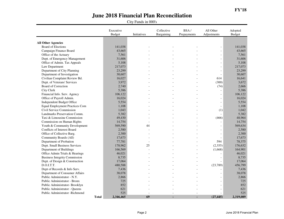|                                                        |              | Executive<br><b>Budget</b> | Initiatives | Collective<br>Bargaining | BSA/<br>Prepayments | All Other<br>Adjustments     | Adopted<br>Budget |
|--------------------------------------------------------|--------------|----------------------------|-------------|--------------------------|---------------------|------------------------------|-------------------|
|                                                        |              |                            |             |                          |                     |                              |                   |
| <b>All Other Agencies</b><br><b>Board of Elections</b> |              | 141,038                    |             |                          |                     | $\overline{\phantom{a}}$     | 141,038           |
| Campaign Finance Board                                 |              | 43,665                     |             |                          |                     | $\overline{\phantom{a}}$     | 43,665            |
| Office of the Actuary                                  |              | 7,561                      |             |                          |                     | $\overline{\phantom{0}}$     | 7,561             |
| Dept. of Emergency Management                          |              | 31,606                     |             |                          |                     | $\overline{\phantom{a}}$     | 31,606            |
| Office of Admin. Tax Appeals                           |              | 5,108                      |             |                          |                     | $\overline{\phantom{a}}$     | 5,108             |
| Law Department                                         |              | 217,073                    |             |                          |                     | $\overline{a}$               | 217,073           |
| Department of City Planning                            |              | 23,299                     |             |                          |                     | $\overline{a}$               | 23,299            |
| Department of Investigation                            |              | 30,607                     |             |                          |                     | $\frac{1}{2}$                | 30,607            |
| Civilian Complaint Review Bd.                          |              | 16,027                     |             |                          |                     | 614                          | 16,641            |
| Dept. of Veterans' Services                            |              | 3,972                      |             |                          |                     | (300)                        | 3,672             |
| Board of Correction                                    |              |                            |             |                          |                     |                              |                   |
|                                                        |              | 2,740                      |             |                          |                     | (74)                         | 2,666<br>5,386    |
| <b>City Clerk</b>                                      |              | 5,386                      |             |                          |                     |                              |                   |
| Financial Info. Serv. Agency                           |              | 106,122                    |             |                          |                     | $\overline{\phantom{a}}$     | 106,122           |
| Office of Payroll Admin.                               |              | 16,024                     |             |                          |                     | $\overline{a}$               | 16,024            |
| Independent Budget Office                              |              | 5,554                      |             |                          |                     | $\overline{a}$               | 5,554             |
| <b>Equal Employment Practices Com</b>                  |              | 1,108                      |             |                          |                     | $\overline{\phantom{a}}$     | 1,108             |
| Civil Service Commission                               |              | 1,043                      |             |                          |                     | (1)                          | 1,042             |
| Landmarks Preservation Comm.                           |              | 5,382                      |             |                          |                     |                              | 5,382             |
| Taxi & Limousine Commission                            |              | 49,430                     |             |                          |                     | (466)                        | 48,964            |
| Commission on Human Rights                             |              | 14,754                     |             |                          |                     |                              | 14,754            |
| Youth & Community Development                          |              | 569,590                    | 44          |                          |                     | $\overline{a}$               | 569,634           |
| Conflicts of Interest Board                            |              | 2,580                      |             |                          |                     | $\overline{a}$               | 2,580             |
| Office of Collective Barg.                             |              | 2,300                      |             |                          |                     | $\frac{1}{2}$                | 2,300             |
| Community Boards (All)                                 |              | 17,673                     |             |                          |                     | $\blacksquare$               | 17,673            |
| Department of Probation                                |              | 77,781                     |             |                          |                     | 594                          | 78,375            |
| Dept. Small Business Services                          |              | 178,962                    | 25          |                          |                     | (2,355)                      | 176,632           |
| Department of Buildings                                |              | 166,569                    |             |                          |                     | (1,668)                      | 164,901           |
| Office Admin Trials & Hearings                         |              | 46,021                     |             |                          |                     |                              | 46,021            |
| <b>Business Integrity Commission</b>                   |              | 8,735                      |             |                          |                     | $\overline{a}$               | 8,735             |
| Dept. of Design & Construction                         |              | 17,064                     |             |                          |                     |                              | 17,064            |
| D.O.I.T.T.                                             |              | 480,588                    |             |                          |                     | (23,789)                     | 456,799           |
| Dept of Records & Info Serv.                           |              | 7,436                      |             |                          | $\overline{a}$      | $\overline{\phantom{a}}$     | 7,436             |
| Department of Consumer Affairs                         |              | 38,078                     |             |                          |                     | $\overline{a}$               | 38,078            |
| Public Administrator - N.Y.                            |              | 2,866                      |             |                          |                     | $\overline{a}$               | 2,866             |
| Public Administrator - Bronx                           |              | 725                        |             |                          |                     | $\overline{a}$               | 725               |
| Public Administrator- Brooklyn                         |              | 852                        |             |                          |                     | $\overline{a}$               | 852               |
| Public Administrator - Queens                          |              | 621                        |             |                          |                     | $\qquad \qquad \blacksquare$ | 621               |
| Public Administrator -Richmond                         |              | 525                        |             |                          |                     |                              | 525               |
|                                                        | <b>Total</b> | 2,346,465                  | 69          |                          | ٠                   | (27, 445)                    | 2,319,089         |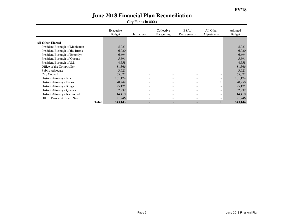|                                 | Executive<br><b>Budget</b> | Initiatives              | Collective<br>Bargaining | BSA/<br>Prepayments      | All Other<br>Adjustments     | Adopted<br>Budget |
|---------------------------------|----------------------------|--------------------------|--------------------------|--------------------------|------------------------------|-------------------|
|                                 |                            |                          |                          |                          |                              |                   |
| <b>All Other Elected</b>        |                            |                          |                          |                          |                              |                   |
| President, Borough of Manhattan | 5,023                      |                          |                          |                          |                              | 5,023             |
| President, Borough of the Bronx | 6,020                      |                          | $\overline{\phantom{a}}$ |                          | $\overline{\phantom{0}}$     | 6,020             |
| President, Borough of Brooklyn  | 6,694                      |                          | $\overline{\phantom{0}}$ | $\overline{\phantom{0}}$ | $\qquad \qquad \blacksquare$ | 6,694             |
| President, Borough of Queens    | 5,591                      |                          | $\overline{\phantom{a}}$ | $\overline{\phantom{0}}$ | $\overline{\phantom{a}}$     | 5,591             |
| President, Borough of S.I.      | 4,558                      |                          | $\overline{\phantom{a}}$ | $\overline{\phantom{a}}$ | $\overline{\phantom{a}}$     | 4,558             |
| Office of the Comptroller       | 81,366                     | $\overline{\phantom{0}}$ | $\overline{\phantom{a}}$ | $\overline{\phantom{a}}$ | $\overline{\phantom{a}}$     | 81,366            |
| Public Advocate                 | 3,621                      |                          | $\overline{\phantom{a}}$ | $\overline{\phantom{0}}$ | $\overline{\phantom{a}}$     | 3,621             |
| City Council                    | 65,077                     |                          | $\overline{\phantom{a}}$ | $\overline{\phantom{0}}$ | $\overline{\phantom{0}}$     | 65,077            |
| District Attorney - N.Y.        | 101,174                    |                          | $\overline{\phantom{a}}$ |                          |                              | 101,174           |
| District Attorney - Bronx       | 70,249                     |                          | $\overline{\phantom{a}}$ |                          |                              | 70,250            |
| District Attorney - Kings       | 95,175                     |                          | $\overline{\phantom{0}}$ | $\overline{\phantom{0}}$ | $\overline{\phantom{0}}$     | 95,175            |
| District Attorney - Queens      | 62,939                     |                          |                          |                          | $\qquad \qquad \blacksquare$ | 62,939            |
| District Attorney - Richmond    | 14,410                     |                          | $\overline{\phantom{a}}$ |                          | $\overline{\phantom{0}}$     | 14,410            |
| Off. of Prosec. & Spec. Narc.   | 21,246                     |                          | $\overline{\phantom{0}}$ |                          |                              | 21,246            |
|                                 | <b>Total</b><br>543,143    |                          | $\sim$                   | ۰.                       |                              | 543,144           |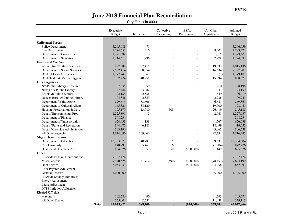|                                  | Executive<br><b>Budget</b> | Initiatives | Collective<br>Bargaining | BSA/<br>Prepayments | All Other<br>Adjustments | Adopted<br><b>Budget</b> |
|----------------------------------|----------------------------|-------------|--------------------------|---------------------|--------------------------|--------------------------|
| <b>Uniformed Forces</b>          |                            |             |                          |                     |                          |                          |
| Police Department                | 5,205,988                  | 71          |                          |                     | $\blacksquare$           | 5,206,059                |
| Fire Department                  | 1,774,653                  | 316         |                          |                     | 8,302                    | 1,783,271                |
| Department of Correction         | 1,391,588                  |             |                          |                     | 1,815                    | 1,393,403                |
| Department of Sanitation         | 1,714,617                  | 1,996       |                          |                     | 7,978                    | 1,724,591                |
| <b>Health and Welfare</b>        |                            |             |                          |                     |                          |                          |
| Admin. for Children Services     | 987,888                    | 7,415       |                          |                     | 19,833                   | 1,015,136                |
| Department of Social Services    | 7,582,414                  | 28,654      |                          |                     | 116,634                  | 7,727,702                |
| Dept. of Homeless Services       | 1,177,241                  | 1,867       |                          |                     | (1)                      | 1,179,107                |
| Dept Health & Mental Hygiene     | 782,774                    | 40,255      |                          |                     | 15,894                   | 838,923                  |
| <b>Other Agencies</b>            |                            |             |                          |                     |                          |                          |
| NY Public Library - Research     | 27,938                     | 50          |                          |                     | 210                      | 28,198                   |
| New York Public Library          | 137,444                    | 3,882       |                          |                     | 1,833                    | 143,159                  |
| Brooklyn Public Library          | 102,184                    | 2,586       |                          |                     | 1,649                    | 106,419                  |
| Queens Borough Public Library    | 104,846                    | 2,859       |                          |                     | 2,238                    | 109,943                  |
| Department for the Aging         | 229,614                    | 33,606      |                          |                     | 6,641                    | 269,861                  |
| Department of Cultural Affairs   | 145,321                    | 34,120      |                          |                     | 19,000                   | 198,441                  |
| Housing Preservation & Dev.      | 105,177                    | 13,080      | 509                      |                     | 126,419                  | 245,185                  |
| Dept of Environmental Prot.      | 1,225,891                  | 5           |                          |                     | 2,041                    | 1,227,937                |
| Department of Finance            | 298,234                    |             |                          |                     |                          | 298,234                  |
| Department of Transportation     | 624,933                    | 138         |                          |                     | 1,567                    | 626,638                  |
| Dept of Parks and Recreation     | 394,972                    | 6,181       |                          |                     | 18,499                   | 419,652                  |
| Dept of Citywide Admin Srvces    | 303,196                    |             |                          |                     | 3,062                    | 306,258                  |
| All Other Agencies               | 2,314,090                  | 109,461     |                          |                     | 92,794                   | 2,516,345                |
| <b>Major Organizations</b>       |                            |             |                          |                     |                          |                          |
| Department of Education          | 12,303,571                 | 40,787      | 15                       |                     | 9,631                    | 12,354,004               |
| <b>City University</b>           | 848,297                    | 25,467      | 16                       |                     | (1,504)                  | 872,276                  |
| Health and Hospitals Corp.       | 824,626                    | 851         | 50                       | (200,000)           | 149                      | 625,676                  |
| Other                            |                            |             |                          |                     |                          |                          |
| Citywide Pension Contributions   | 9,707,474                  |             |                          |                     | $\overline{a}$           | 9,707,474                |
| Miscellaneous                    | 9,990,528                  | 31,712      | (590)                    | (300,000)           | (78, 451)                | 9,643,199                |
| Debt Service                     | 3,053,033                  |             | $\overline{a}$           | (424, 300)          | 24,258                   | 2,652,991                |
| Prior Payable Adjustment         |                            |             | $\overline{a}$           |                     |                          |                          |
| General Reserve                  | 1,000,000                  |             |                          |                     | 125,000                  | 1,125,000                |
| Citywide Savings Initiatives     |                            |             |                          |                     |                          |                          |
| <b>Energy Adjustment</b>         |                            |             |                          |                     |                          |                          |
| Lease Adjustment                 |                            |             |                          |                     |                          |                          |
| <b>OTPS</b> Inflation Adjustment |                            |             |                          |                     |                          |                          |
| <b>Elected Officials</b>         |                            |             |                          |                     |                          |                          |
| Mayoralty                        | 102,286                    | 90          |                          |                     | 1,295                    | 103,671                  |
| All Other Elected                | 565,004                    | 2,651       | $\overline{\phantom{a}}$ |                     | 11,458                   | 579,113                  |
|                                  | <b>Total</b><br>65,025,822 | 388,100     | ×,                       | (924, 300)          | 538,244                  | 65,027,866               |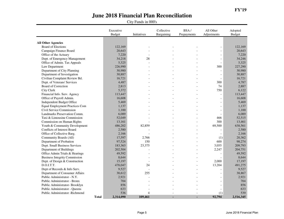|                                       |              | Executive<br><b>Budget</b> | Initiatives    | Collective<br>Bargaining | BSA/<br>Prepayments | All Other<br>Adjustments | Adopted<br>Budget |
|---------------------------------------|--------------|----------------------------|----------------|--------------------------|---------------------|--------------------------|-------------------|
|                                       |              |                            |                |                          |                     |                          |                   |
| <b>All Other Agencies</b>             |              |                            |                |                          |                     |                          |                   |
| <b>Board of Elections</b>             |              | 122,169                    |                |                          |                     | $\overline{a}$           | 122,169           |
| Campaign Finance Board                |              | 20,643                     |                |                          |                     | $\overline{a}$           | 20,643            |
| Office of the Actuary                 |              | 7,220                      |                |                          |                     | $\overline{a}$           | 7,220             |
| Dept. of Emergency Management         |              | 34,218                     | 28             |                          |                     | $\overline{a}$           | 34,246            |
| Office of Admin. Tax Appeals          |              | 5,325                      |                |                          |                     | $\overline{a}$           | 5,325             |
| Law Department                        |              | 226,990                    |                |                          |                     | 300                      | 227,290           |
| Department of City Planning           |              | 30,980                     |                |                          |                     |                          | 30,980            |
| Department of Investigation           |              | 30,887                     |                |                          |                     | $\overline{a}$           | 30,887            |
| Civilian Complaint Review Bd.         |              | 16,721                     |                |                          |                     | $\overline{a}$           | 16,721            |
| Dept. of Veterans' Services           |              | 4,487                      |                |                          |                     | 300                      | 4,787             |
| <b>Board of Correction</b>            |              | 2,813                      |                |                          |                     | 74                       | 2.887             |
| City Clerk                            |              | 5,372                      |                |                          |                     | 750                      | 6,122             |
| Financial Info. Serv. Agency          |              | 113,447                    |                |                          |                     | $\overline{a}$           | 113,447           |
| Office of Payroll Admin.              |              | 16,608                     |                |                          |                     | $\overline{a}$           | 16,608            |
| Independent Budget Office             |              | 5,469                      |                |                          |                     | $\overline{a}$           | 5,469             |
| <b>Equal Employment Practices Com</b> |              | 1,137                      |                |                          |                     | $\overline{a}$           | 1,137             |
| Civil Service Commission              |              | 1,100                      |                |                          |                     | $\overline{a}$           | 1,100             |
| Landmarks Preservation Comm.          |              | 6,089                      |                |                          |                     | $\overline{a}$           | 6,089             |
| Taxi & Limousine Commission           |              | 52,049                     |                |                          |                     | 466                      | 52,515            |
| Commission on Human Rights            |              | 13,161                     |                |                          |                     | 300                      | 13,461            |
| Youth & Community Development         |              | 486,202                    | 82,859         |                          |                     | 69,500                   | 638,561           |
| Conflicts of Interest Board           |              | 2,580                      |                |                          | $\overline{a}$      |                          | 2,580             |
| Office of Collective Barg.            |              | 2,166                      |                |                          |                     |                          | 2,166             |
| Community Boards (All)                |              | 17,597                     | 2,766          |                          |                     | (1)                      | 20,362            |
| Department of Probation               |              | 97,524                     | 150            |                          |                     | 600                      | 98,274            |
| Dept. Small Business Services         |              | 183,363                    | 23,375         |                          |                     | 3,055                    | 209,793           |
| Department of Buildings               |              | 202,504                    |                |                          |                     | 2,247                    | 204,751           |
| Office Admin Trials & Hearings        |              | 49,592                     |                |                          |                     |                          | 49,592            |
| <b>Business Integrity Commission</b>  |              | 8,644                      |                |                          |                     | $\overline{a}$           | 8,644             |
| Dept. of Design & Construction        |              | 15,197                     |                |                          |                     | 2,000                    | 17,197            |
| D.O.I.T.T.                            |              | 478,047                    | 24             |                          |                     | 13,204                   | 491,275           |
| Dept of Records & Info Serv.          |              | 9,527                      |                |                          | $\overline{a}$      | $\overline{\phantom{0}}$ | 9,527             |
| Department of Consumer Affairs        |              | 38,612                     | 255            |                          |                     | $\overline{a}$           | 38,867            |
| Public Administrator - N.Y.           |              | 2,921                      |                |                          |                     | $\overline{a}$           | 2,921             |
| Public Administrator - Bronx          |              | 704                        |                |                          |                     | $\overline{a}$           | 704               |
| Public Administrator- Brooklyn        |              | 856                        |                |                          |                     | $\overline{a}$           | 856               |
| Public Administrator - Queens         |              | 633                        |                |                          |                     |                          | 633               |
| Public Administrator -Richmond        |              | 536                        | $\overline{4}$ | $\overline{a}$           |                     | (1)                      | 539               |
|                                       | <b>Total</b> | 2,314,090                  | 109,461        | ٠                        |                     | 92,794                   | 2,516,345         |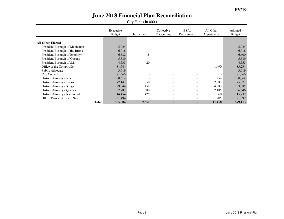|                                 | Executive<br><b>Budget</b> | Initiatives              | Collective<br>Bargaining | BSA/<br>Prepayments      | All Other<br>Adjustments | Adopted<br>Budget |
|---------------------------------|----------------------------|--------------------------|--------------------------|--------------------------|--------------------------|-------------------|
|                                 |                            |                          |                          |                          |                          |                   |
| <b>All Other Elected</b>        |                            |                          |                          |                          |                          |                   |
| President, Borough of Manhattan | 5,025                      |                          |                          |                          |                          | 5,025             |
| President, Borough of the Bronx | 6,016                      |                          | $\overline{\phantom{0}}$ |                          | $\overline{\phantom{0}}$ | 6,016             |
| President, Borough of Brooklyn  | 6,582                      | 18                       | $\overline{\phantom{a}}$ |                          | $\overline{\phantom{a}}$ | 6,600             |
| President, Borough of Queens    | 5,589                      |                          | $\overline{\phantom{0}}$ |                          | $\overline{\phantom{0}}$ | 5,589             |
| President, Borough of S.I.      | 4,535                      | 20                       | $\overline{\phantom{0}}$ | $\overline{\phantom{0}}$ | $\overline{\phantom{0}}$ | 4,555             |
| Office of the Comptroller       | 81,744                     | $\overline{\phantom{0}}$ | $\overline{\phantom{a}}$ | $\overline{\phantom{a}}$ | 1,490                    | 83,234            |
| Public Advocate                 | 3,619                      |                          | $\overline{\phantom{a}}$ | $\overline{\phantom{0}}$ | $\overline{\phantom{a}}$ | 3,619             |
| City Council                    | 81,366                     |                          | $\overline{\phantom{a}}$ | $\overline{\phantom{a}}$ | $\overline{\phantom{a}}$ | 81,366            |
| District Attorney - N.Y.        | 100,614                    |                          | $\overline{\phantom{a}}$ |                          | 254                      | 100,868           |
| District Attorney - Bronx       | 72,141                     | 50                       | $\overline{\phantom{0}}$ |                          | 2,881                    | 75,072            |
| District Attorney - Kings       | 99,044                     | 458                      | $\overline{\phantom{a}}$ |                          | 4,083                    | 103,585           |
| District Attorney - Queens      | 62,781                     | 1,680                    | $\overline{\phantom{0}}$ | $\overline{\phantom{a}}$ | 2,185                    | 66,646            |
| District Attorney - Richmond    | 14,454                     | 425                      | $\overline{\phantom{a}}$ | $\overline{\phantom{a}}$ | 360                      | 15,239            |
| Off. of Prosec. & Spec. Narc.   | 21,494                     |                          |                          |                          | 205                      | 21,699            |
| <b>Total</b>                    | 565,004                    | 2,651                    |                          | ۰.                       | 11,458                   | 579,113           |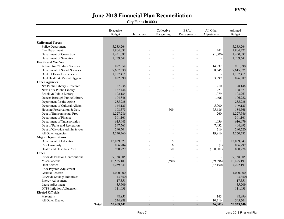|                                       | Executive<br><b>Budget</b> | Initiatives    | Collective<br>Bargaining | BSA/<br>Prepayments | All Other<br>Adjustments | Adopted<br><b>Budget</b> |
|---------------------------------------|----------------------------|----------------|--------------------------|---------------------|--------------------------|--------------------------|
|                                       |                            |                |                          |                     |                          |                          |
| <b>Uniformed Forces</b>               |                            |                |                          |                     |                          |                          |
| Police Department                     | 5,233,264                  |                |                          |                     | $\overline{\phantom{a}}$ | 5,233,264                |
| Fire Department                       | 1,804,031                  |                |                          |                     | 241                      | 1,804,272                |
| Department of Correction              | 1,431,087                  |                |                          |                     | (1,000)                  | 1,430,087                |
| Department of Sanitation              | 1,739,641                  |                |                          |                     | $\overline{a}$           | 1,739,641                |
| <b>Health and Welfare</b>             |                            |                |                          |                     |                          |                          |
| Admin. for Children Services          | 887,058                    |                |                          |                     | 14,832                   | 901,890                  |
| Department of Social Services         | 7,607,330                  |                |                          |                     | 8,545                    | 7,615,875                |
| Dept. of Homeless Services            | 1,187,415                  |                |                          |                     | $\overline{a}$           | 1,187,415                |
| Dept Health & Mental Hygiene          | 822,390                    |                |                          |                     | 3,999                    | 826,389                  |
| <b>Other Agencies</b>                 |                            |                |                          |                     |                          |                          |
| NY Public Library - Research          | 27,938                     |                |                          |                     | 210                      | 28,148                   |
| New York Public Library               | 137,444                    |                |                          |                     | 1,227                    | 138,671                  |
| <b>Brooklyn Public Library</b>        | 102,184                    |                |                          |                     | 1,079                    | 103,263                  |
| Queens Borough Public Library         | 104,846                    |                |                          |                     | 1,406                    | 106,252                  |
| Department for the Aging              | 235,938                    |                |                          | $\overline{a}$      |                          | 235,938                  |
| Department of Cultural Affairs        | 144,125                    |                |                          |                     | 5,000                    | 149,125                  |
| Housing Preservation & Dev.           | 108,373                    |                | 509                      |                     | 75,686                   | 184,568                  |
| Dept of Environmental Prot.           | 1,227,286                  |                |                          |                     | 260                      | 1,227,546                |
| Department of Finance                 | 301,161                    |                |                          |                     | $\overline{a}$           | 301,161                  |
| Department of Transportation          | 615,943                    |                |                          |                     | 1,036                    | 616,979                  |
| Dept of Parks and Recreation          | 397,561                    |                |                          |                     | 7,432                    | 404,993                  |
| Dept of Citywide Admin Srvces         | 290,504                    |                |                          | $\overline{a}$      | 216                      | 290,720                  |
| All Other Agencies                    | 2,240,366                  |                |                          |                     | 19,916                   | 2,260,282                |
| <b>Major Organizations</b>            |                            |                |                          |                     |                          |                          |
| Department of Education               | 12,839,327                 |                | 15                       |                     | $\mathbf{1}$             | 12,839,343               |
| <b>City University</b>                | 856,284                    |                | 16                       |                     | (1)                      | 856,299                  |
| Health and Hospitals Corp.            | 930,229                    |                | 50                       |                     | (100,001)                | 830,278                  |
| Other                                 |                            |                |                          |                     |                          |                          |
| <b>Citywide Pension Contributions</b> | 9,758,805                  |                |                          |                     | $\overline{a}$           | 9,758,805                |
| Miscellaneous                         | 10,565,183                 |                | (590)                    |                     | (69, 396)                | 10,495,197               |
| Debt Service                          | 7,259,341                  |                |                          | $\overline{a}$      | (37, 150)                | 7,222,191                |
| Prior Payable Adjustment              |                            |                |                          | $\overline{a}$      | $\frac{1}{2}$            |                          |
| General Reserve                       | 1,000,000                  |                |                          |                     | $\overline{a}$           | 1,000,000                |
| Citywide Savings Initiatives          | (43,350)                   |                |                          |                     | $\overline{a}$           | (43,350)                 |
| <b>Energy Adjustment</b>              | 17,351                     |                |                          |                     | $\overline{a}$           | 17,351                   |
| Lease Adjustment                      | 35,709                     |                |                          |                     | $\overline{a}$           | 35,709                   |
| <b>OTPS</b> Inflation Adjustment      | 111,038                    |                |                          |                     | $\overline{a}$           | 111,038                  |
| <b>Elected Officials</b>              |                            |                |                          |                     |                          |                          |
| Mayoralty                             | 98,851                     |                |                          |                     | 145                      | 98,996                   |
| All Other Elected                     | 534,888                    | $\overline{a}$ | $\overline{\phantom{a}}$ | $\overline{a}$      | 10,316                   | 545,204                  |
|                                       | <b>Total</b><br>70,609,541 |                | ٠                        |                     | (56,001)                 | 70,553,540               |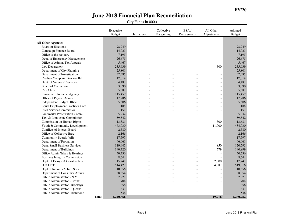|                                                        |              | Executive<br><b>Budget</b> | Initiatives | Collective<br>Bargaining | BSA/<br>Prepayments | All Other<br>Adjustments | Adopted<br>Budget |
|--------------------------------------------------------|--------------|----------------------------|-------------|--------------------------|---------------------|--------------------------|-------------------|
|                                                        |              |                            |             |                          |                     |                          |                   |
| <b>All Other Agencies</b><br><b>Board of Elections</b> |              | 98,249                     |             |                          |                     | $\overline{\phantom{a}}$ | 98,249            |
| Campaign Finance Board                                 |              | 14,023                     |             |                          |                     | $\overline{\phantom{a}}$ | 14,023            |
| Office of the Actuary                                  |              | 7,195                      |             |                          |                     | $\overline{\phantom{0}}$ | 7,195             |
| Dept. of Emergency Management                          |              | 26,675                     |             |                          |                     | $\overline{a}$           | 26,675            |
| Office of Admin. Tax Appeals                           |              | 5,467                      |             |                          |                     | $\blacksquare$           | 5,467             |
| Law Department                                         |              | 235,639                    |             |                          |                     | 300                      | 235,939           |
| Department of City Planning                            |              | 25,801                     |             |                          |                     | $\overline{a}$           | 25,801            |
| Department of Investigation                            |              | 32,385                     |             |                          |                     | $\overline{a}$           | 32,385            |
| Civilian Complaint Review Bd.                          |              | 17,019                     |             |                          |                     | $\overline{a}$           | 17,019            |
| Dept. of Veterans' Services                            |              | 4,487                      |             |                          |                     |                          | 4,487             |
| Board of Correction                                    |              |                            |             |                          |                     | $\overline{\phantom{a}}$ | 3,090             |
|                                                        |              | 3,090                      |             |                          |                     | $\overline{a}$           | 5,582             |
| <b>City Clerk</b>                                      |              | 5,582                      |             |                          |                     | $\overline{\phantom{a}}$ |                   |
| Financial Info. Serv. Agency                           |              | 115,459                    |             |                          |                     | $\overline{\phantom{a}}$ | 115,459           |
| Office of Payroll Admin.                               |              | 17,286                     |             |                          |                     | $\overline{a}$           | 17,286            |
| Independent Budget Office                              |              | 5,506                      |             |                          |                     | $\overline{a}$           | 5,506             |
| <b>Equal Employment Practices Com</b>                  |              | 1,188                      |             |                          |                     | $\overline{a}$           | 1,188             |
| Civil Service Commission                               |              | 1,151                      |             |                          |                     | $\overline{a}$           | 1,151             |
| Landmarks Preservation Comm.                           |              | 5,932                      |             |                          |                     | $\overline{a}$           | 5,932             |
| Taxi & Limousine Commission                            |              | 59,542                     |             |                          |                     | $\blacksquare$           | 59,542            |
| Commission on Human Rights                             |              | 13,381                     |             |                          |                     | 300                      | 13,681            |
| Youth & Community Development                          |              | 473,030                    |             |                          |                     | 11,000                   | 484,030           |
| Conflicts of Interest Board                            |              | 2,580                      |             |                          |                     | $\overline{\phantom{0}}$ | 2,580             |
| Office of Collective Barg.                             |              | 2,166                      |             |                          |                     | $\overline{a}$           | 2,166             |
| Community Boards (All)                                 |              | 17,597                     |             |                          |                     | $\overline{a}$           | 17,597            |
| Department of Probation                                |              | 96,061                     |             |                          |                     | $\bar{\phantom{a}}$      | 96,061            |
| Dept. Small Business Services                          |              | 119,945                    |             |                          |                     | 850                      | 120,795           |
| Department of Buildings                                |              | 190,320                    |             |                          |                     | 579                      | 190,899           |
| Office Admin Trials & Hearings                         |              | 50,736                     |             |                          |                     |                          | 50,736            |
| <b>Business Integrity Commission</b>                   |              | 8,644                      |             |                          |                     | $\overline{a}$           | 8,644             |
| Dept. of Design & Construction                         |              | 15,241                     |             |                          |                     | 2,000                    | 17,241            |
| D.O.I.T.T.                                             |              | 514,429                    |             |                          |                     | 4,887                    | 519,316           |
| Dept of Records & Info Serv.                           |              | 10,556                     |             |                          |                     | $\overline{a}$           | 10,556            |
| Department of Consumer Affairs                         |              | 38,354                     |             |                          |                     | $\overline{a}$           | 38,354            |
| Public Administrator - N.Y.                            |              | 2,921                      |             |                          |                     | $\overline{a}$           | 2,921             |
| Public Administrator - Bronx                           |              | 704                        |             |                          |                     | $\overline{a}$           | 704               |
| Public Administrator- Brooklyn                         |              | 856                        |             |                          |                     | $\overline{a}$           | 856               |
| Public Administrator - Queens                          |              | 633                        |             |                          |                     | $\qquad \qquad -$        | 633               |
| Public Administrator -Richmond                         |              | 536                        |             |                          |                     | $\overline{\phantom{a}}$ | 536               |
|                                                        | <b>Total</b> | 2,240,366                  |             |                          |                     | 19,916                   | 2,260,282         |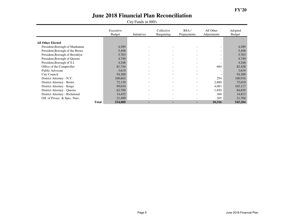|                                 | Executive<br><b>Budget</b> | Initiatives | Collective<br>Bargaining | BSA/<br>Prepayments      | All Other<br>Adjustments | Adopted<br>Budget |
|---------------------------------|----------------------------|-------------|--------------------------|--------------------------|--------------------------|-------------------|
|                                 |                            |             |                          |                          |                          |                   |
| All Other Elected               |                            |             |                          |                          |                          |                   |
| President, Borough of Manhattan | 4,589                      |             |                          |                          |                          | 4,589             |
| President, Borough of the Bronx | 5,458                      |             | $\overline{\phantom{a}}$ |                          | $\overline{\phantom{a}}$ | 5,458             |
| President, Borough of Brooklyn  | 5,703                      |             | $\overline{\phantom{a}}$ |                          | $\overline{\phantom{a}}$ | 5,703             |
| President, Borough of Queens    | 4,749                      |             | $\overline{\phantom{a}}$ | $\overline{\phantom{a}}$ | $\overline{\phantom{0}}$ | 4,749             |
| President, Borough of S.I.      | 4,248                      |             | $\overline{\phantom{a}}$ | $\overline{\phantom{0}}$ | $\overline{\phantom{a}}$ | 4,248             |
| Office of the Comptroller       | 81,744                     |             | $\overline{\phantom{a}}$ | $\overline{\phantom{a}}$ | 684                      | 82,428            |
| Public Advocate                 | 3,619                      |             | $\overline{\phantom{a}}$ | $\overline{\phantom{a}}$ | $\overline{\phantom{a}}$ | 3,619             |
| City Council                    | 54,200                     |             | $\overline{\phantom{a}}$ | $\overline{\phantom{0}}$ | $\overline{\phantom{0}}$ | 54,200            |
| District Attorney - N.Y.        | 100,662                    |             | $\overline{\phantom{a}}$ |                          | 254                      | 100,916           |
| District Attorney - Bronx       | 72,139                     |             | $\overline{\phantom{a}}$ |                          | 2,880                    | 75,019            |
| District Attorney - Kings       | 99,034                     |             | $\overline{\phantom{a}}$ | -                        | 4,083                    | 103,117           |
| District Attorney - Queens      | 62,789                     |             | $\overline{\phantom{a}}$ |                          | 1,850                    | 64,639            |
| District Attorney - Richmond    | 14,455                     |             | $\overline{\phantom{a}}$ |                          | 360                      | 14,815            |
| Off. of Prosec. & Spec. Narc.   | 21,499                     |             | $\overline{\phantom{a}}$ |                          | 205                      | 21,704            |
| <b>Total</b>                    | 534,888                    |             | $\sim$                   | ۰.                       | 10,316                   | 545,204           |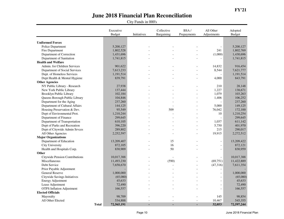|                                  | Executive<br><b>Budget</b> | Initiatives | Collective<br>Bargaining | BSA/<br>Prepayments | All Other<br>Adjustments | Adopted<br><b>Budget</b> |
|----------------------------------|----------------------------|-------------|--------------------------|---------------------|--------------------------|--------------------------|
|                                  |                            |             |                          |                     |                          |                          |
| <b>Uniformed Forces</b>          |                            |             |                          |                     |                          |                          |
| Police Department                | 5,200,127                  |             |                          |                     | $\blacksquare$           | 5,200,127                |
| Fire Department                  | 1,802,528                  |             |                          |                     | 241                      | 1,802,769                |
| Department of Correction         | 1,431,696                  |             |                          |                     | (1,000)                  | 1,430,696                |
| Department of Sanitation         | 1,741,815                  |             |                          |                     |                          | 1,741,815                |
| <b>Health and Welfare</b>        |                            |             |                          |                     |                          |                          |
| Admin. for Children Services     | 901,622                    |             |                          |                     | 14,832                   | 916,454                  |
| Department of Social Services    | 7,613,233                  |             |                          |                     | 8,544                    | 7,621,777                |
| Dept. of Homeless Services       | 1,191,514                  |             |                          |                     |                          | 1,191,514                |
| Dept Health & Mental Hygiene     | 839,791                    |             |                          |                     | 4,000                    | 843,791                  |
| <b>Other Agencies</b>            |                            |             |                          |                     |                          |                          |
| NY Public Library - Research     | 27,938                     |             |                          |                     | 210                      | 28,148                   |
| New York Public Library          | 137,444                    |             |                          |                     | 1,227                    | 138,671                  |
| Brooklyn Public Library          | 102,184                    |             |                          |                     | 1,079                    | 103,263                  |
| Queens Borough Public Library    | 104,846                    |             |                          |                     | 1,406                    | 106,252                  |
| Department for the Aging         | 237,260                    |             |                          |                     |                          | 237,260                  |
| Department of Cultural Affairs   | 144,125                    |             |                          |                     | 5,000                    | 149,125                  |
| Housing Preservation & Dev.      | 95,549                     |             | 509                      |                     | 76,042                   | 172,100                  |
| Dept of Environmental Prot.      | 1,210,244                  |             |                          |                     | 10                       | 1,210,254                |
| Department of Finance            | 299,645                    |             |                          |                     | $\overline{a}$           | 299,645                  |
| Department of Transportation     | 610,105                    |             |                          |                     | 1,037                    | 611,142                  |
| Dept of Parks and Recreation     | 396,220                    |             |                          |                     | 5,750                    | 401,970                  |
| Dept of Citywide Admin Srvces    | 289,802                    |             |                          |                     | 215                      | 290,017                  |
| All Other Agencies               | 2,252,597                  |             |                          |                     | 19,915                   | 2,272,512                |
| <b>Major Organizations</b>       |                            |             |                          |                     |                          |                          |
| Department of Education          | 13,209,407                 |             | 15                       |                     | $\overline{a}$           | 13,209,422               |
| <b>City University</b>           | 872,105                    |             | 16                       |                     | $\frac{1}{2}$            | 872,121                  |
| Health and Hospitals Corp.       | 830,909                    |             | 50                       |                     | $\overline{\phantom{a}}$ | 830,959                  |
| Other                            |                            |             |                          |                     |                          |                          |
| Citywide Pension Contributions   | 10,017,388                 |             |                          |                     | $\overline{a}$           | 10,017,388               |
| Miscellaneous                    | 11,493,230                 |             | (590)                    |                     | (69,751)                 | 11,422,889               |
| Debt Service                     | 7,658,670                  |             |                          |                     | (47,316)                 | 7,611,354                |
| Prior Payable Adjustment         |                            |             |                          |                     |                          |                          |
| <b>General Reserve</b>           | 1,000,000                  |             |                          |                     | $\overline{a}$           | 1,000,000                |
| Citywide Savings Initiatives     | (65,080)                   |             |                          |                     | $\overline{a}$           | (65,080)                 |
| <b>Energy Adjustment</b>         | 45,633                     |             |                          |                     | $\overline{\phantom{a}}$ | 45,633                   |
| Lease Adjustment                 | 72,490                     |             |                          |                     | $\overline{a}$           | 72,490                   |
| <b>OTPS</b> Inflation Adjustment | 166,557                    |             |                          |                     | $\qquad \qquad -$        | 166,557                  |
| <b>Elected Officials</b>         |                            |             |                          |                     |                          |                          |
| Mayoralty                        | 98,709                     |             |                          |                     | 145                      | 98,854                   |
| All Other Elected                | 534,888                    |             |                          |                     | 10,467                   | 545,355                  |
| <b>Total</b>                     | 72,565,191                 |             | ä,                       | ä,                  | 32,053                   | 72,597,244               |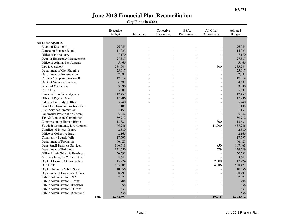|                                       |              | Executive<br><b>Budget</b> | Initiatives | Collective<br>Bargaining | BSA/<br>Prepayments | All Other<br>Adjustments | Adopted<br>Budget |
|---------------------------------------|--------------|----------------------------|-------------|--------------------------|---------------------|--------------------------|-------------------|
| <b>All Other Agencies</b>             |              |                            |             |                          |                     |                          |                   |
| <b>Board of Elections</b>             |              | 96,055                     |             |                          |                     | $\overline{a}$           | 96,055            |
| Campaign Finance Board                |              | 14,023                     |             |                          |                     | $\overline{a}$           | 14,023            |
| Office of the Actuary                 |              | 7,170                      |             |                          |                     | $\overline{a}$           | 7,170             |
| Dept. of Emergency Management         |              | 27,587                     |             |                          |                     | $\overline{a}$           | 27,587            |
| Office of Admin. Tax Appeals          |              | 5,466                      |             |                          |                     | $\overline{a}$           | 5,466             |
| Law Department                        |              | 234,944                    |             |                          |                     | 300                      | 235,244           |
| Department of City Planning           |              | 25,617                     |             |                          |                     |                          | 25,617            |
| Department of Investigation           |              | 32,384                     |             |                          |                     | $\overline{a}$           | 32,384            |
| Civilian Complaint Review Bd.         |              | 17,019                     |             |                          |                     | $\overline{a}$           | 17,019            |
| Dept. of Veterans' Services           |              | 4,487                      |             |                          |                     | $\overline{a}$           | 4,487             |
| Board of Correction                   |              | 3,090                      |             |                          |                     | $\overline{a}$           | 3,090             |
| City Clerk                            |              | 5,582                      |             |                          |                     | $\overline{a}$           | 5,582             |
| Financial Info. Serv. Agency          |              | 112,459                    |             |                          |                     | $\bar{\phantom{a}}$      | 112,459           |
| Office of Payroll Admin.              |              | 17,286                     |             |                          |                     | $\overline{a}$           | 17,286            |
| Independent Budget Office             |              | 5,240                      |             |                          |                     | $\overline{a}$           | 5,240             |
| <b>Equal Employment Practices Com</b> |              | 1,188                      |             |                          |                     | $\overline{a}$           | 1,188             |
| Civil Service Commission              |              | 1,151                      |             |                          |                     | $\overline{a}$           | 1,151             |
| Landmarks Preservation Comm.          |              | 5,942                      |             |                          |                     | $\overline{a}$           | 5,942             |
| Taxi & Limousine Commission           |              | 59,712                     |             |                          |                     | $\overline{\phantom{a}}$ | 59,712            |
| Commission on Human Rights            |              | 13,381                     |             |                          |                     | 300                      | 13,681            |
| Youth & Community Development         |              | 476,246                    |             |                          |                     | 11,000                   | 487,246           |
| Conflicts of Interest Board           |              | 2,580                      |             |                          |                     |                          | 2,580             |
| Office of Collective Barg.            |              | 2,166                      |             |                          |                     |                          | 2,166             |
| Community Boards (All)                |              | 17,597                     |             |                          |                     | $\overline{a}$           | 17,597            |
| Department of Probation               |              | 96,421                     |             |                          |                     | $\overline{a}$           | 96,421            |
| Dept. Small Business Services         |              | 106,613                    |             |                          |                     | 850                      | 107,463           |
| Department of Buildings               |              | 178,650                    |             |                          |                     | 579                      | 179,229           |
| Office Admin Trials & Hearings        |              | 50,591                     |             |                          |                     |                          | 50,591            |
| <b>Business Integrity Commission</b>  |              | 8,644                      |             |                          |                     | $\overline{a}$           | 8,644             |
| Dept. of Design & Construction        |              | 15,224                     |             |                          |                     | 2,000                    | 17,224            |
| D.O.I.T.T.                            |              | 553,585                    |             |                          |                     | 4,886                    | 558,471           |
| Dept of Records & Info Serv.          |              | 10,556                     |             |                          | $\overline{a}$      | $\overline{a}$           | 10,556            |
| Department of Consumer Affairs        |              | 38,291                     |             |                          |                     | $\overline{a}$           | 38,291            |
| Public Administrator - N.Y.           |              | 2,921                      |             |                          |                     | $\equiv$                 | 2,921             |
| Public Administrator - Bronx          |              | 704                        |             |                          |                     |                          | 704               |
| Public Administrator-Brooklyn         |              | 856                        |             |                          |                     |                          | 856               |
| Public Administrator - Queens         |              | 633                        |             |                          |                     |                          | 633               |
| Public Administrator -Richmond        |              | 536                        |             |                          |                     |                          | 536               |
|                                       | <b>Total</b> | 2,252,597                  |             |                          |                     | 19,915                   | 2,272,512         |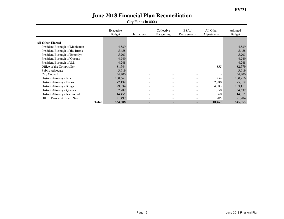|                                 | Executive<br><b>Budget</b> | Initiatives | Collective<br>Bargaining | BSA/<br>Prepayments      | All Other<br>Adjustments | Adopted<br>Budget |
|---------------------------------|----------------------------|-------------|--------------------------|--------------------------|--------------------------|-------------------|
|                                 |                            |             |                          |                          |                          |                   |
| All Other Elected               |                            |             |                          |                          |                          |                   |
| President, Borough of Manhattan | 4,589                      |             |                          |                          |                          | 4,589             |
| President, Borough of the Bronx | 5,458                      |             | $\overline{\phantom{a}}$ |                          | $\overline{\phantom{a}}$ | 5,458             |
| President, Borough of Brooklyn  | 5,703                      |             | $\overline{\phantom{a}}$ |                          | $\overline{\phantom{a}}$ | 5,703             |
| President, Borough of Queens    | 4,749                      |             | $\overline{\phantom{a}}$ | $\overline{\phantom{a}}$ | $\overline{\phantom{a}}$ | 4,749             |
| President, Borough of S.I.      | 4,248                      |             | $\overline{\phantom{a}}$ | $\overline{\phantom{0}}$ | $\overline{\phantom{a}}$ | 4,248             |
| Office of the Comptroller       | 81,744                     |             | $\overline{\phantom{a}}$ | $\overline{\phantom{a}}$ | 835                      | 82,579            |
| Public Advocate                 | 3,619                      |             | $\sim$                   | $\overline{\phantom{a}}$ | $\overline{\phantom{a}}$ | 3,619             |
| City Council                    | 54,200                     |             | $\overline{\phantom{a}}$ | $\overline{\phantom{0}}$ | $\overline{\phantom{0}}$ | 54,200            |
| District Attorney - N.Y.        | 100,662                    |             | $\overline{\phantom{a}}$ |                          | 254                      | 100,916           |
| District Attorney - Bronx       | 72,139                     |             | $\overline{\phantom{a}}$ |                          | 2,880                    | 75,019            |
| District Attorney - Kings       | 99,034                     |             | $\overline{\phantom{a}}$ | -                        | 4,083                    | 103,117           |
| District Attorney - Queens      | 62,789                     |             | $\overline{\phantom{a}}$ |                          | 1,850                    | 64,639            |
| District Attorney - Richmond    | 14,455                     |             | $\overline{\phantom{a}}$ |                          | 360                      | 14,815            |
| Off. of Prosec. & Spec. Narc.   | 21,499                     |             | $\overline{\phantom{a}}$ |                          | 205                      | 21,704            |
| <b>Total</b>                    | 534,888                    |             | $\sim$                   | ۰.                       | 10.467                   | 545,355           |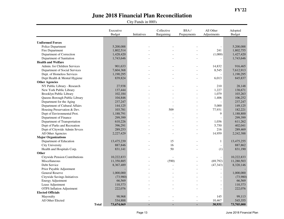|                                       | Executive<br><b>Budget</b> | Initiatives | Collective<br>Bargaining | BSA/<br>Prepayments | All Other<br>Adjustments | Adopted<br><b>Budget</b> |
|---------------------------------------|----------------------------|-------------|--------------------------|---------------------|--------------------------|--------------------------|
|                                       |                            |             |                          |                     |                          |                          |
| <b>Uniformed Forces</b>               |                            |             |                          |                     |                          |                          |
| Police Department                     | 5,200,088                  |             |                          |                     | $\overline{\phantom{a}}$ | 5,200,088                |
| Fire Department                       | 1,802,514                  |             |                          |                     | 241                      | 1,802,755                |
| Department of Correction              | 1,428,420                  |             |                          |                     | (1,000)                  | 1,427,420                |
| Department of Sanitation              | 1,743,646                  |             |                          |                     | $\overline{\phantom{a}}$ | 1,743,646                |
| <b>Health and Welfare</b>             |                            |             |                          |                     |                          |                          |
| Admin. for Children Services          | 901,633                    |             |                          |                     | 14,832                   | 916,465                  |
| Department of Social Services         | 7,604,368                  |             |                          |                     | 8,545                    | 7,612,913                |
| Dept. of Homeless Services            | 1,190,295                  |             |                          |                     | $\overline{\phantom{a}}$ | 1,190,295                |
| Dept Health & Mental Hygiene          | 839,824                    |             |                          |                     | 6,013                    | 845,837                  |
| <b>Other Agencies</b>                 |                            |             |                          |                     |                          |                          |
| NY Public Library - Research          | 27,938                     |             |                          |                     | 210                      | 28,148                   |
| New York Public Library               | 137,444                    |             |                          | $\overline{a}$      | 1,227                    | 138,671                  |
| Brooklyn Public Library               | 102,184                    |             |                          |                     | 1,079                    | 103,263                  |
| Queens Borough Public Library         | 104,846                    |             |                          | $\overline{a}$      | 1,406                    | 106,252                  |
| Department for the Aging              | 237,247                    |             |                          |                     |                          | 237,247                  |
| Department of Cultural Affairs        | 144,125                    |             |                          | $\overline{a}$      | 5,000                    | 149,125                  |
| Housing Preservation & Dev.           | 103,781                    |             | 509                      |                     | 77,931                   | 182,221                  |
| Dept of Environmental Prot.           | 1,188,791                  |             |                          |                     | 9                        | 1,188,800                |
| Department of Finance                 | 299,399                    |             |                          |                     |                          | 299,399                  |
| Department of Transportation          | 610,226                    |             |                          |                     | 1,036                    | 611,262                  |
| Dept of Parks and Recreation          | 396,291                    |             |                          |                     | 5,750                    | 402,041                  |
| Dept of Citywide Admin Srvces         | 289,253                    |             |                          |                     | 216                      | 289,469                  |
| All Other Agencies                    | 2,227,429                  |             |                          |                     | 14,959                   | 2,242,388                |
| <b>Major Organizations</b>            |                            |             |                          |                     |                          |                          |
| Department of Education               | 13,475,239                 |             | 15                       |                     | $\mathbf{1}$             | 13,475,255               |
| City University                       | 887,846                    |             | 16                       | $\overline{a}$      | $\overline{\phantom{a}}$ | 887,862                  |
| Health and Hospitals Corp.            | 831,141                    |             | 50                       |                     | (1)                      | 831,190                  |
| Other                                 |                            |             |                          |                     |                          |                          |
| <b>Citywide Pension Contributions</b> | 10,222,833                 |             |                          |                     | $\bar{\phantom{a}}$      | 10,222,833               |
| Miscellaneous                         | 11,350,885                 |             | (590)                    |                     | (69.792)                 | 11,280,503               |
| Debt Service                          | 8,367,489                  |             |                          | $\overline{a}$      | (47, 343)                | 8,320,146                |
| Prior Payable Adjustment              |                            |             |                          |                     | $\overline{a}$           |                          |
| General Reserve                       | 1,000,000                  |             |                          |                     | $\overline{a}$           | 1,000,000                |
| Citywide Savings Initiatives          | (73,980)                   |             |                          |                     | $\overline{a}$           | (73,980)                 |
| <b>Energy Adjustment</b>              | 66,569                     |             |                          |                     | $\overline{a}$           | 66,569                   |
| Lease Adjustment                      | 110,373                    |             |                          |                     | $\overline{a}$           | 110,373                  |
| <b>OTPS</b> Inflation Adjustment      | 222,076                    |             |                          |                     | $\overline{a}$           | 222,076                  |
| <b>Elected Officials</b>              |                            |             |                          |                     |                          |                          |
| Mayoralty                             | 98,968                     |             |                          |                     | 145                      | 99,113                   |
| All Other Elected                     | 534,888                    |             |                          | $\overline{a}$      | 10,467                   | 545,355                  |
| <b>Total</b>                          | 73,674,069                 |             | ä,                       |                     | 30,931                   | 73,705,000               |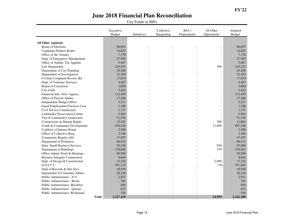|                                                        |              | Executive<br><b>Budget</b> | Initiatives | Collective<br>Bargaining | BSA/<br>Prepayments | All Other<br>Adjustments                             | Adopted<br>Budget |
|--------------------------------------------------------|--------------|----------------------------|-------------|--------------------------|---------------------|------------------------------------------------------|-------------------|
|                                                        |              |                            |             |                          |                     |                                                      |                   |
| <b>All Other Agencies</b><br><b>Board of Elections</b> |              | 96,055                     |             |                          |                     | $\overline{a}$                                       | 96,055            |
| Campaign Finance Board                                 |              | 14,023                     |             |                          |                     | $\overline{a}$                                       | 14,023            |
| Office of the Actuary                                  |              | 7,170                      |             |                          |                     |                                                      | 7,170             |
| Dept. of Emergency Management                          |              | 27,585                     |             |                          |                     | $\overline{\phantom{a}}$<br>$\overline{\phantom{a}}$ | 27,585            |
| Office of Admin. Tax Appeals                           |              | 5,467                      |             |                          |                     | $\overline{a}$                                       | 5,467             |
| Law Department                                         |              | 234,922                    |             |                          |                     | 300                                                  | 235,222           |
| Department of City Planning                            |              | 25,208                     |             |                          |                     | $\overline{a}$                                       | 25,208            |
| Department of Investigation                            |              | 32,383                     |             |                          |                     | $\overline{a}$                                       | 32,383            |
|                                                        |              |                            |             |                          |                     |                                                      |                   |
| Civilian Complaint Review Bd.                          |              | 17,019                     |             |                          |                     | $\overline{a}$                                       | 17,019            |
| Dept. of Veterans' Services                            |              | 4,487                      |             |                          |                     | $\overline{a}$                                       | 4,487             |
| Board of Correction                                    |              | 3,090                      |             |                          |                     | $\overline{a}$                                       | 3,090             |
| City Clerk                                             |              | 5,582                      |             |                          |                     | $\overline{a}$                                       | 5,582             |
| Financial Info. Serv. Agency                           |              | 112,459                    |             |                          |                     | $\frac{1}{2}$                                        | 112,459           |
| Office of Payroll Admin.                               |              | 17,286                     |             |                          |                     | $\overline{a}$                                       | 17,286            |
| Independent Budget Office                              |              | 5,231                      |             |                          |                     | $\overline{a}$                                       | 5,231             |
| <b>Equal Employment Practices Com</b>                  |              | 1,188                      |             |                          |                     | $\overline{\phantom{a}}$                             | 1,188             |
| Civil Service Commission                               |              | 1,151                      |             |                          |                     | $\overline{a}$                                       | 1,151             |
| Landmarks Preservation Comm.                           |              | 5,962                      |             |                          |                     | $\overline{a}$                                       | 5,962             |
| Taxi & Limousine Commission                            |              | 51,536                     |             |                          |                     | $\overline{\phantom{a}}$                             | 51,536            |
| Commission on Human Rights                             |              | 13,381                     |             |                          |                     | 300                                                  | 13,681            |
| Youth & Community Development                          |              | 476,246                    |             |                          |                     | 11,000                                               | 487,246           |
| Conflicts of Interest Board                            |              | 2,580                      |             |                          |                     |                                                      | 2,580             |
| Office of Collective Barg.                             |              | 2,166                      |             |                          |                     | $\overline{a}$                                       | 2,166             |
| Community Boards (All)                                 |              | 17,597                     |             |                          |                     | $\frac{1}{2}$                                        | 17,597            |
| Department of Probation                                |              | 96,415                     |             |                          |                     | $\overline{a}$                                       | 96,415            |
| Dept. Small Business Services                          |              | 92,238                     |             |                          |                     | 850                                                  | 93,088            |
| Department of Buildings                                |              | 178,988                    |             |                          |                     | 579                                                  | 179,567           |
| Office Admin Trials & Hearings                         |              | 50,589                     |             |                          |                     | $\overline{a}$                                       | 50,589            |
| <b>Business Integrity Commission</b>                   |              | 8,644                      |             |                          |                     | $\overline{a}$                                       | 8,644             |
| Dept. of Design & Construction                         |              | 15,224                     |             |                          |                     | 2,000                                                | 17,224            |
| D.O.I.T.T.                                             |              | 551,115                    |             |                          |                     | (70)                                                 | 551,045           |
| Dept of Records & Info Serv.                           |              | 10,556                     |             |                          |                     | $\overline{a}$                                       | 10,556            |
| Department of Consumer Affairs                         |              | 38,236                     |             |                          |                     | $\overline{a}$                                       | 38,236            |
| Public Administrator - N.Y.                            |              | 2,921                      |             |                          |                     | $\overline{a}$                                       | 2,921             |
| Public Administrator - Bronx                           |              | 704                        |             |                          |                     | $\equiv$                                             | 704               |
| Public Administrator-Brooklyn                          |              | 856                        |             |                          |                     | $\overline{a}$                                       | 856               |
| Public Administrator - Queens                          |              | 633                        |             |                          |                     | $\overline{\phantom{a}}$                             | 633               |
| Public Administrator -Richmond                         |              | 536                        |             |                          |                     |                                                      | 536               |
|                                                        | <b>Total</b> | 2,227,429                  |             |                          |                     | 14,959                                               | 2,242,388         |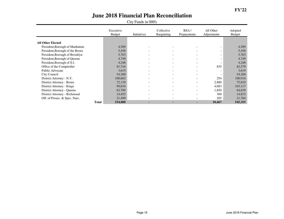|                                 | Executive<br><b>Budget</b> | Initiatives              | Collective<br>Bargaining | BSA/<br>Prepayments      | All Other<br>Adjustments | Adopted<br>Budget |
|---------------------------------|----------------------------|--------------------------|--------------------------|--------------------------|--------------------------|-------------------|
|                                 |                            |                          |                          |                          |                          |                   |
| <b>All Other Elected</b>        |                            |                          |                          |                          |                          |                   |
| President, Borough of Manhattan | 4,589                      |                          |                          |                          | $\overline{\phantom{0}}$ | 4,589             |
| President, Borough of the Bronx | 5,458                      |                          | $\overline{\phantom{a}}$ |                          | $\overline{\phantom{a}}$ | 5,458             |
| President, Borough of Brooklyn  | 5,703                      |                          | $\overline{\phantom{a}}$ |                          | $\overline{\phantom{a}}$ | 5,703             |
| President, Borough of Queens    | 4,749                      |                          | $\overline{\phantom{a}}$ | $\overline{\phantom{0}}$ | $\overline{\phantom{0}}$ | 4,749             |
| President, Borough of S.I.      | 4,248                      |                          | $\overline{\phantom{a}}$ | $\overline{\phantom{0}}$ | $\overline{\phantom{a}}$ | 4,248             |
| Office of the Comptroller       | 81,744                     | $\overline{\phantom{0}}$ | $\overline{\phantom{a}}$ | $\overline{\phantom{0}}$ | 835                      | 82,579            |
| Public Advocate                 | 3,619                      | $\overline{\phantom{0}}$ | $\overline{\phantom{a}}$ | $\overline{\phantom{0}}$ | $\overline{\phantom{a}}$ | 3,619             |
| City Council                    | 54,200                     |                          | $\overline{\phantom{a}}$ | $\overline{\phantom{0}}$ | $\overline{\phantom{0}}$ | 54,200            |
| District Attorney - N.Y.        | 100,662                    |                          | $\overline{\phantom{a}}$ |                          | 254                      | 100,916           |
| District Attorney - Bronx       | 72,139                     |                          | $\overline{\phantom{a}}$ |                          | 2,880                    | 75,019            |
| District Attorney - Kings       | 99,034                     |                          | $\overline{\phantom{a}}$ | $\overline{\phantom{0}}$ | 4,083                    | 103,117           |
| District Attorney - Queens      | 62,789                     |                          | $\overline{\phantom{a}}$ |                          | 1,850                    | 64,639            |
| District Attorney - Richmond    | 14,455                     |                          | $\overline{\phantom{a}}$ |                          | 360                      | 14,815            |
| Off. of Prosec. & Spec. Narc.   | 21,499                     |                          | $\overline{\phantom{a}}$ |                          | 205                      | 21,704            |
|                                 | <b>Total</b><br>534,888    |                          | ۰.                       | ۰.                       | 10.467                   | 545,355           |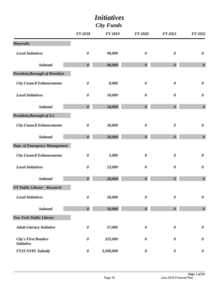|                                                  | <b>City Funds</b>     |                |                       |                       |                       |
|--------------------------------------------------|-----------------------|----------------|-----------------------|-----------------------|-----------------------|
|                                                  | <b>FY 2018</b>        | <b>FY 2019</b> | <b>FY 2020</b>        | FY 2021               | FY 2022               |
| <b>Mayoralty</b>                                 |                       |                |                       |                       |                       |
| <b>Local Initiatives</b>                         | $\boldsymbol{\theta}$ | 90,000         | $\boldsymbol{\theta}$ | $\boldsymbol{\theta}$ | $\boldsymbol{\theta}$ |
| Subtotal                                         | $\boldsymbol{\theta}$ | 90,000         | $\boldsymbol{\theta}$ | 0                     | $\boldsymbol{\theta}$ |
| President, Borough of Brooklyn                   |                       |                |                       |                       |                       |
| <b>City Council Enhancements</b>                 | $\boldsymbol{\theta}$ | 8,000          | $\boldsymbol{\theta}$ | $\boldsymbol{\theta}$ | $\boldsymbol{\theta}$ |
| <b>Local Initiatives</b>                         | $\boldsymbol{\theta}$ | 10,000         | $\boldsymbol{\theta}$ | $\boldsymbol{\theta}$ | $\boldsymbol{\theta}$ |
| <b>Subtotal</b>                                  | $\boldsymbol{\theta}$ | 18,000         | $\boldsymbol{\theta}$ | $\boldsymbol{\theta}$ | $\boldsymbol{\theta}$ |
| President, Borough of S.I.                       |                       |                |                       |                       |                       |
| <b>City Council Enhancements</b>                 | $\boldsymbol{\theta}$ | 20,000         | $\boldsymbol{\theta}$ | $\boldsymbol{\theta}$ | $\boldsymbol{\theta}$ |
| Subtotal                                         | $\boldsymbol{\theta}$ | 20,000         | $\boldsymbol{\theta}$ | $\boldsymbol{\theta}$ | $\boldsymbol{\theta}$ |
| <b>Dept. of Emergency Management</b>             |                       |                |                       |                       |                       |
| <b>City Council Enhancements</b>                 | $\boldsymbol{\theta}$ | 5,000          | $\boldsymbol{\theta}$ | $\boldsymbol{\theta}$ | $\boldsymbol{\theta}$ |
| <b>Local Initiatives</b>                         | $\boldsymbol{\theta}$ | 23,000         | $\boldsymbol{\theta}$ | $\boldsymbol{\theta}$ | $\boldsymbol{\theta}$ |
| <b>Subtotal</b>                                  | $\boldsymbol{\theta}$ | 28,000         | $\boldsymbol{\theta}$ | $\boldsymbol{\theta}$ | $\boldsymbol{\theta}$ |
| <b>NY Public Library - Research</b>              |                       |                |                       |                       |                       |
| <b>Local Initiatives</b>                         | $\boldsymbol{\theta}$ | 50,000         | $\boldsymbol{\theta}$ | $\boldsymbol{\theta}$ | $\pmb{\theta}$        |
| Subtotal                                         | $\boldsymbol{\theta}$ | 50,000         | $\boldsymbol{\theta}$ | 0                     | $\boldsymbol{\theta}$ |
| <b>New York Public Library</b>                   |                       |                |                       |                       |                       |
| <b>Adult Literacy Initiative</b>                 | $\boldsymbol{\theta}$ | 57,000         | $\boldsymbol{\theta}$ | $\boldsymbol{\theta}$ | $\pmb{\theta}$        |
| <b>City's First Readers</b><br><b>Initiative</b> | $\boldsymbol{\theta}$ | 325,000        | $\boldsymbol{\theta}$ | $\boldsymbol{\theta}$ | $\boldsymbol{\theta}$ |
| <b>FY19 NYPL Subsidy</b>                         | 0                     | 3,500,000      | $\boldsymbol{\theta}$ | $\boldsymbol{\theta}$ | $\boldsymbol{\theta}$ |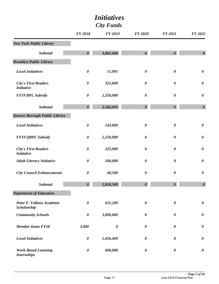|                                                  | FY 2018               | <b>FY 2019</b> | <b>FY 2020</b>        | <b>FY 2021</b>        | FY 2022               |
|--------------------------------------------------|-----------------------|----------------|-----------------------|-----------------------|-----------------------|
| <b>New York Public Library</b>                   |                       |                |                       |                       |                       |
| <b>Subtotal</b>                                  | $\boldsymbol{\theta}$ | 3,882,000      | $\boldsymbol{\theta}$ | $\boldsymbol{\theta}$ | $\boldsymbol{\theta}$ |
| <b>Brooklyn Public Library</b>                   |                       |                |                       |                       |                       |
| <b>Local Initiatives</b>                         | $\pmb{\theta}$        | 11,091         | $\boldsymbol{\theta}$ | $\boldsymbol{\theta}$ | $\pmb{\theta}$        |
| <b>City's First Readers</b><br><b>Initiative</b> | $\boldsymbol{\theta}$ | 325,000        | $\boldsymbol{\theta}$ | $\boldsymbol{\theta}$ | $\boldsymbol{\theta}$ |
| <b>FY19 BPL Subsidy</b>                          | $\pmb{\theta}$        | 2,250,000      | $\boldsymbol{\theta}$ | $\boldsymbol{\theta}$ | $\pmb{\theta}$        |
| <b>Subtotal</b>                                  | $\boldsymbol{\theta}$ | 2,586,091      | $\boldsymbol{\theta}$ | $\boldsymbol{\theta}$ | $\boldsymbol{\theta}$ |
| Queens Borough Public Library                    |                       |                |                       |                       |                       |
| <b>Local Initiatives</b>                         | $\pmb{\theta}$        | 143,000        | $\boldsymbol{\theta}$ | $\boldsymbol{\theta}$ | $\pmb{\theta}$        |
| <b>FY19 QBPL Subsidy</b>                         | $\boldsymbol{\theta}$ | 2,250,000      | $\boldsymbol{\theta}$ | $\boldsymbol{\theta}$ | $\boldsymbol{\theta}$ |
| <b>City's First Readers</b><br><b>Initiative</b> | $\boldsymbol{\theta}$ | 325,000        | $\boldsymbol{\theta}$ | $\boldsymbol{\theta}$ | $\pmb{\theta}$        |
| <b>Adult Literacy Initiative</b>                 | $\boldsymbol{\theta}$ | 100,000        | $\boldsymbol{\theta}$ | $\boldsymbol{\theta}$ | $\pmb{\theta}$        |
| <b>City Council Enhancements</b>                 | $\pmb{\theta}$        | 40,500         | $\pmb{\theta}$        | $\boldsymbol{\theta}$ | $\pmb{\theta}$        |
| <b>Subtotal</b>                                  | $\boldsymbol{\theta}$ | 2,858,500      | $\pmb{\theta}$        | $\boldsymbol{\theta}$ | $\boldsymbol{\theta}$ |
| <b>Department of Education</b>                   |                       |                |                       |                       |                       |
| Peter F. Vallone Academic<br>Scholarship         | $\boldsymbol{\theta}$ | 631,200        | $\boldsymbol{\theta}$ | $\boldsymbol{\theta}$ | $\boldsymbol{\theta}$ |
| <b>Community Schools</b>                         | $\boldsymbol{\theta}$ | 3,000,000      | $\boldsymbol{\theta}$ | $\boldsymbol{\theta}$ | $\boldsymbol{\theta}$ |
| <b>Member Items FY18</b>                         | 3,000                 | $\pmb{\theta}$ | $\boldsymbol{\theta}$ | $\boldsymbol{\theta}$ | $\boldsymbol{\theta}$ |
| <b>Local Initiatives</b>                         | $\boldsymbol{\theta}$ | 1,456,409      | 0                     | 0                     | $\boldsymbol{\theta}$ |
| <b>Work-Based Learning</b><br><b>Internships</b> | $\boldsymbol{\theta}$ | 600,000        | $\boldsymbol{\theta}$ | $\boldsymbol{\theta}$ | $\boldsymbol{\theta}$ |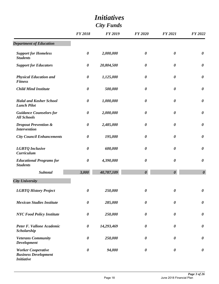|                                                                               | <i>Initiatives</i><br><b>City Funds</b> |                |                       |                       |                       |
|-------------------------------------------------------------------------------|-----------------------------------------|----------------|-----------------------|-----------------------|-----------------------|
|                                                                               | <b>FY 2018</b>                          | <b>FY 2019</b> | <b>FY 2020</b>        | <b>FY 2021</b>        | <b>FY 2022</b>        |
| <b>Department of Education</b>                                                |                                         |                |                       |                       |                       |
| <b>Support for Homeless</b><br><b>Students</b>                                | $\boldsymbol{\theta}$                   | 2,000,000      | $\boldsymbol{\theta}$ | $\boldsymbol{\theta}$ | $\boldsymbol{\theta}$ |
| <b>Support for Educators</b>                                                  | $\boldsymbol{\theta}$                   | 20,804,500     | $\boldsymbol{\theta}$ | $\boldsymbol{\theta}$ | $\boldsymbol{\theta}$ |
| <b>Physical Education and</b><br><b>Fitness</b>                               | $\boldsymbol{\theta}$                   | 1,125,000      | $\boldsymbol{\theta}$ | $\boldsymbol{\theta}$ | $\boldsymbol{\theta}$ |
| <b>Child Mind Institute</b>                                                   | $\boldsymbol{\theta}$                   | 500,000        | $\boldsymbol{\theta}$ | 0                     | $\boldsymbol{\theta}$ |
| <b>Halal and Kosher School</b><br><b>Lunch Pilot</b>                          | $\boldsymbol{\theta}$                   | 1,000,000      | $\boldsymbol{\theta}$ | $\boldsymbol{\theta}$ | $\boldsymbol{\theta}$ |
| <b>Guidance Counselors for</b><br><b>All Schools</b>                          | $\boldsymbol{\theta}$                   | 2,000,000      | $\boldsymbol{\theta}$ | $\boldsymbol{\theta}$ | $\boldsymbol{\theta}$ |
| <b>Dropout Prevention &amp;</b><br><b>Intervention</b>                        | 0                                       | 2,485,000      | $\boldsymbol{\theta}$ | 0                     | $\boldsymbol{\theta}$ |
| <b>City Council Enhancements</b>                                              | $\boldsymbol{\theta}$                   | 195,000        | 0                     | $\boldsymbol{\theta}$ | $\boldsymbol{\theta}$ |
| <b>LGBTQ</b> Inclusive<br><b>Curriculum</b>                                   | 0                                       | 600,000        | $\boldsymbol{\theta}$ | 0                     | $\boldsymbol{\theta}$ |
| <b>Educational Programs for</b><br><b>Students</b>                            | $\boldsymbol{\theta}$                   | 4,390,000      | $\boldsymbol{\theta}$ | $\boldsymbol{\theta}$ | $\boldsymbol{\theta}$ |
| <b>Subtotal</b>                                                               | 3,000                                   | 40,787,109     | $\boldsymbol{\theta}$ | $\boldsymbol{\theta}$ | $\boldsymbol{\theta}$ |
| <b>City University</b>                                                        |                                         |                |                       |                       |                       |
| <b>LGBTQ History Project</b>                                                  | $\boldsymbol{\theta}$                   | 250,000        | $\boldsymbol{\theta}$ | $\boldsymbol{\theta}$ | $\boldsymbol{\theta}$ |
| <b>Mexican Studies Institute</b>                                              | $\boldsymbol{\theta}$                   | 285,000        | $\boldsymbol{\theta}$ | 0                     | $\boldsymbol{\theta}$ |
| <b>NYC Food Policy Institute</b>                                              | $\boldsymbol{\theta}$                   | 250,000        | 0                     | 0                     | $\boldsymbol{\theta}$ |
| Peter F. Vallone Academic<br>Scholarship                                      | $\boldsymbol{\theta}$                   | 14,293,469     | $\boldsymbol{\theta}$ | 0                     | $\boldsymbol{\theta}$ |
| <b>Veterans Community</b><br><b>Development</b>                               | $\boldsymbol{\theta}$                   | 250,000        | 0                     | 0                     | $\boldsymbol{\theta}$ |
| <b>Worker Cooperative</b><br><b>Business Development</b><br><b>Initiative</b> | $\boldsymbol{\theta}$                   | 94,000         | $\boldsymbol{\theta}$ | $\boldsymbol{\theta}$ | $\boldsymbol{\theta}$ |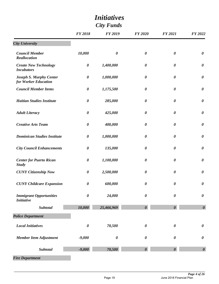| <b>City Funds</b>                                      |                       |                       |                       |                       |                       |
|--------------------------------------------------------|-----------------------|-----------------------|-----------------------|-----------------------|-----------------------|
|                                                        | <b>FY 2018</b>        | <b>FY 2019</b>        | <b>FY 2020</b>        | <b>FY 2021</b>        | FY 2022               |
| <b>City University</b>                                 |                       |                       |                       |                       |                       |
| <b>Council Member</b><br>Reallocation                  | 10,000                | $\boldsymbol{\theta}$ | $\boldsymbol{\theta}$ | $\boldsymbol{\theta}$ | $\boldsymbol{\theta}$ |
| <b>Create New Technology</b><br><b>Incubators</b>      | $\boldsymbol{\theta}$ | 1,400,000             | $\boldsymbol{\theta}$ | $\boldsymbol{\theta}$ | $\boldsymbol{\theta}$ |
| <b>Joseph S. Murphy Center</b><br>for Worker Education | $\boldsymbol{\theta}$ | 1,000,000             | $\boldsymbol{\theta}$ | $\boldsymbol{\theta}$ | $\boldsymbol{\theta}$ |
| <b>Council Member Items</b>                            | $\boldsymbol{\theta}$ | 1,175,500             | $\boldsymbol{\theta}$ | 0                     | $\boldsymbol{\theta}$ |
| <b>Haitian Studies Institute</b>                       | $\boldsymbol{\theta}$ | 285,000               | $\boldsymbol{\theta}$ | 0                     | $\boldsymbol{\theta}$ |
| <b>Adult Literacy</b>                                  | $\boldsymbol{\theta}$ | 425,000               | $\boldsymbol{\theta}$ | $\boldsymbol{\theta}$ | $\boldsymbol{\theta}$ |
| <b>Creative Arts Team</b>                              | $\boldsymbol{\theta}$ | 400,000               | $\boldsymbol{\theta}$ | $\boldsymbol{\theta}$ | $\boldsymbol{\theta}$ |
| <b>Dominican Studies Institute</b>                     | $\boldsymbol{\theta}$ | 1,000,000             | $\boldsymbol{\theta}$ | 0                     | $\boldsymbol{\theta}$ |
| <b>City Council Enhancements</b>                       | $\boldsymbol{\theta}$ | 135,000               | $\boldsymbol{\theta}$ | 0                     | $\boldsymbol{\theta}$ |
| <b>Center for Puerto Rican</b><br><b>Study</b>         | $\boldsymbol{\theta}$ | 1,100,000             | $\boldsymbol{\theta}$ | $\boldsymbol{\theta}$ | $\boldsymbol{\theta}$ |
| <b>CUNY Citizenship Now</b>                            | $\boldsymbol{\theta}$ | 2,500,000             | $\boldsymbol{\theta}$ | $\boldsymbol{\theta}$ | $\boldsymbol{\theta}$ |
| <b>CUNY Childcare Expansion</b>                        | $\pmb{\theta}$        | 600,000               | $\pmb{\theta}$        | $\boldsymbol{\theta}$ | $\pmb{\theta}$        |
| <b>Immigrant Opportunities</b><br><b>Initiative</b>    | $\boldsymbol{\theta}$ | 24,000                | $\boldsymbol{\theta}$ | $\boldsymbol{\theta}$ | $\boldsymbol{\theta}$ |
| Subtotal                                               | 10,000                | 25,466,969            | $\boldsymbol{\theta}$ | $\boldsymbol{\theta}$ | $\boldsymbol{\theta}$ |
| <b>Police Department</b>                               |                       |                       |                       |                       |                       |
| <b>Local Initiatives</b>                               | $\pmb{\theta}$        | 70,500                | $\boldsymbol{\theta}$ | $\boldsymbol{\theta}$ | $\pmb{\theta}$        |
| <b>Member Item Adjustment</b>                          | $-9,000$              | $\boldsymbol{\theta}$ | $\boldsymbol{\theta}$ | $\boldsymbol{\theta}$ | $\boldsymbol{\theta}$ |
| <b>Subtotal</b>                                        | $-9,000$              | 70,500                | $\boldsymbol{\theta}$ | $\boldsymbol{\theta}$ | $\boldsymbol{\theta}$ |
| <b>Fire Department</b>                                 |                       |                       |                       |                       |                       |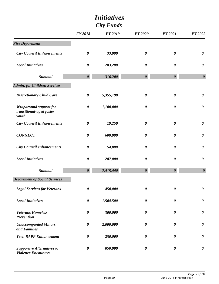|                                                                    | <i>Initiatives</i><br><b>City Funds</b> |                |                       |                       |                       |  |
|--------------------------------------------------------------------|-----------------------------------------|----------------|-----------------------|-----------------------|-----------------------|--|
|                                                                    | <b>FY 2018</b>                          | <b>FY 2019</b> | <b>FY 2020</b>        | <b>FY 2021</b>        | <b>FY 2022</b>        |  |
| <b>Fire Department</b>                                             |                                         |                |                       |                       |                       |  |
| <b>City Council Enhancements</b>                                   | $\boldsymbol{\theta}$                   | 33,000         | $\boldsymbol{\theta}$ | $\boldsymbol{\theta}$ | $\boldsymbol{\theta}$ |  |
| <b>Local Initiatives</b>                                           | $\boldsymbol{\theta}$                   | 283,200        | $\boldsymbol{\theta}$ | $\boldsymbol{\theta}$ | $\boldsymbol{\theta}$ |  |
| <b>Subtotal</b>                                                    | $\boldsymbol{\theta}$                   | 316,200        | $\boldsymbol{\theta}$ | $\boldsymbol{\theta}$ | $\boldsymbol{\theta}$ |  |
| <b>Admin. for Children Services</b>                                |                                         |                |                       |                       |                       |  |
| <b>Discretionary Child Care</b>                                    | $\pmb{\theta}$                          | 5,355,190      | $\boldsymbol{\theta}$ | $\pmb{\theta}$        | $\boldsymbol{\theta}$ |  |
| <b>Wraparound support for</b><br>transitional-aged foster<br>youth | $\boldsymbol{\theta}$                   | 1,100,000      | $\boldsymbol{\theta}$ | $\boldsymbol{\theta}$ | $\boldsymbol{\theta}$ |  |
| <b>City Council Enhancements</b>                                   | $\boldsymbol{\theta}$                   | 19,250         | $\boldsymbol{\theta}$ | $\boldsymbol{\theta}$ | $\boldsymbol{\theta}$ |  |
| <b>CONNECT</b>                                                     | $\boldsymbol{\theta}$                   | 600,000        | $\boldsymbol{\theta}$ | $\boldsymbol{\theta}$ | $\boldsymbol{\theta}$ |  |
| <b>City Council enhancements</b>                                   | $\boldsymbol{\theta}$                   | 54,000         | $\boldsymbol{\theta}$ | $\boldsymbol{\theta}$ | $\boldsymbol{\theta}$ |  |
| <b>Local Initiatives</b>                                           | $\boldsymbol{\theta}$                   | 287,000        | $\boldsymbol{\theta}$ | $\boldsymbol{\theta}$ | $\boldsymbol{\theta}$ |  |
| <b>Subtotal</b>                                                    | $\boldsymbol{\theta}$                   | 7,415,440      | $\boldsymbol{\theta}$ | $\boldsymbol{\theta}$ | $\boldsymbol{\theta}$ |  |
| <b>Department of Social Services</b>                               |                                         |                |                       |                       |                       |  |
| <b>Legal Services for Veterans</b>                                 | $\boldsymbol{\theta}$                   | 450,000        | $\boldsymbol{\theta}$ | $\boldsymbol{\theta}$ | $\boldsymbol{\theta}$ |  |
| <b>Local Initiatives</b>                                           | $\pmb{\theta}$                          | 1,504,500      | $\boldsymbol{\theta}$ | $\boldsymbol{\theta}$ | $\pmb{\theta}$        |  |
| <b>Veterans Homeless</b><br><b>Prevention</b>                      | $\boldsymbol{\theta}$                   | 300,000        | 0                     | $\boldsymbol{\theta}$ | $\boldsymbol{\theta}$ |  |
| <b>Unaccompanied Minors</b><br>and Families                        | $\boldsymbol{\theta}$                   | 2,000,000      | $\boldsymbol{\theta}$ | $\boldsymbol{\theta}$ | $\boldsymbol{\theta}$ |  |
| <b>Teen RAPP Enhancement</b>                                       | $\boldsymbol{\theta}$                   | 250,000        | $\boldsymbol{\theta}$ | 0                     | $\boldsymbol{\theta}$ |  |
| <b>Supportive Alternatives to</b><br><b>Violence Encounters</b>    | $\boldsymbol{\theta}$                   | 850,000        | $\boldsymbol{\theta}$ | $\boldsymbol{\theta}$ | $\boldsymbol{\theta}$ |  |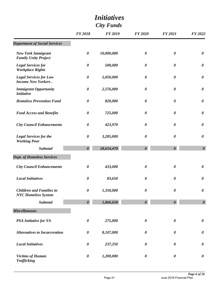|                                                               |                       | <i>Initiatives</i> |                       |                       |                       |
|---------------------------------------------------------------|-----------------------|--------------------|-----------------------|-----------------------|-----------------------|
|                                                               | <b>City Funds</b>     |                    |                       |                       |                       |
|                                                               | <b>FY 2018</b>        | <b>FY 2019</b>     | <b>FY 2020</b>        | <b>FY 2021</b>        | <b>FY 2022</b>        |
| <b>Department of Social Services</b>                          |                       |                    |                       |                       |                       |
| <b>New York Immigrant</b><br><b>Family Unity Project</b>      | $\boldsymbol{\theta}$ | 10,000,000         | $\boldsymbol{\theta}$ | $\boldsymbol{\theta}$ | $\boldsymbol{\theta}$ |
| <b>Legal Services for</b><br><b>Workplace Rights</b>          | $\boldsymbol{\theta}$ | 500,000            | $\boldsymbol{\theta}$ | $\boldsymbol{\theta}$ | $\boldsymbol{\theta}$ |
| <b>Legal Services for Low</b><br><b>Income New Yorkers.</b>   | $\boldsymbol{\theta}$ | 5,050,000          | $\boldsymbol{\theta}$ | $\boldsymbol{\theta}$ | $\boldsymbol{\theta}$ |
| <b>Immigrant Opportunity</b><br><b>Initiative</b>             | $\boldsymbol{\theta}$ | 2,576,000          | 0                     | $\boldsymbol{\theta}$ | $\boldsymbol{\theta}$ |
| <b>Homeless Prevention Fund</b>                               | $\boldsymbol{\theta}$ | 820,000            | $\boldsymbol{\theta}$ | 0                     | $\boldsymbol{\theta}$ |
| <b>Food Access and Benefits</b>                               | 0                     | 725,000            | $\boldsymbol{\theta}$ | 0                     | $\boldsymbol{\theta}$ |
| <b>City Council Enhancements</b>                              | $\boldsymbol{\theta}$ | 423,970            | $\boldsymbol{\theta}$ | $\boldsymbol{\theta}$ | $\boldsymbol{\theta}$ |
| <b>Legal Services for the</b><br><b>Working Poor</b>          | $\boldsymbol{\theta}$ | 3,205,000          | 0                     | 0                     | $\boldsymbol{\theta}$ |
| <b>Subtotal</b>                                               | $\boldsymbol{\theta}$ | 28,654,470         | $\boldsymbol{\theta}$ | $\boldsymbol{\theta}$ | $\boldsymbol{\theta}$ |
| <b>Dept. of Homeless Services</b>                             |                       |                    |                       |                       |                       |
| <b>City Council Enhancements</b>                              | 0                     | 433,000            | $\boldsymbol{\theta}$ | 0                     | $\boldsymbol{\theta}$ |
| <b>Local Initiatives</b>                                      | 0                     | 83,650             | $\boldsymbol{\theta}$ | 0                     | $\boldsymbol{\theta}$ |
| <b>Children and Families in</b><br><b>NYC Homeless System</b> | $\boldsymbol{\theta}$ | 1,350,000          | $\boldsymbol{\theta}$ | $\boldsymbol{\theta}$ | $\boldsymbol{\theta}$ |
| Subtotal                                                      | $\boldsymbol{\theta}$ | 1,866,650          | $\boldsymbol{\theta}$ | $\boldsymbol{\theta}$ | $\boldsymbol{\theta}$ |
| <b>Miscellaneous</b>                                          |                       |                    |                       |                       |                       |
| <b>PSA Initiative for YA</b>                                  | $\boldsymbol{\theta}$ | 275,000            | $\boldsymbol{\theta}$ | $\boldsymbol{\theta}$ | $\boldsymbol{\theta}$ |
| <b>Alternatives to Incarceration</b>                          | $\pmb{\theta}$        | 8,107,000          | $\boldsymbol{\theta}$ | $\boldsymbol{\theta}$ | $\boldsymbol{\theta}$ |
| <b>Local Initiatives</b>                                      | $\boldsymbol{\theta}$ | 237,250            | $\boldsymbol{\theta}$ | $\boldsymbol{\theta}$ | $\boldsymbol{\theta}$ |
| <b>Victims of Human</b><br><b>Trafficking</b>                 | $\boldsymbol{\theta}$ | 1,200,000          | $\boldsymbol{\theta}$ | $\boldsymbol{\theta}$ | $\boldsymbol{\theta}$ |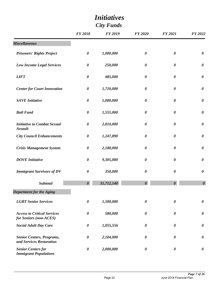| <b>City Funds</b>                                            |                       |                |                       |                       |                       |
|--------------------------------------------------------------|-----------------------|----------------|-----------------------|-----------------------|-----------------------|
|                                                              | <b>FY 2018</b>        | <b>FY 2019</b> | <b>FY 2020</b>        | <b>FY 2021</b>        | FY 2022               |
| <b>Miscellaneous</b>                                         |                       |                |                       |                       |                       |
| <b>Prisoners' Rights Project</b>                             | $\boldsymbol{\theta}$ | 1,000,000      | $\boldsymbol{\theta}$ | $\boldsymbol{\theta}$ | $\boldsymbol{\theta}$ |
| <b>Low Income Legal Services</b>                             | $\boldsymbol{\theta}$ | 250,000        | $\boldsymbol{\theta}$ | 0                     | $\boldsymbol{\theta}$ |
| <b>LIFT</b>                                                  | $\boldsymbol{\theta}$ | 485,000        | $\boldsymbol{\theta}$ | 0                     | $\boldsymbol{\theta}$ |
| <b>Center for Court Innovation</b>                           | $\boldsymbol{\theta}$ | 1,710,000      | 0                     | 0                     | $\boldsymbol{\theta}$ |
| <b>SAVE</b> Initiative                                       | $\boldsymbol{\theta}$ | 1,000,000      | $\boldsymbol{\theta}$ | 0                     | $\boldsymbol{\theta}$ |
| <b>Bail Fund</b>                                             | $\boldsymbol{\theta}$ | 1,555,000      | $\boldsymbol{\theta}$ | 0                     | $\boldsymbol{\theta}$ |
| <b>Initiative to Combat Sexual</b><br><b>Assault</b>         | $\boldsymbol{\theta}$ | 2,810,000      | $\boldsymbol{\theta}$ | 0                     | $\boldsymbol{\theta}$ |
| <b>City Council Enhancements</b>                             | $\boldsymbol{\theta}$ | 1,247,890      | 0                     | 0                     | $\boldsymbol{\theta}$ |
| <b>Crisis Management System</b>                              | $\boldsymbol{\theta}$ | 2,180,000      | $\boldsymbol{\theta}$ | 0                     | $\boldsymbol{\theta}$ |
| <b>DOVE</b> Initiative                                       | $\boldsymbol{\theta}$ | 9,305,000      | $\boldsymbol{\theta}$ | 0                     | $\boldsymbol{\theta}$ |
| <b>Immigrant Survivors of DV</b>                             | $\boldsymbol{\theta}$ | 350,000        | $\boldsymbol{\theta}$ | 0                     | $\boldsymbol{\theta}$ |
| Subtotal                                                     | 0                     | 31,712,140     | 0                     | $\boldsymbol{\theta}$ | $\boldsymbol{\theta}$ |
| <b>Department for the Aging</b>                              |                       |                |                       |                       |                       |
| <b>LGBT</b> Senior Services                                  | $\boldsymbol{\theta}$ | 1,500,000      | $\boldsymbol{\theta}$ | $\boldsymbol{\theta}$ | $\boldsymbol{\theta}$ |
| <b>Access to Critical Services</b><br>for Seniors (non-ACES) | $\boldsymbol{\theta}$ | 580,000        | $\boldsymbol{\theta}$ | $\boldsymbol{\theta}$ | $\boldsymbol{\theta}$ |
| <b>Social Adult Day Care</b>                                 | $\boldsymbol{\theta}$ | 1,055,556      | $\boldsymbol{\theta}$ | 0                     | $\boldsymbol{\theta}$ |
| <b>Senior Centers, Programs,</b><br>and Services Restoration | $\boldsymbol{\theta}$ | 2,104,000      | $\boldsymbol{\theta}$ | 0                     | $\boldsymbol{\theta}$ |
| <b>Senior Centers for</b><br><b>Immigrant Populations</b>    | $\boldsymbol{\theta}$ | 2,000,000      | $\boldsymbol{\theta}$ | $\boldsymbol{\theta}$ | $\boldsymbol{\theta}$ |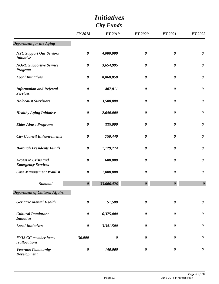|                                                          |                       | <i>Initiatives</i>    |                       |                       |                       |
|----------------------------------------------------------|-----------------------|-----------------------|-----------------------|-----------------------|-----------------------|
| <b>City Funds</b>                                        |                       |                       |                       |                       |                       |
|                                                          | <b>FY 2018</b>        | <b>FY 2019</b>        | <b>FY 2020</b>        | <b>FY 2021</b>        | FY 2022               |
| <b>Department for the Aging</b>                          |                       |                       |                       |                       |                       |
| <b>NYC Support Our Seniors</b><br><b>Initiative</b>      | $\boldsymbol{\theta}$ | 4,080,000             | $\boldsymbol{\theta}$ | $\boldsymbol{\theta}$ | $\boldsymbol{\theta}$ |
| <b>NORC Supportive Service</b><br><b>Program</b>         | $\boldsymbol{\theta}$ | 3,654,995             | $\boldsymbol{\theta}$ | $\boldsymbol{\theta}$ | $\boldsymbol{\theta}$ |
| <b>Local Initiatives</b>                                 | $\boldsymbol{\theta}$ | 8,868,850             | $\boldsymbol{\theta}$ | $\boldsymbol{\theta}$ | $\boldsymbol{\theta}$ |
| <b>Information and Referral</b><br><b>Services</b>       | $\boldsymbol{\theta}$ | 407,811               | $\boldsymbol{\theta}$ | $\boldsymbol{\theta}$ | $\boldsymbol{\theta}$ |
| <b>Holocaust Survisiors</b>                              | $\boldsymbol{\theta}$ | 3,500,000             | $\boldsymbol{\theta}$ | 0                     | $\boldsymbol{\theta}$ |
| <b>Healthy Aging Initiative</b>                          | $\boldsymbol{\theta}$ | 2,040,000             | $\boldsymbol{\theta}$ | $\boldsymbol{\theta}$ | $\boldsymbol{\theta}$ |
| <b>Elder Abuse Programs</b>                              | 0                     | 335,000               | $\boldsymbol{\theta}$ | $\boldsymbol{\theta}$ | $\boldsymbol{\theta}$ |
| <b>City Council Enhancements</b>                         | $\boldsymbol{\theta}$ | 750,440               | $\boldsymbol{\theta}$ | $\boldsymbol{\theta}$ | $\boldsymbol{\theta}$ |
| <b>Borough Presidents Funds</b>                          | $\boldsymbol{\theta}$ | 1,129,774             | $\boldsymbol{\theta}$ | 0                     | $\boldsymbol{\theta}$ |
| <b>Access to Crisis and</b><br><b>Emergency Services</b> | $\boldsymbol{\theta}$ | 600,000               | $\boldsymbol{\theta}$ | $\boldsymbol{\theta}$ | $\boldsymbol{\theta}$ |
| <b>Case Management Waitlist</b>                          | 0                     | 1,000,000             | 0                     | 0                     | 0                     |
| <b>Subtotal</b>                                          | $\boldsymbol{\theta}$ | 33,606,426            | $\boldsymbol{\theta}$ | $\boldsymbol{\theta}$ | $\boldsymbol{\theta}$ |
| <b>Department of Cultural Affairs</b>                    |                       |                       |                       |                       |                       |
| <b>Geriatric Mental Health</b>                           | $\boldsymbol{\theta}$ | 51,500                | $\boldsymbol{\theta}$ | 0                     | $\boldsymbol{\theta}$ |
| <b>Cultural Immigrant</b><br><b>Initiative</b>           | $\boldsymbol{\theta}$ | 6,375,000             | $\boldsymbol{\theta}$ | 0                     | $\boldsymbol{\theta}$ |
| <b>Local Initiatives</b>                                 | $\boldsymbol{\theta}$ | 3,341,500             | $\boldsymbol{\theta}$ | 0                     | $\boldsymbol{\theta}$ |
| <b>FY18 CC</b> member items<br>reallocations             | 36,000                | $\boldsymbol{\theta}$ | 0                     | 0                     | $\boldsymbol{\theta}$ |
| <b>Veterans Community</b><br><b>Development</b>          | $\boldsymbol{\theta}$ | 140,000               | $\boldsymbol{\theta}$ | 0                     | $\boldsymbol{\theta}$ |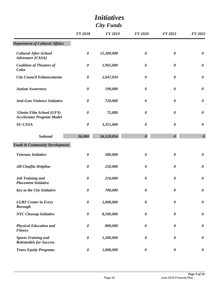|                                                               | <i>Initiatives</i><br><b>City Funds</b> |                |                       |                       |                       |  |  |
|---------------------------------------------------------------|-----------------------------------------|----------------|-----------------------|-----------------------|-----------------------|--|--|
|                                                               | <b>FY 2018</b>                          | <b>FY 2019</b> | <b>FY 2020</b>        | <b>FY 2021</b>        | <b>FY 2022</b>        |  |  |
| <b>Department of Cultural Affairs</b>                         |                                         |                |                       |                       |                       |  |  |
| <b>Cultural After-School</b><br><b>Adventure</b> (CASA)       | $\boldsymbol{\theta}$                   | 15,300,000     | $\boldsymbol{\theta}$ | $\boldsymbol{\theta}$ | $\boldsymbol{\theta}$ |  |  |
| <b>Coalition of Theaters of</b><br>Color                      | $\boldsymbol{\theta}$                   | 1,965,000      | $\boldsymbol{\theta}$ | $\boldsymbol{\theta}$ | $\boldsymbol{\theta}$ |  |  |
| <b>City Council Enhancements</b>                              | $\boldsymbol{\theta}$                   | 2,647,054      | $\boldsymbol{\theta}$ | $\boldsymbol{\theta}$ | $\boldsymbol{\theta}$ |  |  |
| <b>Autism Awareness</b>                                       | $\boldsymbol{\theta}$                   | 190,000        | $\boldsymbol{\theta}$ | $\boldsymbol{\theta}$ | $\boldsymbol{\theta}$ |  |  |
| <b>Anti-Gun Violence Initiative</b>                           | $\boldsymbol{\theta}$                   | 720,000        | $\boldsymbol{\theta}$ | $\boldsymbol{\theta}$ | $\boldsymbol{\theta}$ |  |  |
| 'Ghetto Film School (GFS)<br><b>Accelerator Program Model</b> | $\boldsymbol{\theta}$                   | 75,000         | $\boldsymbol{\theta}$ | $\boldsymbol{\theta}$ | $\boldsymbol{\theta}$ |  |  |
| <b>SU-CASA</b>                                                | $\boldsymbol{\theta}$                   | 3,315,000      | $\boldsymbol{\theta}$ | $\boldsymbol{\theta}$ | $\boldsymbol{\theta}$ |  |  |
| Subtotal                                                      | 36,000                                  | 34,120,054     | $\boldsymbol{\theta}$ | $\boldsymbol{\theta}$ | $\boldsymbol{\theta}$ |  |  |
| <b>Youth &amp; Community Development</b>                      |                                         |                |                       |                       |                       |  |  |
| <b>Veterans Initiative</b>                                    | $\boldsymbol{\theta}$                   | 580,000        | $\boldsymbol{\theta}$ | $\boldsymbol{\theta}$ | $\boldsymbol{\theta}$ |  |  |
| <b>Jill Chaifitz Helpline</b>                                 | $\boldsymbol{\theta}$                   | 250,000        | $\boldsymbol{\theta}$ | 0                     | $\boldsymbol{\theta}$ |  |  |
| <b>Job Training and</b><br><b>Placement Initiative</b>        | 0                                       | 210,000        | $\boldsymbol{\theta}$ | $\boldsymbol{\theta}$ | $\boldsymbol{\theta}$ |  |  |
| <b>Key to the City Initiative</b>                             | $\boldsymbol{\theta}$                   | 700,000        | $\boldsymbol{\theta}$ | $\boldsymbol{\theta}$ | $\boldsymbol{\theta}$ |  |  |
| <b>LGBT</b> Center in Every<br><b>Borough</b>                 | $\boldsymbol{\theta}$                   | 2,000,000      | $\boldsymbol{\theta}$ | $\boldsymbol{\theta}$ | $\boldsymbol{\theta}$ |  |  |
| <b>NYC</b> Cleanup Initiative                                 | $\boldsymbol{\theta}$                   | 8,500,000      | $\boldsymbol{\theta}$ | $\boldsymbol{\theta}$ | $\boldsymbol{\theta}$ |  |  |
| <b>Physical Education and</b><br><b>Fitness</b>               | $\boldsymbol{\theta}$                   | 800,000        | $\boldsymbol{\theta}$ | $\boldsymbol{\theta}$ | $\boldsymbol{\theta}$ |  |  |
| <b>Sports Training and</b><br><b>Rolemodels for Success</b>   | $\boldsymbol{\theta}$                   | 1,200,000      | $\boldsymbol{\theta}$ | $\boldsymbol{\theta}$ | $\boldsymbol{\theta}$ |  |  |
| <b>Trans Equity Programs</b>                                  | $\boldsymbol{\theta}$                   | 1,000,000      | $\boldsymbol{\theta}$ | $\boldsymbol{\theta}$ | $\boldsymbol{\theta}$ |  |  |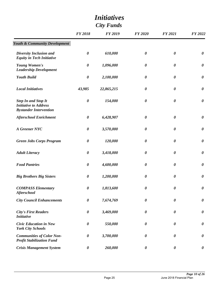| <i>Initiatives</i><br><b>City Funds</b>                                                                                                                                                                                                                                                                                                                                                                                                                                                                                                                                                                                                                                                                                                                                                                                                                                                                                                                                                                                                                                                                                                                                                                                                                                                                                                                                                                                                                                                                                                                                                                                                                                                                                                                                                                                                                                                                                                                              |                       |                |                       |                       |                       |  |  |
|----------------------------------------------------------------------------------------------------------------------------------------------------------------------------------------------------------------------------------------------------------------------------------------------------------------------------------------------------------------------------------------------------------------------------------------------------------------------------------------------------------------------------------------------------------------------------------------------------------------------------------------------------------------------------------------------------------------------------------------------------------------------------------------------------------------------------------------------------------------------------------------------------------------------------------------------------------------------------------------------------------------------------------------------------------------------------------------------------------------------------------------------------------------------------------------------------------------------------------------------------------------------------------------------------------------------------------------------------------------------------------------------------------------------------------------------------------------------------------------------------------------------------------------------------------------------------------------------------------------------------------------------------------------------------------------------------------------------------------------------------------------------------------------------------------------------------------------------------------------------------------------------------------------------------------------------------------------------|-----------------------|----------------|-----------------------|-----------------------|-----------------------|--|--|
|                                                                                                                                                                                                                                                                                                                                                                                                                                                                                                                                                                                                                                                                                                                                                                                                                                                                                                                                                                                                                                                                                                                                                                                                                                                                                                                                                                                                                                                                                                                                                                                                                                                                                                                                                                                                                                                                                                                                                                      | <b>FY 2018</b>        | <b>FY 2019</b> | <b>FY 2020</b>        | <b>FY 2021</b>        | FY 2022               |  |  |
| <b>Youth &amp; Community Development</b><br><b>Diversity Inclusion and</b><br>$\boldsymbol{\theta}$<br>610,000<br>$\boldsymbol{\theta}$<br>$\boldsymbol{\theta}$<br><b>Equity in Tech Initiative</b><br>Young Women's<br>$\boldsymbol{\theta}$<br>1,096,000<br>$\boldsymbol{\theta}$<br>$\boldsymbol{\theta}$<br><b>Leadership Development</b><br><b>Youth Build</b><br>$\boldsymbol{\theta}$<br>2,100,000<br>$\boldsymbol{\theta}$<br>$\boldsymbol{\theta}$<br><b>Local Initiatives</b><br>$\boldsymbol{\theta}$<br>43,985<br>22,865,215<br>0<br>$\boldsymbol{\theta}$<br>154,000<br>$\boldsymbol{\theta}$<br><b>Step In and Stop It</b><br>$\boldsymbol{\theta}$<br><b>Initiative to Address</b><br><b>Bystander Intervention</b><br><b>Afterschool Enrichment</b><br>6,428,907<br>$\boldsymbol{\theta}$<br>$\boldsymbol{\theta}$<br>$\boldsymbol{\theta}$<br>A Greener NYC<br>$\boldsymbol{\theta}$<br>3,570,000<br>$\boldsymbol{\theta}$<br>$\boldsymbol{\theta}$<br>120,000<br><b>Green Jobs Corps Program</b><br>$\boldsymbol{\theta}$<br>$\boldsymbol{\theta}$<br>0<br>$\boldsymbol{\theta}$<br>3,418,000<br>$\boldsymbol{\theta}$<br><b>Adult Literacy</b><br>$\boldsymbol{\theta}$<br><b>Food Pantries</b><br>4,600,000<br>$\boldsymbol{\theta}$<br>0<br>$\boldsymbol{\theta}$<br>1,200,000<br><b>Big Brothers Big Sisters</b><br>$\boldsymbol{\theta}$<br>$\boldsymbol{\theta}$<br>0<br>1,813,600<br>$\boldsymbol{\theta}$<br><b>COMPASS Elementary</b><br>$\boldsymbol{\theta}$<br>$\boldsymbol{\theta}$<br><b>Afterschool</b><br><b>City Council Enhancements</b><br>$\boldsymbol{\theta}$<br>7,674,769<br>$\boldsymbol{\theta}$<br>$\boldsymbol{\theta}$<br>3,469,000<br><b>City's First Readers</b><br>$\boldsymbol{\theta}$<br>$\boldsymbol{\theta}$<br>$\boldsymbol{\theta}$<br><b>Initiative</b><br>$\boldsymbol{\theta}$<br>550,000<br>$\boldsymbol{\theta}$<br><b>Civic Education in New</b><br>$\boldsymbol{\theta}$<br><b>York City Schools</b> |                       |                |                       |                       |                       |  |  |
|                                                                                                                                                                                                                                                                                                                                                                                                                                                                                                                                                                                                                                                                                                                                                                                                                                                                                                                                                                                                                                                                                                                                                                                                                                                                                                                                                                                                                                                                                                                                                                                                                                                                                                                                                                                                                                                                                                                                                                      |                       |                |                       |                       | $\boldsymbol{\theta}$ |  |  |
|                                                                                                                                                                                                                                                                                                                                                                                                                                                                                                                                                                                                                                                                                                                                                                                                                                                                                                                                                                                                                                                                                                                                                                                                                                                                                                                                                                                                                                                                                                                                                                                                                                                                                                                                                                                                                                                                                                                                                                      |                       |                |                       |                       | $\boldsymbol{\theta}$ |  |  |
|                                                                                                                                                                                                                                                                                                                                                                                                                                                                                                                                                                                                                                                                                                                                                                                                                                                                                                                                                                                                                                                                                                                                                                                                                                                                                                                                                                                                                                                                                                                                                                                                                                                                                                                                                                                                                                                                                                                                                                      |                       |                |                       |                       | $\boldsymbol{\theta}$ |  |  |
|                                                                                                                                                                                                                                                                                                                                                                                                                                                                                                                                                                                                                                                                                                                                                                                                                                                                                                                                                                                                                                                                                                                                                                                                                                                                                                                                                                                                                                                                                                                                                                                                                                                                                                                                                                                                                                                                                                                                                                      |                       |                |                       |                       | $\boldsymbol{\theta}$ |  |  |
|                                                                                                                                                                                                                                                                                                                                                                                                                                                                                                                                                                                                                                                                                                                                                                                                                                                                                                                                                                                                                                                                                                                                                                                                                                                                                                                                                                                                                                                                                                                                                                                                                                                                                                                                                                                                                                                                                                                                                                      |                       |                |                       |                       | $\boldsymbol{\theta}$ |  |  |
|                                                                                                                                                                                                                                                                                                                                                                                                                                                                                                                                                                                                                                                                                                                                                                                                                                                                                                                                                                                                                                                                                                                                                                                                                                                                                                                                                                                                                                                                                                                                                                                                                                                                                                                                                                                                                                                                                                                                                                      |                       |                |                       |                       | $\boldsymbol{\theta}$ |  |  |
|                                                                                                                                                                                                                                                                                                                                                                                                                                                                                                                                                                                                                                                                                                                                                                                                                                                                                                                                                                                                                                                                                                                                                                                                                                                                                                                                                                                                                                                                                                                                                                                                                                                                                                                                                                                                                                                                                                                                                                      |                       |                |                       |                       | $\boldsymbol{\theta}$ |  |  |
|                                                                                                                                                                                                                                                                                                                                                                                                                                                                                                                                                                                                                                                                                                                                                                                                                                                                                                                                                                                                                                                                                                                                                                                                                                                                                                                                                                                                                                                                                                                                                                                                                                                                                                                                                                                                                                                                                                                                                                      |                       |                |                       |                       | $\boldsymbol{\theta}$ |  |  |
|                                                                                                                                                                                                                                                                                                                                                                                                                                                                                                                                                                                                                                                                                                                                                                                                                                                                                                                                                                                                                                                                                                                                                                                                                                                                                                                                                                                                                                                                                                                                                                                                                                                                                                                                                                                                                                                                                                                                                                      |                       |                |                       |                       | $\boldsymbol{\theta}$ |  |  |
|                                                                                                                                                                                                                                                                                                                                                                                                                                                                                                                                                                                                                                                                                                                                                                                                                                                                                                                                                                                                                                                                                                                                                                                                                                                                                                                                                                                                                                                                                                                                                                                                                                                                                                                                                                                                                                                                                                                                                                      |                       |                |                       |                       | $\boldsymbol{\theta}$ |  |  |
|                                                                                                                                                                                                                                                                                                                                                                                                                                                                                                                                                                                                                                                                                                                                                                                                                                                                                                                                                                                                                                                                                                                                                                                                                                                                                                                                                                                                                                                                                                                                                                                                                                                                                                                                                                                                                                                                                                                                                                      |                       |                |                       |                       | $\boldsymbol{\theta}$ |  |  |
|                                                                                                                                                                                                                                                                                                                                                                                                                                                                                                                                                                                                                                                                                                                                                                                                                                                                                                                                                                                                                                                                                                                                                                                                                                                                                                                                                                                                                                                                                                                                                                                                                                                                                                                                                                                                                                                                                                                                                                      |                       |                |                       |                       | $\boldsymbol{\theta}$ |  |  |
|                                                                                                                                                                                                                                                                                                                                                                                                                                                                                                                                                                                                                                                                                                                                                                                                                                                                                                                                                                                                                                                                                                                                                                                                                                                                                                                                                                                                                                                                                                                                                                                                                                                                                                                                                                                                                                                                                                                                                                      |                       |                |                       |                       | $\boldsymbol{\theta}$ |  |  |
|                                                                                                                                                                                                                                                                                                                                                                                                                                                                                                                                                                                                                                                                                                                                                                                                                                                                                                                                                                                                                                                                                                                                                                                                                                                                                                                                                                                                                                                                                                                                                                                                                                                                                                                                                                                                                                                                                                                                                                      |                       |                |                       |                       | $\boldsymbol{\theta}$ |  |  |
|                                                                                                                                                                                                                                                                                                                                                                                                                                                                                                                                                                                                                                                                                                                                                                                                                                                                                                                                                                                                                                                                                                                                                                                                                                                                                                                                                                                                                                                                                                                                                                                                                                                                                                                                                                                                                                                                                                                                                                      |                       |                |                       |                       | $\boldsymbol{\theta}$ |  |  |
| <b>Communities of Color Non-</b><br><b>Profit Stabilization Fund</b>                                                                                                                                                                                                                                                                                                                                                                                                                                                                                                                                                                                                                                                                                                                                                                                                                                                                                                                                                                                                                                                                                                                                                                                                                                                                                                                                                                                                                                                                                                                                                                                                                                                                                                                                                                                                                                                                                                 | $\boldsymbol{\theta}$ | 3,700,000      | $\boldsymbol{\theta}$ | $\boldsymbol{\theta}$ | $\boldsymbol{\theta}$ |  |  |
| <b>Crisis Management System</b>                                                                                                                                                                                                                                                                                                                                                                                                                                                                                                                                                                                                                                                                                                                                                                                                                                                                                                                                                                                                                                                                                                                                                                                                                                                                                                                                                                                                                                                                                                                                                                                                                                                                                                                                                                                                                                                                                                                                      | $\pmb{\theta}$        | 260,000        | $\boldsymbol{\theta}$ | $\boldsymbol{\theta}$ | $\boldsymbol{\theta}$ |  |  |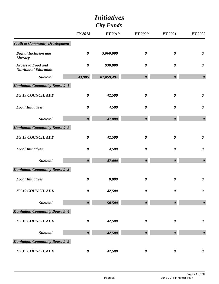|                                                           |                       | <i>Initiatives</i> |                       |                       |                       |  |
|-----------------------------------------------------------|-----------------------|--------------------|-----------------------|-----------------------|-----------------------|--|
|                                                           | <b>City Funds</b>     |                    |                       |                       |                       |  |
|                                                           | <b>FY 2018</b>        | <b>FY 2019</b>     | <b>FY 2020</b>        | <b>FY 2021</b>        | FY 2022               |  |
| <b>Youth &amp; Community Development</b>                  |                       |                    |                       |                       |                       |  |
| <b>Digital Inclusion and</b><br>Literacy                  | $\boldsymbol{\theta}$ | 3,060,000          | $\boldsymbol{\theta}$ | $\boldsymbol{\theta}$ | $\boldsymbol{\theta}$ |  |
| <b>Access to Food and</b><br><b>Nutritional Education</b> | $\boldsymbol{\theta}$ | 930,000            | $\boldsymbol{\theta}$ | $\boldsymbol{\theta}$ | $\boldsymbol{\theta}$ |  |
| <b>Subtotal</b>                                           | 43,985                | 82,859,491         | $\boldsymbol{\theta}$ | $\boldsymbol{\theta}$ | $\boldsymbol{\theta}$ |  |
| <b>Manhattan Community Board # 1</b>                      |                       |                    |                       |                       |                       |  |
| <b>FY 19 COUNCIL ADD</b>                                  | $\boldsymbol{\theta}$ | 42,500             | $\boldsymbol{\theta}$ | $\boldsymbol{\theta}$ | $\boldsymbol{\theta}$ |  |
| <b>Local Initiatives</b>                                  | 0                     | 4,500              | $\boldsymbol{\theta}$ | $\boldsymbol{\theta}$ | $\boldsymbol{\theta}$ |  |
| <b>Subtotal</b>                                           | $\boldsymbol{\theta}$ | 47,000             | $\boldsymbol{\theta}$ | $\boldsymbol{\theta}$ | $\boldsymbol{\theta}$ |  |
| <b>Manhattan Community Board # 2</b>                      |                       |                    |                       |                       |                       |  |
| <b>FY 19 COUNCIL ADD</b>                                  | 0                     | 42,500             | $\boldsymbol{\theta}$ | $\boldsymbol{\theta}$ | $\boldsymbol{\theta}$ |  |
| <b>Local Initiatives</b>                                  | 0                     | 4,500              | $\boldsymbol{\theta}$ | $\boldsymbol{\theta}$ | $\boldsymbol{\theta}$ |  |
| <b>Subtotal</b>                                           | $\boldsymbol{\theta}$ | 47,000             | $\boldsymbol{\theta}$ | $\boldsymbol{\theta}$ | $\boldsymbol{\theta}$ |  |
| <b>Manhattan Community Board # 3</b>                      |                       |                    |                       |                       |                       |  |
| <b>Local Initiatives</b>                                  | $\boldsymbol{\theta}$ | 8,000              | $\boldsymbol{\theta}$ | $\boldsymbol{\theta}$ | $\boldsymbol{\theta}$ |  |
| <b>FY 19 COUNCIL ADD</b>                                  | $\boldsymbol{\theta}$ | 42,500             | $\boldsymbol{\theta}$ | $\boldsymbol{\theta}$ | $\boldsymbol{\theta}$ |  |
| <b>Subtotal</b>                                           | $\boldsymbol{\theta}$ | 50,500             | $\boldsymbol{\theta}$ | $\boldsymbol{\theta}$ | $\boldsymbol{\theta}$ |  |
| <b>Manhattan Community Board # 4</b>                      |                       |                    |                       |                       |                       |  |
| <b>FY 19 COUNCIL ADD</b>                                  | $\boldsymbol{\theta}$ | 42,500             | $\boldsymbol{\theta}$ | $\boldsymbol{\theta}$ | $\boldsymbol{\theta}$ |  |
| <b>Subtotal</b>                                           | $\boldsymbol{\theta}$ | 42,500             | $\boldsymbol{\theta}$ | $\boldsymbol{\theta}$ | $\boldsymbol{\theta}$ |  |
| <b>Manhattan Community Board # 5</b>                      |                       |                    |                       |                       |                       |  |
| <b>FY 19 COUNCIL ADD</b>                                  | $\pmb{\theta}$        | 42,500             | $\boldsymbol{\theta}$ | $\boldsymbol{\theta}$ | $\boldsymbol{\theta}$ |  |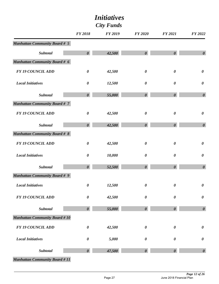|                                      | <b>FY 2018</b>        | <b>FY 2019</b> | <b>FY 2020</b>        | <b>FY 2021</b>        | FY 2022               |
|--------------------------------------|-----------------------|----------------|-----------------------|-----------------------|-----------------------|
| <b>Manhattan Community Board # 5</b> |                       |                |                       |                       |                       |
| <b>Subtotal</b>                      | $\boldsymbol{\theta}$ | 42,500         | $\boldsymbol{\theta}$ | $\boldsymbol{\theta}$ | $\boldsymbol{\theta}$ |
| <b>Manhattan Community Board # 6</b> |                       |                |                       |                       |                       |
| <b>FY 19 COUNCIL ADD</b>             | $\pmb{\theta}$        | 42,500         | $\boldsymbol{\theta}$ | $\boldsymbol{\theta}$ | $\boldsymbol{\theta}$ |
| <b>Local Initiatives</b>             | $\boldsymbol{\theta}$ | 12,500         | $\boldsymbol{\theta}$ | $\boldsymbol{\theta}$ | $\boldsymbol{\theta}$ |
| Subtotal                             | $\boldsymbol{\theta}$ | 55,000         | $\boldsymbol{\theta}$ | $\boldsymbol{\theta}$ | $\boldsymbol{\theta}$ |
| <b>Manhattan Community Board # 7</b> |                       |                |                       |                       |                       |
| <b>FY 19 COUNCIL ADD</b>             | $\boldsymbol{\theta}$ | 42,500         | $\boldsymbol{\theta}$ | $\boldsymbol{\theta}$ | $\boldsymbol{\theta}$ |
| <b>Subtotal</b>                      | $\boldsymbol{\theta}$ | 42,500         | $\boldsymbol{\theta}$ | $\boldsymbol{\theta}$ | $\boldsymbol{\theta}$ |
| <b>Manhattan Community Board # 8</b> |                       |                |                       |                       |                       |
| <b>FY 19 COUNCIL ADD</b>             | $\boldsymbol{\theta}$ | 42,500         | $\boldsymbol{\theta}$ | $\boldsymbol{\theta}$ | $\boldsymbol{\theta}$ |
| <b>Local Initiatives</b>             | $\pmb{\theta}$        | 10,000         | $\boldsymbol{\theta}$ | $\boldsymbol{\theta}$ | $\pmb{\theta}$        |
| <b>Subtotal</b>                      | $\boldsymbol{\theta}$ | 52,500         | $\boldsymbol{\theta}$ | $\boldsymbol{\theta}$ | $\boldsymbol{\theta}$ |
| <b>Manhattan Community Board # 9</b> |                       |                |                       |                       |                       |
| <b>Local Initiatives</b>             | $\pmb{\theta}$        | 12,500         | $\boldsymbol{\theta}$ | 0                     | $\pmb{\theta}$        |
| <b>FY 19 COUNCIL ADD</b>             | $\boldsymbol{\theta}$ | 42,500         | $\boldsymbol{\theta}$ | 0                     | $\boldsymbol{\theta}$ |
| Subtotal                             | $\boldsymbol{\theta}$ | 55,000         | $\boldsymbol{\theta}$ | $\boldsymbol{\theta}$ | $\boldsymbol{\theta}$ |
| <b>Manhattan Community Board #10</b> |                       |                |                       |                       |                       |
| <b>FY 19 COUNCIL ADD</b>             | $\boldsymbol{\theta}$ | 42,500         | $\boldsymbol{\theta}$ | $\boldsymbol{\theta}$ | $\boldsymbol{\theta}$ |
| <b>Local Initiatives</b>             | $\pmb{\theta}$        | 5,000          | $\pmb{\theta}$        | $\boldsymbol{\theta}$ | $\pmb{\theta}$        |
| Subtotal                             | $\boldsymbol{\theta}$ | 47,500         | $\boldsymbol{\theta}$ | $\boldsymbol{\theta}$ | $\boldsymbol{\theta}$ |
|                                      |                       |                |                       |                       |                       |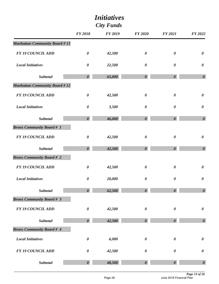|                                      |                       | <i>Initiatives</i> |                       |                       |                       |  |
|--------------------------------------|-----------------------|--------------------|-----------------------|-----------------------|-----------------------|--|
| <b>City Funds</b>                    |                       |                    |                       |                       |                       |  |
|                                      | <b>FY 2018</b>        | <b>FY 2019</b>     | <b>FY 2020</b>        | <b>FY 2021</b>        | FY 2022               |  |
| <b>Manhattan Community Board #11</b> |                       |                    |                       |                       |                       |  |
| <b>FY 19 COUNCIL ADD</b>             | $\boldsymbol{\theta}$ | 42,500             | $\boldsymbol{\theta}$ | $\boldsymbol{\theta}$ | $\boldsymbol{\theta}$ |  |
| <b>Local Initiatives</b>             | $\pmb{\theta}$        | 22,500             | $\boldsymbol{\theta}$ | $\boldsymbol{\theta}$ | $\boldsymbol{\theta}$ |  |
| Subtotal                             | $\boldsymbol{\theta}$ | 65,000             | $\boldsymbol{\theta}$ | $\boldsymbol{\theta}$ | $\boldsymbol{\theta}$ |  |
| <b>Manhattan Community Board #12</b> |                       |                    |                       |                       |                       |  |
| <b>FY 19 COUNCIL ADD</b>             | $\boldsymbol{\theta}$ | 42,500             | $\boldsymbol{\theta}$ | $\boldsymbol{\theta}$ | $\boldsymbol{\theta}$ |  |
| <b>Local Initiatives</b>             | $\boldsymbol{\theta}$ | 3,500              | $\boldsymbol{\theta}$ | $\boldsymbol{\theta}$ | $\boldsymbol{\theta}$ |  |
| Subtotal                             | $\boldsymbol{\theta}$ | 46,000             | $\boldsymbol{\theta}$ | $\boldsymbol{\theta}$ | $\boldsymbol{\theta}$ |  |
| <b>Bronx Community Board # 1</b>     |                       |                    |                       |                       |                       |  |
| <b>FY 19 COUNCIL ADD</b>             | $\boldsymbol{\theta}$ | 42,500             | $\boldsymbol{\theta}$ | $\boldsymbol{\theta}$ | $\boldsymbol{\theta}$ |  |
| Subtotal                             | $\boldsymbol{\theta}$ | 42,500             | $\boldsymbol{\theta}$ | $\boldsymbol{\theta}$ | $\boldsymbol{\theta}$ |  |
| <b>Bronx Community Board # 2</b>     |                       |                    |                       |                       |                       |  |
| <b>FY 19 COUNCIL ADD</b>             | 0                     | 42,500             | $\boldsymbol{\theta}$ | 0                     | $\boldsymbol{\theta}$ |  |
| <b>Local Initiatives</b>             | $\boldsymbol{\theta}$ | 20,000             | $\boldsymbol{\theta}$ | $\boldsymbol{\theta}$ | $\pmb{\theta}$        |  |
| <b>Subtotal</b>                      | $\boldsymbol{\theta}$ | 62,500             | $\boldsymbol{\theta}$ | $\boldsymbol{\theta}$ | $\boldsymbol{\theta}$ |  |
| <b>Bronx Community Board # 3</b>     |                       |                    |                       |                       |                       |  |
| <b>FY 19 COUNCIL ADD</b>             | $\boldsymbol{\theta}$ | 42,500             | $\boldsymbol{\theta}$ | $\boldsymbol{\theta}$ | $\pmb{\theta}$        |  |
| <b>Subtotal</b>                      | $\boldsymbol{\theta}$ | 42,500             | $\boldsymbol{\theta}$ | $\boldsymbol{\theta}$ | $\boldsymbol{\theta}$ |  |
| <b>Bronx Community Board # 4</b>     |                       |                    |                       |                       |                       |  |
| <b>Local Initiatives</b>             | $\pmb{\theta}$        | 6,000              | $\boldsymbol{\theta}$ | $\boldsymbol{\theta}$ | $\pmb{\theta}$        |  |
| <b>FY 19 COUNCIL ADD</b>             | $\boldsymbol{\theta}$ | 42,500             | $\boldsymbol{\theta}$ | $\boldsymbol{\theta}$ | $\pmb{\theta}$        |  |
| <b>Subtotal</b>                      | $\boldsymbol{\theta}$ | 48,500             | $\boldsymbol{\theta}$ | $\boldsymbol{\theta}$ | $\boldsymbol{\theta}$ |  |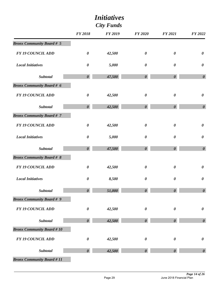| <i>Initiatives</i>               |                       |                |                       |                       |                       |  |
|----------------------------------|-----------------------|----------------|-----------------------|-----------------------|-----------------------|--|
| <b>City Funds</b>                |                       |                |                       |                       |                       |  |
|                                  | <b>FY 2018</b>        | <b>FY 2019</b> | <b>FY 2020</b>        | <b>FY 2021</b>        | FY 2022               |  |
| <b>Bronx Community Board # 5</b> |                       |                |                       |                       |                       |  |
| <b>FY 19 COUNCIL ADD</b>         | $\boldsymbol{\theta}$ | 42,500         | $\boldsymbol{\theta}$ | $\boldsymbol{\theta}$ | $\boldsymbol{\theta}$ |  |
| <b>Local Initiatives</b>         | $\boldsymbol{\theta}$ | 5,000          | $\boldsymbol{\theta}$ | $\boldsymbol{\theta}$ | $\boldsymbol{\theta}$ |  |
| Subtotal                         | $\boldsymbol{\theta}$ | 47,500         | $\boldsymbol{\theta}$ | $\boldsymbol{\theta}$ | $\boldsymbol{\theta}$ |  |
| <b>Bronx Community Board # 6</b> |                       |                |                       |                       |                       |  |
| <b>FY 19 COUNCIL ADD</b>         | $\boldsymbol{\theta}$ | 42,500         | $\boldsymbol{\theta}$ | $\pmb{\theta}$        | $\boldsymbol{\theta}$ |  |
| Subtotal                         | $\boldsymbol{\theta}$ | 42,500         | $\boldsymbol{\theta}$ | $\boldsymbol{\theta}$ | $\boldsymbol{\theta}$ |  |
| <b>Bronx Community Board #7</b>  |                       |                |                       |                       |                       |  |
| <b>FY 19 COUNCIL ADD</b>         | $\boldsymbol{\theta}$ | 42,500         | $\boldsymbol{\theta}$ | $\boldsymbol{\theta}$ | $\boldsymbol{\theta}$ |  |
| <b>Local Initiatives</b>         | $\boldsymbol{\theta}$ | 5,000          | $\boldsymbol{\theta}$ | $\boldsymbol{\theta}$ | $\boldsymbol{\theta}$ |  |
| <b>Subtotal</b>                  | $\boldsymbol{\theta}$ | 47,500         | $\boldsymbol{\theta}$ | $\boldsymbol{\theta}$ | $\boldsymbol{\theta}$ |  |
| <b>Bronx Community Board # 8</b> |                       |                |                       |                       |                       |  |
| <b>FY 19 COUNCIL ADD</b>         | 0                     | 42,500         | $\boldsymbol{\theta}$ | $\boldsymbol{\theta}$ | $\boldsymbol{\theta}$ |  |
| <b>Local Initiatives</b>         | $\boldsymbol{\theta}$ | 8,500          | $\boldsymbol{\theta}$ | $\boldsymbol{\theta}$ | $\boldsymbol{\theta}$ |  |
| Subtotal                         | $\boldsymbol{\theta}$ | 51,000         | $\boldsymbol{\theta}$ | $\boldsymbol{\theta}$ | $\boldsymbol{\theta}$ |  |
| <b>Bronx Community Board # 9</b> |                       |                |                       |                       |                       |  |
| <b>FY 19 COUNCIL ADD</b>         | $\boldsymbol{\theta}$ | 42,500         | $\boldsymbol{\theta}$ | $\boldsymbol{\theta}$ | $\pmb{\theta}$        |  |
| Subtotal                         | $\boldsymbol{\theta}$ | 42,500         | $\boldsymbol{\theta}$ | $\boldsymbol{\theta}$ | $\boldsymbol{\theta}$ |  |
| <b>Bronx Community Board #10</b> |                       |                |                       |                       |                       |  |
| <b>FY 19 COUNCIL ADD</b>         | $\boldsymbol{\theta}$ | 42,500         | $\boldsymbol{\theta}$ | $\boldsymbol{\theta}$ | $\pmb{\theta}$        |  |
| <b>Subtotal</b>                  | $\boldsymbol{\theta}$ | 42,500         | $\boldsymbol{\theta}$ | $\boldsymbol{\theta}$ | $\boldsymbol{\theta}$ |  |
| <b>Bronx Community Board #11</b> |                       |                |                       |                       |                       |  |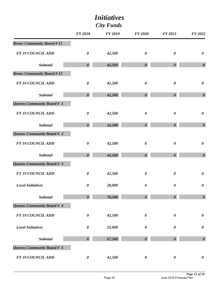| <i>Initiatives</i><br><b>City Funds</b> |                       |                |                       |                       |                       |
|-----------------------------------------|-----------------------|----------------|-----------------------|-----------------------|-----------------------|
|                                         | <b>FY 2018</b>        | <b>FY 2019</b> | <b>FY 2020</b>        | <b>FY 2021</b>        | FY 2022               |
| <b>Bronx Community Board #11</b>        |                       |                |                       |                       |                       |
| <b>FY 19 COUNCIL ADD</b>                | $\boldsymbol{\theta}$ | 42,500         | $\boldsymbol{\theta}$ | $\boldsymbol{\theta}$ | $\boldsymbol{\theta}$ |
| Subtotal                                | $\boldsymbol{\theta}$ | 42,500         | $\boldsymbol{\theta}$ | $\boldsymbol{\theta}$ | $\boldsymbol{\theta}$ |
| <b>Bronx Community Board #12</b>        |                       |                |                       |                       |                       |
| <b>FY 19 COUNCIL ADD</b>                | $\boldsymbol{\theta}$ | 42,500         | $\boldsymbol{\theta}$ | $\boldsymbol{\theta}$ | $\boldsymbol{\theta}$ |
| <b>Subtotal</b>                         | $\boldsymbol{\theta}$ | 42,500         | $\boldsymbol{\theta}$ | $\boldsymbol{\theta}$ | $\boldsymbol{\theta}$ |
| Queens Community Board # 1              |                       |                |                       |                       |                       |
| <b>FY 19 COUNCIL ADD</b>                | $\boldsymbol{\theta}$ | 42,500         | $\boldsymbol{\theta}$ | $\boldsymbol{\theta}$ | $\boldsymbol{\theta}$ |
| Subtotal                                | $\boldsymbol{\theta}$ | 42,500         | $\boldsymbol{\theta}$ | $\boldsymbol{\theta}$ | $\boldsymbol{\theta}$ |
| Queens Community Board # 2              |                       |                |                       |                       |                       |
| <b>FY 19 COUNCIL ADD</b>                | $\boldsymbol{\theta}$ | 42,500         | $\boldsymbol{\theta}$ | $\boldsymbol{\theta}$ | $\boldsymbol{\theta}$ |
| Subtotal                                | $\boldsymbol{\theta}$ | 42,500         | $\boldsymbol{\theta}$ | $\boldsymbol{\theta}$ | $\boldsymbol{\theta}$ |
| Queens Community Board # 3              |                       |                |                       |                       |                       |
| <b>FY 19 COUNCIL ADD</b>                | 0                     | 42,500         | $\boldsymbol{\theta}$ | $\boldsymbol{\theta}$ | $\boldsymbol{\theta}$ |
| <b>Local Initiatives</b>                | $\boldsymbol{\theta}$ | 28,000         | $\pmb{\theta}$        | $\boldsymbol{\theta}$ | $\pmb{\theta}$        |
| Subtotal                                | $\boldsymbol{\theta}$ | 70,500         | $\boldsymbol{\theta}$ | $\boldsymbol{\theta}$ | $\boldsymbol{\theta}$ |
| Queens Community Board # 4              |                       |                |                       |                       |                       |
| <b>FY 19 COUNCIL ADD</b>                | $\boldsymbol{\theta}$ | 42,500         | $\pmb{\theta}$        | $\boldsymbol{\theta}$ | $\pmb{\theta}$        |
| <b>Local Initiatives</b>                | $\boldsymbol{\theta}$ | 25,000         | 0                     | $\boldsymbol{\theta}$ | $\pmb{\theta}$        |
| Subtotal                                | $\boldsymbol{\theta}$ | 67,500         | $\boldsymbol{\theta}$ | $\boldsymbol{\theta}$ | $\boldsymbol{\theta}$ |
| Queens Community Board # 5              |                       |                |                       |                       |                       |
| <b>FY 19 COUNCIL ADD</b>                | $\boldsymbol{\theta}$ | 42,500         | $\boldsymbol{\theta}$ | $\boldsymbol{\theta}$ | $\boldsymbol{\theta}$ |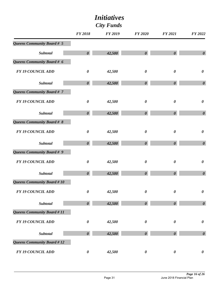|                             | <b>FY 2018</b>        | <b>FY 2019</b> | <b>FY 2020</b>        | <b>FY 2021</b>        | <b>FY 2022</b>        |
|-----------------------------|-----------------------|----------------|-----------------------|-----------------------|-----------------------|
| Queens Community Board # 5  |                       |                |                       |                       |                       |
| <b>Subtotal</b>             | $\boldsymbol{\theta}$ | 42,500         | $\boldsymbol{\theta}$ | $\boldsymbol{\theta}$ | $\boldsymbol{\theta}$ |
| Queens Community Board # 6  |                       |                |                       |                       |                       |
| <b>FY 19 COUNCIL ADD</b>    | $\pmb{\theta}$        | 42,500         | $\pmb{\theta}$        | $\boldsymbol{\theta}$ | $\boldsymbol{\theta}$ |
| Subtotal                    | $\boldsymbol{\theta}$ | 42,500         | $\boldsymbol{\theta}$ | $\boldsymbol{\theta}$ | $\boldsymbol{\theta}$ |
| Queens Community Board # 7  |                       |                |                       |                       |                       |
| <b>FY 19 COUNCIL ADD</b>    | $\pmb{\theta}$        | 42,500         | $\boldsymbol{\theta}$ | $\boldsymbol{\theta}$ | $\pmb{\theta}$        |
| Subtotal                    | $\boldsymbol{\theta}$ | 42,500         | $\boldsymbol{\theta}$ | $\boldsymbol{\theta}$ | $\boldsymbol{\theta}$ |
| Queens Community Board # 8  |                       |                |                       |                       |                       |
| <b>FY 19 COUNCIL ADD</b>    | $\pmb{\theta}$        | 42,500         | $\boldsymbol{\theta}$ | $\boldsymbol{\theta}$ | $\boldsymbol{\theta}$ |
| <b>Subtotal</b>             | $\boldsymbol{\theta}$ | 42,500         | $\boldsymbol{\theta}$ | $\boldsymbol{\theta}$ | $\boldsymbol{\theta}$ |
| Queens Community Board # 9  |                       |                |                       |                       |                       |
| <b>FY 19 COUNCIL ADD</b>    | $\boldsymbol{\theta}$ | 42,500         | $\boldsymbol{\theta}$ | $\boldsymbol{\theta}$ | $\boldsymbol{\theta}$ |
| Subtotal                    | $\boldsymbol{\theta}$ | 42,500         | $\boldsymbol{\theta}$ | $\boldsymbol{\theta}$ | $\boldsymbol{\theta}$ |
| Queens Community Board #10  |                       |                |                       |                       |                       |
| <b>FY 19 COUNCIL ADD</b>    | $\boldsymbol{\theta}$ | 42,500         | 0                     | 0                     | 0                     |
| Subtotal                    | $\boldsymbol{\theta}$ | 42,500         | $\boldsymbol{\theta}$ | $\boldsymbol{\theta}$ | $\boldsymbol{\theta}$ |
| Queens Community Board # 11 |                       |                |                       |                       |                       |
| <b>FY 19 COUNCIL ADD</b>    | $\boldsymbol{\theta}$ | 42,500         | $\boldsymbol{\theta}$ | $\boldsymbol{\theta}$ | $\pmb{\theta}$        |
| Subtotal                    | $\boldsymbol{\theta}$ | 42,500         | $\boldsymbol{\theta}$ | $\boldsymbol{\theta}$ | $\boldsymbol{\theta}$ |
| Queens Community Board #12  |                       |                |                       |                       |                       |
| <b>FY 19 COUNCIL ADD</b>    | $\boldsymbol{\theta}$ | 42,500         | $\boldsymbol{\theta}$ | $\boldsymbol{\theta}$ | $\boldsymbol{\theta}$ |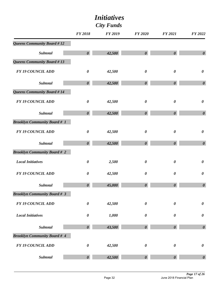|                                     | <b>FY 2018</b>        | <b>FY 2019</b> | <b>FY 2020</b>        | <b>FY 2021</b>        | <b>FY 2022</b>        |
|-------------------------------------|-----------------------|----------------|-----------------------|-----------------------|-----------------------|
| <b>Queens Community Board #12</b>   |                       |                |                       |                       |                       |
| <b>Subtotal</b>                     | $\boldsymbol{\theta}$ | 42,500         | $\boldsymbol{\theta}$ | $\boldsymbol{\theta}$ | $\boldsymbol{\theta}$ |
| Queens Community Board #13          |                       |                |                       |                       |                       |
| <b>FY 19 COUNCIL ADD</b>            | $\pmb{\theta}$        | 42,500         | $\boldsymbol{\theta}$ | $\boldsymbol{\theta}$ | $\boldsymbol{\theta}$ |
| <b>Subtotal</b>                     | $\boldsymbol{\theta}$ | 42,500         | $\boldsymbol{\theta}$ | $\boldsymbol{\theta}$ | $\boldsymbol{\theta}$ |
| Queens Community Board #14          |                       |                |                       |                       |                       |
| <b>FY 19 COUNCIL ADD</b>            | $\pmb{\theta}$        | 42,500         | $\boldsymbol{\theta}$ | $\boldsymbol{\theta}$ | $\boldsymbol{\theta}$ |
| <b>Subtotal</b>                     | $\boldsymbol{\theta}$ | 42,500         | $\boldsymbol{\theta}$ | $\boldsymbol{\theta}$ | $\boldsymbol{\theta}$ |
| <b>Brooklyn Community Board # 1</b> |                       |                |                       |                       |                       |
| <b>FY 19 COUNCIL ADD</b>            | $\pmb{\theta}$        | 42,500         | $\boldsymbol{\theta}$ | $\boldsymbol{\theta}$ | $\boldsymbol{\theta}$ |
| <b>Subtotal</b>                     | $\boldsymbol{\theta}$ | 42,500         | $\boldsymbol{\theta}$ | $\boldsymbol{\theta}$ | $\boldsymbol{\theta}$ |
| <b>Brooklyn Community Board # 2</b> |                       |                |                       |                       |                       |
| <b>Local Initiatives</b>            | $\boldsymbol{\theta}$ | 2,500          | $\boldsymbol{\theta}$ | $\boldsymbol{\theta}$ | $\pmb{\theta}$        |
| <b>FY 19 COUNCIL ADD</b>            | $\boldsymbol{\theta}$ | 42,500         | $\boldsymbol{\theta}$ | $\boldsymbol{\theta}$ | $\boldsymbol{\theta}$ |
| <b>Subtotal</b>                     | $\boldsymbol{\theta}$ | 45,000         | $\boldsymbol{\theta}$ | $\boldsymbol{\theta}$ | $\boldsymbol{\theta}$ |
| <b>Brooklyn Community Board # 3</b> |                       |                |                       |                       |                       |
| <b>FY 19 COUNCIL ADD</b>            | $\boldsymbol{\theta}$ | 42,500         | $\boldsymbol{\theta}$ | $\boldsymbol{\theta}$ | $\pmb{\theta}$        |
| <b>Local Initiatives</b>            | $\pmb{\theta}$        | 1,000          | $\boldsymbol{\theta}$ | $\boldsymbol{\theta}$ | $\pmb{\theta}$        |
| <b>Subtotal</b>                     | $\boldsymbol{\theta}$ | 43,500         | $\boldsymbol{\theta}$ | $\boldsymbol{\theta}$ | $\boldsymbol{\theta}$ |
| <b>Brooklyn Community Board # 4</b> |                       |                |                       |                       |                       |
| <b>FY 19 COUNCIL ADD</b>            | $\pmb{\theta}$        | 42,500         | $\boldsymbol{\theta}$ | $\boldsymbol{\theta}$ | $\pmb{\theta}$        |
| <b>Subtotal</b>                     | $\boldsymbol{\theta}$ | 42,500         | $\boldsymbol{\theta}$ | $\boldsymbol{\theta}$ | $\boldsymbol{\theta}$ |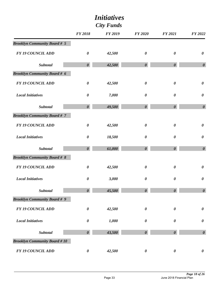| <b>City Funds</b>                   |                       |                |                       |                       |                       |
|-------------------------------------|-----------------------|----------------|-----------------------|-----------------------|-----------------------|
|                                     | <b>FY 2018</b>        | <b>FY 2019</b> | <b>FY 2020</b>        | <b>FY 2021</b>        | <b>FY 2022</b>        |
| <b>Brooklyn Community Board # 5</b> |                       |                |                       |                       |                       |
| <b>FY 19 COUNCIL ADD</b>            | $\boldsymbol{\theta}$ | 42,500         | $\boldsymbol{\theta}$ | $\boldsymbol{\theta}$ | $\boldsymbol{\theta}$ |
| Subtotal                            | $\boldsymbol{\theta}$ | 42,500         | $\boldsymbol{\theta}$ | $\boldsymbol{\theta}$ | $\boldsymbol{\theta}$ |
| <b>Brooklyn Community Board # 6</b> |                       |                |                       |                       |                       |
| <b>FY 19 COUNCIL ADD</b>            | $\boldsymbol{\theta}$ | 42,500         | $\boldsymbol{\theta}$ | $\boldsymbol{\theta}$ | $\boldsymbol{\theta}$ |
| <b>Local Initiatives</b>            | $\boldsymbol{\theta}$ | 7,000          | $\boldsymbol{\theta}$ | $\boldsymbol{\theta}$ | $\boldsymbol{\theta}$ |
| Subtotal                            | $\boldsymbol{\theta}$ | 49,500         | $\boldsymbol{\theta}$ | $\boldsymbol{\theta}$ | $\boldsymbol{\theta}$ |
| <b>Brooklyn Community Board #7</b>  |                       |                |                       |                       |                       |
| <b>FY 19 COUNCIL ADD</b>            | $\boldsymbol{\theta}$ | 42,500         | $\boldsymbol{\theta}$ | $\boldsymbol{\theta}$ | $\boldsymbol{\theta}$ |
| <b>Local Initiatives</b>            | $\pmb{\theta}$        | 18,500         | $\boldsymbol{\theta}$ | $\boldsymbol{\theta}$ | $\pmb{\theta}$        |
| <b>Subtotal</b>                     | $\boldsymbol{\theta}$ | 61,000         | $\boldsymbol{\theta}$ | $\boldsymbol{\theta}$ | $\boldsymbol{\theta}$ |
| <b>Brooklyn Community Board # 8</b> |                       |                |                       |                       |                       |
| <b>FY 19 COUNCIL ADD</b>            | $\boldsymbol{\theta}$ | 42,500         | $\boldsymbol{\theta}$ | $\boldsymbol{\theta}$ | $\boldsymbol{\theta}$ |
| <b>Local Initiatives</b>            | 0                     | 3,000          | 0                     | $\boldsymbol{\theta}$ | $\boldsymbol{\theta}$ |
| Subtotal                            | $\boldsymbol{\theta}$ | 45,500         | $\boldsymbol{\theta}$ | $\boldsymbol{\theta}$ | $\boldsymbol{\theta}$ |
| <b>Brooklyn Community Board # 9</b> |                       |                |                       |                       |                       |
| <b>FY 19 COUNCIL ADD</b>            | $\boldsymbol{\theta}$ | 42,500         | $\boldsymbol{\theta}$ | $\boldsymbol{\theta}$ | $\boldsymbol{\theta}$ |
| <b>Local Initiatives</b>            | $\boldsymbol{\theta}$ | 1,000          | $\boldsymbol{\theta}$ | $\boldsymbol{\theta}$ | $\pmb{\theta}$        |
| Subtotal                            | $\boldsymbol{\theta}$ | 43,500         | $\boldsymbol{\theta}$ | $\boldsymbol{\theta}$ | $\boldsymbol{\theta}$ |
| <b>Brooklyn Community Board #10</b> |                       |                |                       |                       |                       |
| <b>FY 19 COUNCIL ADD</b>            | $\boldsymbol{\theta}$ | 42,500         | $\boldsymbol{\theta}$ | $\boldsymbol{\theta}$ | $\boldsymbol{\theta}$ |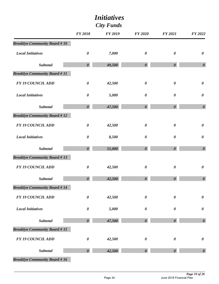| <b>City Funds</b>                   |                       |                |                       |                       |                       |
|-------------------------------------|-----------------------|----------------|-----------------------|-----------------------|-----------------------|
|                                     | <b>FY 2018</b>        | <b>FY 2019</b> | <b>FY 2020</b>        | <b>FY 2021</b>        | FY 2022               |
| <b>Brooklyn Community Board #10</b> |                       |                |                       |                       |                       |
| <b>Local Initiatives</b>            | $\boldsymbol{\theta}$ | 7,000          | $\boldsymbol{\theta}$ | $\boldsymbol{\theta}$ | $\boldsymbol{\theta}$ |
| <b>Subtotal</b>                     | $\boldsymbol{\theta}$ | 49,500         | $\boldsymbol{\theta}$ | $\boldsymbol{\theta}$ | $\boldsymbol{\theta}$ |
| <b>Brooklyn Community Board #11</b> |                       |                |                       |                       |                       |
| <b>FY 19 COUNCIL ADD</b>            | $\boldsymbol{\theta}$ | 42,500         | $\boldsymbol{\theta}$ | $\boldsymbol{\theta}$ | $\boldsymbol{\theta}$ |
| <b>Local Initiatives</b>            | $\boldsymbol{\theta}$ | 5,000          | $\boldsymbol{\theta}$ | $\boldsymbol{\theta}$ | $\boldsymbol{\theta}$ |
| <b>Subtotal</b>                     | $\boldsymbol{\theta}$ | 47,500         | $\boldsymbol{\theta}$ | $\boldsymbol{\theta}$ | $\boldsymbol{\theta}$ |
| <b>Brooklyn Community Board #12</b> |                       |                |                       |                       |                       |
| <b>FY 19 COUNCIL ADD</b>            | $\boldsymbol{\theta}$ | 42,500         | $\boldsymbol{\theta}$ | $\boldsymbol{\theta}$ | $\pmb{\theta}$        |
| <b>Local Initiatives</b>            | $\boldsymbol{\theta}$ | 8,500          | $\boldsymbol{\theta}$ | $\boldsymbol{\theta}$ | $\boldsymbol{\theta}$ |
| <b>Subtotal</b>                     | $\boldsymbol{\theta}$ | 51,000         | $\boldsymbol{\theta}$ | $\boldsymbol{\theta}$ | $\boldsymbol{\theta}$ |
| <b>Brooklyn Community Board #13</b> |                       |                |                       |                       |                       |
| <b>FY 19 COUNCIL ADD</b>            | $\boldsymbol{\theta}$ | 42,500         | $\boldsymbol{\theta}$ | $\boldsymbol{\theta}$ | $\pmb{\theta}$        |
| Subtotal                            | $\boldsymbol{\theta}$ | 42,500         | $\boldsymbol{\theta}$ | $\boldsymbol{\theta}$ | $\boldsymbol{\theta}$ |
| <b>Brooklyn Community Board #14</b> |                       |                |                       |                       |                       |
| <b>FY 19 COUNCIL ADD</b>            | $\boldsymbol{\theta}$ | 42,500         | $\boldsymbol{\theta}$ | $\boldsymbol{\theta}$ | $\pmb{\theta}$        |
| <b>Local Initiatives</b>            | $\boldsymbol{\theta}$ | 5,000          | $\boldsymbol{\theta}$ | $\boldsymbol{\theta}$ | $\boldsymbol{\theta}$ |
| Subtotal                            | $\boldsymbol{\theta}$ | 47,500         | $\boldsymbol{\theta}$ | $\boldsymbol{\theta}$ | $\boldsymbol{\theta}$ |
| <b>Brooklyn Community Board #15</b> |                       |                |                       |                       |                       |
| <b>FY 19 COUNCIL ADD</b>            | $\boldsymbol{\theta}$ | 42,500         | $\boldsymbol{\theta}$ | $\boldsymbol{\theta}$ | $\boldsymbol{\theta}$ |
| Subtotal                            | $\boldsymbol{\theta}$ | 42,500         | $\boldsymbol{\theta}$ | 0                     | $\boldsymbol{\theta}$ |
| <b>Brooklyn Community Board #16</b> |                       |                |                       |                       |                       |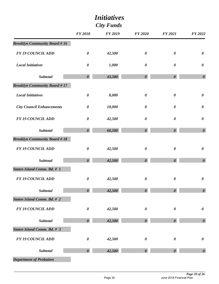|                                     | <i>Initiatives</i><br><b>City Funds</b> |                |                       |                       |                       |
|-------------------------------------|-----------------------------------------|----------------|-----------------------|-----------------------|-----------------------|
|                                     | <b>FY 2018</b>                          | <b>FY 2019</b> | <b>FY 2020</b>        | <b>FY 2021</b>        | FY 2022               |
| <b>Brooklyn Community Board #16</b> |                                         |                |                       |                       |                       |
| <b>FY 19 COUNCIL ADD</b>            | $\boldsymbol{\theta}$                   | 42,500         | $\boldsymbol{\theta}$ | $\boldsymbol{\theta}$ | $\boldsymbol{\theta}$ |
| <b>Local Initiatives</b>            | $\boldsymbol{\theta}$                   | 1,000          | $\boldsymbol{\theta}$ | $\boldsymbol{\theta}$ | $\boldsymbol{\theta}$ |
| <b>Subtotal</b>                     | $\boldsymbol{\theta}$                   | 43,500         | $\boldsymbol{\theta}$ | $\boldsymbol{\theta}$ | $\boldsymbol{\theta}$ |
| <b>Brooklyn Community Board #17</b> |                                         |                |                       |                       |                       |
| <b>Local Initiatives</b>            | $\pmb{\theta}$                          | 8,000          | $\boldsymbol{\theta}$ | $\boldsymbol{\theta}$ | $\pmb{\theta}$        |
| <b>City Council Enhancements</b>    | $\boldsymbol{\theta}$                   | 10,000         | $\boldsymbol{\theta}$ | $\boldsymbol{\theta}$ | $\boldsymbol{\theta}$ |
| <b>FY 19 COUNCIL ADD</b>            | $\boldsymbol{\theta}$                   | 42,500         | $\boldsymbol{\theta}$ | $\boldsymbol{\theta}$ | $\boldsymbol{\theta}$ |
| <b>Subtotal</b>                     | $\boldsymbol{\theta}$                   | 60,500         | $\boldsymbol{\theta}$ | $\boldsymbol{\theta}$ | $\boldsymbol{\theta}$ |
| <b>Brooklyn Community Board #18</b> |                                         |                |                       |                       |                       |
| <b>FY 19 COUNCIL ADD</b>            | $\pmb{\theta}$                          | 42,500         | $\boldsymbol{\theta}$ | $\boldsymbol{\theta}$ | $\boldsymbol{\theta}$ |
| Subtotal                            | $\boldsymbol{\theta}$                   | 42,500         | $\boldsymbol{\theta}$ | $\boldsymbol{\theta}$ | $\boldsymbol{\theta}$ |
| <b>Staten Island Comm. Bd. # 1</b>  |                                         |                |                       |                       |                       |
| <b>FY 19 COUNCIL ADD</b>            | $\pmb{\theta}$                          | 42,500         | $\pmb{\theta}$        | $\boldsymbol{\theta}$ | $\pmb{\theta}$        |
| <b>Subtotal</b>                     | $\boldsymbol{\theta}$                   | 42,500         | $\boldsymbol{\theta}$ | $\boldsymbol{\theta}$ | $\boldsymbol{\theta}$ |
| <b>Staten Island Comm. Bd. # 2</b>  |                                         |                |                       |                       |                       |
| <b>FY 19 COUNCIL ADD</b>            | $\pmb{\theta}$                          | 42,500         | $\boldsymbol{\theta}$ | $\pmb{\theta}$        | $\pmb{\theta}$        |
| <b>Subtotal</b>                     | $\boldsymbol{\theta}$                   | 42,500         | $\boldsymbol{\theta}$ | $\boldsymbol{\theta}$ | $\boldsymbol{\theta}$ |
| <b>Staten Island Comm. Bd. # 3</b>  |                                         |                |                       |                       |                       |
| <b>FY 19 COUNCIL ADD</b>            | $\pmb{\theta}$                          | 42,500         | $\pmb{\theta}$        | $\boldsymbol{\theta}$ | $\pmb{\theta}$        |
| <b>Subtotal</b>                     | $\boldsymbol{\theta}$                   | 42,500         | $\boldsymbol{\theta}$ | $\boldsymbol{\theta}$ | $\boldsymbol{\theta}$ |
| <b>Department of Probation</b>      |                                         |                |                       |                       |                       |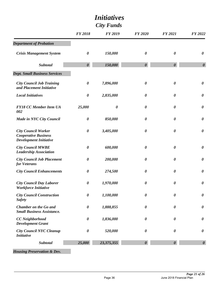|                                                                                            | <i>Initiatives</i><br><b>City Funds</b> |                |                       |                       |                       |  |
|--------------------------------------------------------------------------------------------|-----------------------------------------|----------------|-----------------------|-----------------------|-----------------------|--|
|                                                                                            | <b>FY 2018</b>                          | <b>FY 2019</b> | <b>FY 2020</b>        | <b>FY 2021</b>        | <b>FY 2022</b>        |  |
| <b>Department of Probation</b>                                                             |                                         |                |                       |                       |                       |  |
| <b>Crisis Management System</b>                                                            | $\boldsymbol{\theta}$                   | 150,000        | $\boldsymbol{\theta}$ | $\boldsymbol{\theta}$ | $\boldsymbol{\theta}$ |  |
| Subtotal                                                                                   | $\boldsymbol{\theta}$                   | 150,000        | $\boldsymbol{\theta}$ | $\boldsymbol{\theta}$ | $\boldsymbol{\theta}$ |  |
| <b>Dept. Small Business Services</b>                                                       |                                         |                |                       |                       |                       |  |
| <b>City Council Job Training</b><br>and Placement Initiative                               | $\boldsymbol{\theta}$                   | 7,896,000      | $\boldsymbol{\theta}$ | $\boldsymbol{\theta}$ | $\boldsymbol{\theta}$ |  |
| <b>Local Initiatives</b>                                                                   | $\boldsymbol{\theta}$                   | 2,835,000      | $\boldsymbol{\theta}$ | $\boldsymbol{\theta}$ | $\boldsymbol{\theta}$ |  |
| <b>FY18 CC Member Item UA</b><br>002                                                       | 25,000                                  | 0              | $\boldsymbol{\theta}$ | $\boldsymbol{\theta}$ | $\boldsymbol{\theta}$ |  |
| Made in NYC City Council                                                                   | $\boldsymbol{\theta}$                   | 850,000        | $\boldsymbol{\theta}$ | $\boldsymbol{\theta}$ | $\boldsymbol{\theta}$ |  |
| <b>City Council Worker</b><br><b>Cooperative Business</b><br><b>Development Initiative</b> | $\boldsymbol{\theta}$                   | 3,405,000      | $\boldsymbol{\theta}$ | $\boldsymbol{\theta}$ | $\boldsymbol{\theta}$ |  |
| <b>City Council MWBE</b><br><b>Leadership Association</b>                                  | $\boldsymbol{\theta}$                   | 600,000        | $\boldsymbol{\theta}$ | $\boldsymbol{\theta}$ | $\boldsymbol{\theta}$ |  |
| <b>City Council Job Placement</b><br>for Veterans                                          | $\boldsymbol{\theta}$                   | 200,000        | $\boldsymbol{\theta}$ | $\boldsymbol{\theta}$ | $\boldsymbol{\theta}$ |  |
| <b>City Council Enhancements</b>                                                           | $\boldsymbol{\theta}$                   | 274,500        | 0                     | $\boldsymbol{\theta}$ | $\boldsymbol{\theta}$ |  |
| <b>City Council Day Laborer</b><br><b>Workforce Initiative</b>                             | $\boldsymbol{\theta}$                   | 1,970,000      | $\boldsymbol{\theta}$ | $\boldsymbol{\theta}$ | $\boldsymbol{\theta}$ |  |
| <b>City Council Construction</b><br><b>Safety</b>                                          | $\boldsymbol{\theta}$                   | 1,100,000      | $\boldsymbol{\theta}$ | $\boldsymbol{\theta}$ | $\boldsymbol{\theta}$ |  |
| <b>Chamber on the Go and</b><br><b>Small Business Assistance.</b>                          | $\boldsymbol{\theta}$                   | 1,888,855      | $\boldsymbol{\theta}$ | $\boldsymbol{\theta}$ | $\boldsymbol{\theta}$ |  |
| <b>CC</b> Neighborhood<br><b>Development Grant</b>                                         | $\boldsymbol{\theta}$                   | 1,836,000      | $\boldsymbol{\theta}$ | $\boldsymbol{\theta}$ | $\boldsymbol{\theta}$ |  |
| <b>City Council NYC Cleanup</b><br><b>Initiative</b>                                       | $\boldsymbol{\theta}$                   | 520,000        | $\boldsymbol{\theta}$ | $\boldsymbol{\theta}$ | $\boldsymbol{\theta}$ |  |
| Subtotal                                                                                   | 25,000                                  | 23,375,355     | $\boldsymbol{\theta}$ | $\boldsymbol{\theta}$ | $\boldsymbol{\theta}$ |  |

*Housing Preservation & Dev.*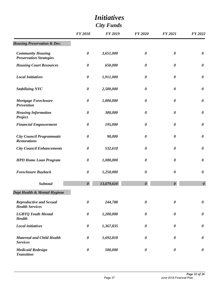| <b>City Funds</b>                                          |                       |                |                       |                       |                       |
|------------------------------------------------------------|-----------------------|----------------|-----------------------|-----------------------|-----------------------|
|                                                            | <b>FY 2018</b>        | <b>FY 2019</b> | <b>FY 2020</b>        | <b>FY 2021</b>        | FY 2022               |
| <b>Housing Preservation &amp; Dev.</b>                     |                       |                |                       |                       |                       |
| <b>Community Housing</b><br><b>Preservation Strategies</b> | $\boldsymbol{\theta}$ | 3,651,000      | $\boldsymbol{\theta}$ | $\boldsymbol{\theta}$ | $\boldsymbol{\theta}$ |
| <b>Housing Court Resources</b>                             | $\boldsymbol{\theta}$ | 650,000        | $\boldsymbol{\theta}$ | $\boldsymbol{\theta}$ | $\boldsymbol{\theta}$ |
| <b>Local Initiatives</b>                                   | $\boldsymbol{\theta}$ | 1,911,000      | $\boldsymbol{\theta}$ | $\boldsymbol{\theta}$ | $\boldsymbol{\theta}$ |
| <b>Stabilizing NYC</b>                                     | $\boldsymbol{\theta}$ | 2,500,000      | $\boldsymbol{\theta}$ | $\boldsymbol{\theta}$ | $\boldsymbol{\theta}$ |
| <b>Mortgage Foreclosure</b><br><b>Prevention</b>           | $\boldsymbol{\theta}$ | 1,000,000      | $\boldsymbol{\theta}$ | $\boldsymbol{\theta}$ | $\boldsymbol{\theta}$ |
| <b>Housing Information</b><br>Project                      | $\boldsymbol{\theta}$ | 300,000        | $\boldsymbol{\theta}$ | $\boldsymbol{\theta}$ | $\boldsymbol{\theta}$ |
| <b>Financial Empowerment</b>                               | $\boldsymbol{\theta}$ | 195,000        | $\boldsymbol{\theta}$ | 0                     | $\boldsymbol{\theta}$ |
| <b>City Council Programmatic</b><br><b>Restorations</b>    | $\boldsymbol{\theta}$ | 90,000         | $\boldsymbol{\theta}$ | 0                     | $\boldsymbol{\theta}$ |
| <b>City Council Enhancements</b>                           | $\boldsymbol{\theta}$ | 532,610        | $\boldsymbol{\theta}$ | 0                     | $\boldsymbol{\theta}$ |
| <b>HPD Home Loan Program</b>                               | $\boldsymbol{\theta}$ | 1,000,000      | $\boldsymbol{\theta}$ | 0                     | $\boldsymbol{\theta}$ |
| <b>Foreclosure Buyback</b>                                 | $\boldsymbol{\theta}$ | 1,250,000      | 0                     | $\boldsymbol{\theta}$ | $\boldsymbol{\theta}$ |
| <b>Subtotal</b>                                            | $\boldsymbol{\theta}$ | 13,079,610     | $\boldsymbol{\theta}$ | $\boldsymbol{\theta}$ | $\boldsymbol{\theta}$ |
| Dept Health & Mental Hygiene                               |                       |                |                       |                       |                       |
| <b>Reproductive and Sexual</b><br><b>Health Services</b>   | $\boldsymbol{\theta}$ | 244,788        | $\boldsymbol{\theta}$ | $\boldsymbol{\theta}$ | $\boldsymbol{\theta}$ |
| <b>LGBTQ Youth Mental</b><br><b>Health</b>                 | $\boldsymbol{\theta}$ | 1,200,000      | $\boldsymbol{\theta}$ | 0                     | $\boldsymbol{\theta}$ |
| <b>Local initiatives</b>                                   | $\boldsymbol{\theta}$ | 1,367,835      | $\boldsymbol{\theta}$ | 0                     | $\boldsymbol{\theta}$ |
| <b>Maternal and Child Health</b><br><b>Services</b>        | $\boldsymbol{\theta}$ | 1,692,818      | $\boldsymbol{\theta}$ | 0                     | $\boldsymbol{\theta}$ |
| <b>Medicaid Redesign</b><br><b>Transition</b>              | $\boldsymbol{\theta}$ | 500,000        | $\boldsymbol{\theta}$ | 0                     | $\boldsymbol{\theta}$ |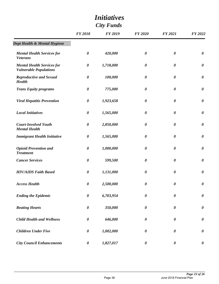|                                                                    | <b>City Funds</b>     |                |                       |                       |                       |
|--------------------------------------------------------------------|-----------------------|----------------|-----------------------|-----------------------|-----------------------|
|                                                                    | <b>FY 2018</b>        | <b>FY 2019</b> | <b>FY 2020</b>        | <b>FY 2021</b>        | <b>FY 2022</b>        |
| Dept Health & Mental Hygiene                                       |                       |                |                       |                       |                       |
| <b>Mental Health Services for</b><br><b>Veterans</b>               | $\boldsymbol{\theta}$ | 420,000        | $\boldsymbol{\theta}$ | $\boldsymbol{\theta}$ | $\boldsymbol{\theta}$ |
| <b>Mental Health Services for</b><br><b>Vulnerable Populations</b> | $\boldsymbol{\theta}$ | 1,718,000      | $\boldsymbol{\theta}$ | $\boldsymbol{\theta}$ | $\boldsymbol{\theta}$ |
| <b>Reproductive and Sexual</b><br><b>Health</b>                    | $\boldsymbol{\theta}$ | 100,000        | 0                     | $\boldsymbol{\theta}$ | $\boldsymbol{\theta}$ |
| <b>Trans Equity programs</b>                                       | $\boldsymbol{\theta}$ | 775,000        | $\boldsymbol{\theta}$ | 0                     | $\boldsymbol{\theta}$ |
| <b>Viral Hepatitis Prevention</b>                                  | $\boldsymbol{\theta}$ | 1,923,658      | 0                     | $\boldsymbol{\theta}$ | $\boldsymbol{\theta}$ |
| <b>Local Initiatives</b>                                           | $\boldsymbol{\theta}$ | 1,565,000      | $\boldsymbol{\theta}$ | $\boldsymbol{\theta}$ | $\boldsymbol{\theta}$ |
| <b>Court-Involved Youth</b><br><b>Mental Health</b>                | $\boldsymbol{\theta}$ | 2,850,000      | 0                     | $\boldsymbol{\theta}$ | $\boldsymbol{\theta}$ |
| <b>Immigrant Health Initiative</b>                                 | $\boldsymbol{\theta}$ | 1,565,000      | $\boldsymbol{\theta}$ | $\boldsymbol{\theta}$ | $\boldsymbol{\theta}$ |
| <b>Opioid Prevention and</b><br><b>Treatment</b>                   | $\boldsymbol{\theta}$ | 1,000,000      | $\boldsymbol{\theta}$ | $\boldsymbol{\theta}$ | $\boldsymbol{\theta}$ |
| <b>Cancer Services</b>                                             | $\boldsymbol{\theta}$ | 599,500        | $\boldsymbol{\theta}$ | $\boldsymbol{\theta}$ | $\boldsymbol{\theta}$ |
| <b>HIV/AIDS Faith Based</b>                                        | $\boldsymbol{\theta}$ | 1,131,000      | 0                     | 0                     | $\boldsymbol{\theta}$ |
| <b>Access Health</b>                                               | $\boldsymbol{\theta}$ | 2,500,000      | $\boldsymbol{\theta}$ | $\boldsymbol{\theta}$ | $\boldsymbol{\theta}$ |
| <b>Ending the Epidemic</b>                                         | $\pmb{\theta}$        | 6,703,954      | $\pmb{\theta}$        | $\boldsymbol{\theta}$ | $\pmb{\theta}$        |
| <b>Beating Hearts</b>                                              | $\boldsymbol{\theta}$ | 350,000        | $\boldsymbol{\theta}$ | $\boldsymbol{\theta}$ | $\boldsymbol{\theta}$ |
| <b>Child Health and Wellness</b>                                   | $\pmb{\theta}$        | 646,000        | $\boldsymbol{\theta}$ | $\boldsymbol{\theta}$ | $\pmb{\theta}$        |
| <b>Children Under Five</b>                                         | $\boldsymbol{\theta}$ | 1,002,000      | $\boldsymbol{\theta}$ | $\boldsymbol{\theta}$ | $\boldsymbol{\theta}$ |
| <b>City Council Enhancements</b>                                   | 0                     | 1,827,017      | $\boldsymbol{\theta}$ | $\boldsymbol{\theta}$ | $\boldsymbol{\theta}$ |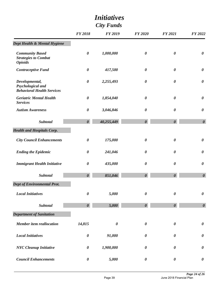|                                                                          |                       | <i>Initiatives</i>    |                       |                       |                       |
|--------------------------------------------------------------------------|-----------------------|-----------------------|-----------------------|-----------------------|-----------------------|
|                                                                          |                       |                       |                       |                       |                       |
|                                                                          | <b>FY 2018</b>        | <b>FY 2019</b>        | <b>FY 2020</b>        | <b>FY 2021</b>        | FY 2022               |
| Dept Health & Mental Hygiene                                             |                       |                       |                       |                       |                       |
| <b>Community Based</b><br><b>Strategies to Combat</b><br><b>Opioids</b>  | $\boldsymbol{\theta}$ | 1,000,000             | $\boldsymbol{\theta}$ | $\boldsymbol{\theta}$ | $\boldsymbol{\theta}$ |
| <b>Contraceptive Fund</b>                                                | $\boldsymbol{\theta}$ | 417,500               | $\boldsymbol{\theta}$ | $\boldsymbol{\theta}$ | $\boldsymbol{\theta}$ |
| Developmental,<br>Psychological and<br><b>Behavioral Health Services</b> | $\boldsymbol{\theta}$ | 2,255,493             | $\boldsymbol{\theta}$ | $\boldsymbol{\theta}$ | $\boldsymbol{\theta}$ |
| <b>Geriatric Mental Health</b><br><b>Services</b>                        | $\boldsymbol{\theta}$ | 1,854,040             | $\boldsymbol{\theta}$ | $\boldsymbol{\theta}$ | $\boldsymbol{\theta}$ |
| <b>Autism Awareness</b>                                                  | $\boldsymbol{\theta}$ | 3,046,846             | $\boldsymbol{\theta}$ | $\boldsymbol{\theta}$ | $\boldsymbol{\theta}$ |
| <b>Subtotal</b>                                                          | $\boldsymbol{\theta}$ | 40,255,449            | $\boldsymbol{\theta}$ | $\boldsymbol{\theta}$ | $\boldsymbol{\theta}$ |
| <b>Health and Hospitals Corp.</b>                                        |                       |                       |                       |                       |                       |
| <b>City Council Enhancements</b>                                         | $\boldsymbol{\theta}$ | 175,000               | $\boldsymbol{\theta}$ | $\boldsymbol{\theta}$ | $\boldsymbol{\theta}$ |
| <b>Ending the Epidemic</b>                                               | $\boldsymbol{\theta}$ | 241,046               | $\boldsymbol{\theta}$ | $\boldsymbol{\theta}$ | $\boldsymbol{\theta}$ |
| <b>Immigrant Health Initiative</b>                                       | $\boldsymbol{\theta}$ | 435,000               | $\boldsymbol{\theta}$ | $\boldsymbol{\theta}$ | $\boldsymbol{\theta}$ |
| Subtotal                                                                 | $\boldsymbol{\theta}$ | 851,046               | $\boldsymbol{\theta}$ | $\boldsymbol{\theta}$ | $\pmb{\theta}$        |
| Dept of Environmental Prot.                                              |                       |                       |                       |                       |                       |
| <b>Local Initiatives</b>                                                 | $\boldsymbol{\theta}$ | 5,000                 | $\boldsymbol{\theta}$ | $\boldsymbol{\theta}$ | $\boldsymbol{\theta}$ |
| <b>Subtotal</b>                                                          | $\boldsymbol{\theta}$ | 5,000                 | $\boldsymbol{\theta}$ | $\boldsymbol{\theta}$ | $\boldsymbol{\theta}$ |
| <b>Department of Sanitation</b>                                          |                       |                       |                       |                       |                       |
| <b>Member item reallocation</b>                                          | 14,815                | $\boldsymbol{\theta}$ | $\boldsymbol{\theta}$ | $\boldsymbol{\theta}$ | $\boldsymbol{\theta}$ |
| <b>Local Initiatives</b>                                                 | $\boldsymbol{\theta}$ | 91,000                | $\boldsymbol{\theta}$ | $\boldsymbol{\theta}$ | $\boldsymbol{\theta}$ |
| <b>NYC</b> Cleanup Initiative                                            | $\boldsymbol{\theta}$ | 1,900,000             | $\boldsymbol{\theta}$ | $\boldsymbol{\theta}$ | $\boldsymbol{\theta}$ |
| <b>Council Enhancements</b>                                              | $\boldsymbol{\theta}$ | 5,000                 | $\pmb{\theta}$        | $\boldsymbol{\theta}$ | $\boldsymbol{\theta}$ |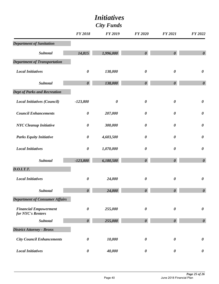|                                                   | <b>FY 2018</b>        | <b>FY 2019</b>        | <b>FY 2020</b>        | <b>FY 2021</b>        | FY 2022               |
|---------------------------------------------------|-----------------------|-----------------------|-----------------------|-----------------------|-----------------------|
| <b>Department of Sanitation</b>                   |                       |                       |                       |                       |                       |
| Subtotal                                          | 14,815                | 1,996,000             | $\boldsymbol{\theta}$ | $\boldsymbol{\theta}$ | $\boldsymbol{\theta}$ |
| <b>Department of Transportation</b>               |                       |                       |                       |                       |                       |
| <b>Local Initiatives</b>                          | $\pmb{\theta}$        | 138,000               | $\pmb{\theta}$        | $\boldsymbol{\theta}$ | $\pmb{\theta}$        |
| Subtotal                                          | $\boldsymbol{\theta}$ | 138,000               | $\boldsymbol{\theta}$ | $\boldsymbol{\theta}$ | $\boldsymbol{\theta}$ |
| <b>Dept of Parks and Recreation</b>               |                       |                       |                       |                       |                       |
| <b>Local Initiatives (Council)</b>                | $-123,800$            | $\boldsymbol{\theta}$ | $\boldsymbol{\theta}$ | $\boldsymbol{\theta}$ | $\pmb{\theta}$        |
| <b>Council Enhancements</b>                       | $\pmb{\theta}$        | 207,000               | $\boldsymbol{\theta}$ | $\boldsymbol{\theta}$ | $\boldsymbol{\theta}$ |
| <b>NYC</b> Cleanup Initiative                     | $\pmb{\theta}$        | 300,000               | $\boldsymbol{\theta}$ | $\boldsymbol{\theta}$ | $\pmb{\theta}$        |
| <b>Parks Equity Initiative</b>                    | $\boldsymbol{\theta}$ | 4,603,500             | $\boldsymbol{\theta}$ | $\boldsymbol{\theta}$ | $\boldsymbol{\theta}$ |
| <b>Local Initiatives</b>                          | $\pmb{\theta}$        | 1,070,000             | $\boldsymbol{\theta}$ | $\boldsymbol{\theta}$ | $\boldsymbol{\theta}$ |
| Subtotal                                          | $-123,800$            | 6,180,500             | $\boldsymbol{\theta}$ | $\boldsymbol{\theta}$ | $\boldsymbol{\theta}$ |
| <b>D.O.I.T.T.</b>                                 |                       |                       |                       |                       |                       |
| <b>Local Initiatives</b>                          | $\pmb{\theta}$        | 24,000                | $\boldsymbol{\theta}$ | $\boldsymbol{\theta}$ | $\pmb{\theta}$        |
| Subtotal                                          | $\boldsymbol{\theta}$ | 24.000                | $\boldsymbol{\theta}$ | $\boldsymbol{\theta}$ | $\boldsymbol{\theta}$ |
| <b>Department of Consumer Affairs</b>             |                       |                       |                       |                       |                       |
| <b>Financial Empowerment</b><br>for NYC's Renters | $\boldsymbol{\theta}$ | 255,000               | $\boldsymbol{\theta}$ | $\boldsymbol{\theta}$ | $\pmb{\theta}$        |
| Subtotal                                          | $\boldsymbol{\theta}$ | 255,000               | $\boldsymbol{\theta}$ | $\boldsymbol{\theta}$ | $\boldsymbol{\theta}$ |
| <b>District Attorney - Bronx</b>                  |                       |                       |                       |                       |                       |
| <b>City Council Enhancements</b>                  | $\pmb{\theta}$        | 10,000                | $\pmb{\theta}$        | $\boldsymbol{\theta}$ | $\pmb{\theta}$        |
| <b>Local Initiatives</b>                          | $\boldsymbol{\theta}$ | 40,000                | $\boldsymbol{\theta}$ | $\boldsymbol{\theta}$ | 0                     |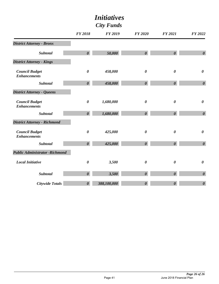|                                              | <b>FY 2018</b>        | <b>FY 2019</b> | <b>FY 2020</b>        | <b>FY 2021</b>        | FY 2022               |
|----------------------------------------------|-----------------------|----------------|-----------------------|-----------------------|-----------------------|
| <b>District Attorney - Bronx</b>             |                       |                |                       |                       |                       |
| <b>Subtotal</b>                              | $\boldsymbol{\theta}$ | 50,000         | $\boldsymbol{\theta}$ | $\boldsymbol{\theta}$ | $\boldsymbol{\theta}$ |
| <b>District Attorney - Kings</b>             |                       |                |                       |                       |                       |
| <b>Council Budget</b><br><b>Enhancements</b> | $\boldsymbol{\theta}$ | 458,000        | $\boldsymbol{\theta}$ | $\boldsymbol{\theta}$ | $\boldsymbol{\theta}$ |
| <b>Subtotal</b>                              | $\boldsymbol{\theta}$ | 458,000        | $\boldsymbol{\theta}$ | $\boldsymbol{\theta}$ | $\boldsymbol{\theta}$ |
| <b>District Attorney - Queens</b>            |                       |                |                       |                       |                       |
| <b>Council Budget</b><br><b>Enhancements</b> | $\boldsymbol{\theta}$ | 1,680,000      | $\boldsymbol{\theta}$ | $\boldsymbol{\theta}$ | $\boldsymbol{\theta}$ |
| <b>Subtotal</b>                              | $\boldsymbol{\theta}$ | 1,680,000      | $\boldsymbol{\theta}$ | $\boldsymbol{\theta}$ | $\boldsymbol{\theta}$ |
| <b>District Attorney - Richmond</b>          |                       |                |                       |                       |                       |
| <b>Council Budget</b><br><b>Enhancements</b> | $\boldsymbol{\theta}$ | 425,000        | $\boldsymbol{\theta}$ | $\boldsymbol{\theta}$ | $\boldsymbol{\theta}$ |
| <b>Subtotal</b>                              | $\boldsymbol{\theta}$ | 425,000        | $\boldsymbol{\theta}$ | $\boldsymbol{\theta}$ | $\boldsymbol{\theta}$ |
| <b>Public Administrator - Richmond</b>       |                       |                |                       |                       |                       |
| <b>Local Initiative</b>                      | $\boldsymbol{\theta}$ | 3,500          | $\boldsymbol{\theta}$ | $\boldsymbol{\theta}$ | $\boldsymbol{\theta}$ |
| <b>Subtotal</b>                              | $\boldsymbol{\theta}$ | 3,500          | $\boldsymbol{\theta}$ | $\boldsymbol{\theta}$ | $\boldsymbol{\theta}$ |
| <b>Citywide Totals</b>                       | $\boldsymbol{\theta}$ | 388,100,000    | $\boldsymbol{\theta}$ | $\boldsymbol{\theta}$ | $\boldsymbol{\theta}$ |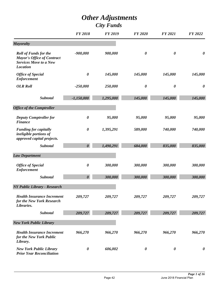# *Other Adjustments*

|                                                                                                                       | <b>FY 2018</b>        | <b>FY 2019</b> | <b>FY 2020</b>        | <b>FY 2021</b>        | <b>FY 2022</b>        |
|-----------------------------------------------------------------------------------------------------------------------|-----------------------|----------------|-----------------------|-----------------------|-----------------------|
| <b>Mayoralty</b>                                                                                                      |                       |                |                       |                       |                       |
| <b>Roll of Funds for the</b><br><b>Mayor's Office of Contract</b><br><b>Services Move to a New</b><br><b>Location</b> | $-900,000$            | 900,000        | $\boldsymbol{\theta}$ | $\boldsymbol{\theta}$ | $\boldsymbol{\theta}$ |
| <b>Office of Special</b><br><b>Enforcement</b>                                                                        | $\boldsymbol{\theta}$ | 145,000        | 145,000               | 145,000               | 145,000               |
| <b>OLR Roll</b>                                                                                                       | $-250,000$            | 250,000        | $\boldsymbol{\theta}$ | $\boldsymbol{\theta}$ | $\boldsymbol{\theta}$ |
| <b>Subtotal</b>                                                                                                       | $-1,150,000$          | 1,295,000      | 145,000               | 145,000               | 145,000               |
| <b>Office of the Comptroller</b>                                                                                      |                       |                |                       |                       |                       |
| <b>Deputy Comptroller for</b><br><b>Finance</b>                                                                       | 0                     | 95,000         | 95,000                | 95,000                | 95,000                |
| <b>Funding for capitally</b><br>ineligible portions of<br>approved capital projects.                                  | $\boldsymbol{\theta}$ | 1,395,291      | 589,000               | 740,000               | 740,000               |
| <b>Subtotal</b>                                                                                                       | $\boldsymbol{\theta}$ | 1,490,291      | 684,000               | 835,000               | 835,000               |
| <b>Law Department</b>                                                                                                 |                       |                |                       |                       |                       |
| <b>Office of Special</b><br><b>Enforcement</b>                                                                        | $\boldsymbol{\theta}$ | 300,000        | 300,000               | 300,000               | 300,000               |
| <b>Subtotal</b>                                                                                                       | $\boldsymbol{\theta}$ | 300,000        | 300,000               | 300,000               | 300,000               |
| <b>NY Public Library - Research</b>                                                                                   |                       |                |                       |                       |                       |
| <b>Health Insurance Increment</b><br>for the New York Research<br>Libraries.                                          | 209,727               | 209,727        | 209,727               | 209,727               | 209,727               |
| Subtotal                                                                                                              | 209,727               | 209,727        | 209,727               | 209,727               | 209,727               |
| <b>New York Public Library</b>                                                                                        |                       |                |                       |                       |                       |
| <b>Health Insurance Increment</b><br>for the New York Public<br>Library.                                              | 966,270               | 966,270        | 966,270               | 966,270               | 966,270               |
| <b>New York Public Library</b><br><b>Prior Year Reconciliation</b>                                                    | $\boldsymbol{\theta}$ | 606,002        | $\boldsymbol{\theta}$ | $\boldsymbol{\theta}$ | 0                     |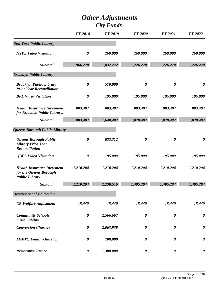|                                                                                       | <b>FY 2018</b>        | <b>FY 2019</b> | <b>FY 2020</b>        | <b>FY 2021</b>        | FY 2022               |
|---------------------------------------------------------------------------------------|-----------------------|----------------|-----------------------|-----------------------|-----------------------|
| <b>New York Public Library</b>                                                        |                       |                |                       |                       |                       |
| <b>NYPL Video Visitation</b>                                                          | $\boldsymbol{\theta}$ | 260,000        | 260,000               | 260,000               | 260,000               |
| <b>Subtotal</b>                                                                       | 966,270               | 1,832,272      | 1,226,270             | 1,226,270             | 1,226,270             |
| <b>Brooklyn Public Library</b>                                                        |                       |                |                       |                       |                       |
| <b>Brooklyn Public Library</b><br><b>Prior Year Reconciliation</b>                    | $\boldsymbol{\theta}$ | 570,000        | $\boldsymbol{\theta}$ | $\boldsymbol{\theta}$ | 0                     |
| <b>BPL Video Visitation</b>                                                           | $\boldsymbol{\theta}$ | 195,000        | 195,000               | 195,000               | 195,000               |
| <b>Health Insurance Increment</b><br>for Brooklyn Public Library.                     | 883,407               | 883,407        | 883,407               | 883,407               | 883,407               |
| <b>Subtotal</b>                                                                       | 883,407               | 1,648,407      | 1,078,407             | 1,078,407             | 1,078,407             |
| Queens Borough Public Library                                                         |                       |                |                       |                       |                       |
| <b>Queens Borough Public</b><br><b>Library Prior Year</b><br>Reconciliation           | $\boldsymbol{\theta}$ | 833,312        | $\boldsymbol{\theta}$ | $\boldsymbol{\theta}$ | $\boldsymbol{\theta}$ |
| <b>QBPL Video Visitation</b>                                                          | $\boldsymbol{\theta}$ | 195,000        | 195,000               | 195,000               | 195,000               |
| <b>Health Insurance Increment</b><br>for the Queens Borough<br><b>Public Library.</b> | 1,210,204             | 1,210,204      | 1,210,204             | 1,210,204             | 1,210,204             |
| <b>Subtotal</b>                                                                       | 1,210,204             | 2,238,516      | 1,405,204             | 1,405,204             | 1,405,204             |
| <b>Department of Education</b>                                                        |                       |                |                       |                       |                       |
| <b>CB</b> Welfare Adjustment                                                          | 15,440                | 15,440         | 15,440                | 15,440                | 15,440                |
| <b>Community Schools</b><br>Sustainability                                            | $\boldsymbol{\theta}$ | 2,566,667      | $\boldsymbol{\theta}$ | $\boldsymbol{\theta}$ | $\boldsymbol{\theta}$ |
| <b>Conversion Charters</b>                                                            | $\boldsymbol{\theta}$ | 2,063,938      | $\boldsymbol{\theta}$ | 0                     | $\boldsymbol{\theta}$ |
| <b>LGBTQ Family Outreach</b>                                                          | $\boldsymbol{\theta}$ | 200,000        | 0                     | 0                     | $\boldsymbol{\theta}$ |
| <b>Restorative Justice</b>                                                            | $\boldsymbol{\theta}$ | 1,300,000      | $\boldsymbol{\theta}$ | $\boldsymbol{\theta}$ | $\boldsymbol{\theta}$ |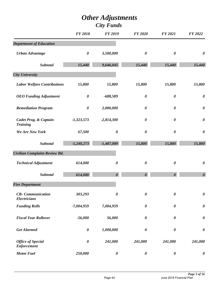|                                                 | <b>FY 2018</b>        | <b>FY 2019</b>        | <b>FY 2020</b>        | <b>FY 2021</b>        | FY 2022               |
|-------------------------------------------------|-----------------------|-----------------------|-----------------------|-----------------------|-----------------------|
| <b>Department of Education</b>                  |                       |                       |                       |                       |                       |
| <b>Urban Advantage</b>                          | $\boldsymbol{\theta}$ | 3,500,000             | $\boldsymbol{\theta}$ | $\boldsymbol{\theta}$ | $\boldsymbol{\theta}$ |
| <b>Subtotal</b>                                 | 15,440                | 9,646,045             | 15,440                | 15,440                | 15,440                |
| <b>City University</b>                          |                       |                       |                       |                       |                       |
| <b>Labor Welfare Contributions</b>              | 15,800                | 15,800                | 15,800                | 15,800                | 15,800                |
| <b>OEO</b> Funding Adjustment                   | $\boldsymbol{\theta}$ | $-688,589$            | $\boldsymbol{\theta}$ | $\boldsymbol{\theta}$ | $\boldsymbol{\theta}$ |
| <b>Remediation Program</b>                      | $\boldsymbol{\theta}$ | 2,000,000             | $\boldsymbol{\theta}$ | $\boldsymbol{\theta}$ | $\boldsymbol{\theta}$ |
| Cadet Prog. & Captain<br><b>Training</b>        | $-1,323,573$          | $-2,814,300$          | $\boldsymbol{\theta}$ | $\boldsymbol{\theta}$ | $\boldsymbol{\theta}$ |
| We Are New York                                 | 67,500                | $\boldsymbol{\theta}$ | $\boldsymbol{\theta}$ | $\boldsymbol{\theta}$ | $\boldsymbol{\theta}$ |
| Subtotal                                        | $-1,240,273$          | $-1,487,089$          | 15,800                | 15,800                | 15,800                |
| Civilian Complaint Review Bd.                   |                       |                       |                       |                       |                       |
| <b>Technical Adjustment</b>                     | 614,000               | 0                     | $\boldsymbol{\theta}$ | $\boldsymbol{\theta}$ | $\boldsymbol{\theta}$ |
| Subtotal                                        | 614,000               | $\boldsymbol{\theta}$ | $\boldsymbol{\theta}$ | $\boldsymbol{\theta}$ | $\boldsymbol{\theta}$ |
| <b>Fire Department</b>                          |                       |                       |                       |                       |                       |
| <b>CB-</b> Communication<br><b>Electricians</b> | 303,293               | 0                     | $\boldsymbol{\theta}$ | $\boldsymbol{\theta}$ | $\boldsymbol{\theta}$ |
| <b>Funding Rolls</b>                            | $-7,004,959$          | 7,004,959             | $\boldsymbol{\theta}$ | $\boldsymbol{\theta}$ | $\boldsymbol{\theta}$ |
| <b>Fiscal Year Rollover</b>                     | $-56,000$             | 56,000                | $\boldsymbol{\theta}$ | $\boldsymbol{\theta}$ | $\boldsymbol{\theta}$ |
| <b>Get Alarmed</b>                              | $\boldsymbol{\theta}$ | 1,000,000             | $\boldsymbol{\theta}$ | $\pmb{\theta}$        | $\boldsymbol{\theta}$ |
| <b>Office of Special</b><br><b>Enforcement</b>  | $\boldsymbol{\theta}$ | 241,000               | 241,000               | 241,000               | 241,000               |
| <b>Motor Fuel</b>                               | 250,000               | $\boldsymbol{\theta}$ | $\boldsymbol{\theta}$ | $\boldsymbol{\theta}$ | $\boldsymbol{\theta}$ |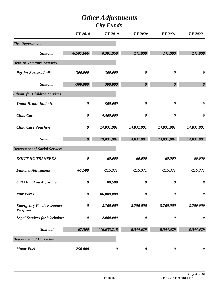|                                             | <b>FY 2018</b>        | <b>FY 2019</b>        | <b>FY 2020</b>        | <b>FY 2021</b>        | FY 2022               |
|---------------------------------------------|-----------------------|-----------------------|-----------------------|-----------------------|-----------------------|
| <b>Fire Department</b>                      |                       |                       |                       |                       |                       |
| <b>Subtotal</b>                             | $-6,507,666$          | 8,301,959             | 241,000               | 241,000               | 241,000               |
| <b>Dept. of Veterans' Services</b>          |                       |                       |                       |                       |                       |
| <b>Pay for Success Roll</b>                 | $-300,000$            | 300,000               | $\boldsymbol{\theta}$ | $\boldsymbol{\theta}$ | $\boldsymbol{\theta}$ |
| Subtotal                                    | $-300,000$            | 300,000               | $\boldsymbol{\theta}$ | $\boldsymbol{\theta}$ | $\boldsymbol{\theta}$ |
| <b>Admin. for Children Services</b>         |                       |                       |                       |                       |                       |
| <b>Youth Health Initiative</b>              | $\pmb{\theta}$        | 500,000               | $\boldsymbol{\theta}$ | $\boldsymbol{\theta}$ | $\boldsymbol{\theta}$ |
| <b>Child Care</b>                           | $\boldsymbol{\theta}$ | 4,500,000             | $\boldsymbol{\theta}$ | $\boldsymbol{\theta}$ | $\boldsymbol{\theta}$ |
| <b>Child Care Vouchers</b>                  | $\boldsymbol{\theta}$ | 14,831,901            | 14,831,901            | 14,831,901            | 14,831,901            |
| <b>Subtotal</b>                             | $\boldsymbol{\theta}$ | 19,831,901            | 14,831,901            | 14,831,901            | 14,831,901            |
| <b>Department of Social Services</b>        |                       |                       |                       |                       |                       |
| <b>DOITT HC TRANSFER</b>                    | $\boldsymbol{\theta}$ | 60,000                | 60,000                | 60,000                | 60,000                |
| <b>Funding Adjustment</b>                   | $-67,500$             | $-215,371$            | $-215,371$            | $-215,371$            | $-215,371$            |
| <b>OEO</b> Funding Adjustment               | $\boldsymbol{\theta}$ | 88,589                | $\boldsymbol{\theta}$ | $\boldsymbol{\theta}$ | $\boldsymbol{\theta}$ |
| <b>Fair Fares</b>                           | $\boldsymbol{\theta}$ | 106,000,000           | 0                     | $\boldsymbol{\theta}$ | $\boldsymbol{\theta}$ |
| <b>Emergency Food Assistance</b><br>Program | $\boldsymbol{\theta}$ | 8,700,000             | 8,700,000             | 8,700,000             | 8,700,000             |
| <b>Legal Services for Workplace</b>         | $\pmb{\theta}$        | 2,000,000             | $\boldsymbol{\theta}$ | $\boldsymbol{\theta}$ | $\boldsymbol{\theta}$ |
| <b>Subtotal</b>                             | $-67,500$             | 116,633,218           | 8,544,629             | 8,544,629             | 8,544,629             |
| <b>Department of Correction</b>             |                       |                       |                       |                       |                       |
| <b>Motor Fuel</b>                           | $-250,000$            | $\boldsymbol{\theta}$ | $\boldsymbol{\theta}$ | $\boldsymbol{\theta}$ | $\boldsymbol{\theta}$ |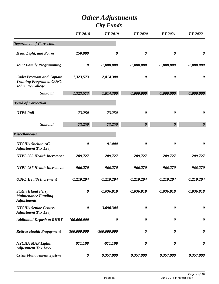|                                                                                         | <b>FY 2018</b>        | <b>FY 2019</b>        | <b>FY 2020</b>        | <b>FY 2021</b>        | FY 2022               |
|-----------------------------------------------------------------------------------------|-----------------------|-----------------------|-----------------------|-----------------------|-----------------------|
| <b>Department of Correction</b>                                                         |                       |                       |                       |                       |                       |
| Heat, Light, and Power                                                                  | 250,000               | $\boldsymbol{\theta}$ | $\boldsymbol{\theta}$ | $\boldsymbol{\theta}$ | $\boldsymbol{\theta}$ |
| <b>Joint Family Programming</b>                                                         | $\boldsymbol{\theta}$ | $-1,000,000$          | $-1,000,000$          | $-1,000,000$          | $-1,000,000$          |
| <b>Cadet Program and Captain</b><br><b>Training Program at CUNY</b><br>John Jay College | 1,323,573             | 2,814,300             | $\boldsymbol{\theta}$ | $\boldsymbol{\theta}$ | $\boldsymbol{\theta}$ |
| Subtotal                                                                                | 1,323,573             | 1,814,300             | $-1,000,000$          | $-1,000,000$          | $-1,000,000$          |
| <b>Board of Correction</b>                                                              |                       |                       |                       |                       |                       |
| <b>OTPS Roll</b>                                                                        | $-73,250$             | 73,250                | $\boldsymbol{\theta}$ | $\boldsymbol{\theta}$ | $\boldsymbol{\theta}$ |
| Subtotal                                                                                | $-73,250$             | 73,250                | $\boldsymbol{\theta}$ | $\boldsymbol{\theta}$ | $\boldsymbol{\theta}$ |
| <b>Miscellaneous</b>                                                                    |                       |                       |                       |                       |                       |
| NYCHA Shelton AC<br><b>Adjustment Tax Levy</b>                                          | $\boldsymbol{\theta}$ | $-91,000$             | $\boldsymbol{\theta}$ | $\boldsymbol{\theta}$ | $\boldsymbol{\theta}$ |
| <b>NYPL 035 Health Increment</b>                                                        | $-209,727$            | $-209,727$            | $-209,727$            | $-209,727$            | $-209,727$            |
| <b>NYPL 037 Health Increment</b>                                                        | $-966,270$            | $-966,270$            | $-966,270$            | $-966,270$            | $-966,270$            |
| <b>QBPL Health Increment</b>                                                            | $-1,210,204$          | $-1,210,204$          | $-1,210,204$          | $-1,210,204$          | $-1,210,204$          |
| <b>Staten Island Ferry</b><br><b>Maintenance Funding</b><br><b>Adjustments</b>          | 0                     | $-1,036,818$          | $-1,036,818$          | $-1,036,818$          | $-1,036,818$          |
| <b>NYCHA Senior Centers</b><br><b>Adjustment Tax Levy</b>                               | $\boldsymbol{\theta}$ | $-3,090,304$          | $\boldsymbol{\theta}$ | $\boldsymbol{\theta}$ | $\boldsymbol{\theta}$ |
| <b>Additional Deposit to RHBT</b>                                                       | 100,000,000           | $\boldsymbol{\theta}$ | $\boldsymbol{\theta}$ | $\boldsymbol{\theta}$ | $\boldsymbol{\theta}$ |
| <b>Retiree Health Prepayment</b>                                                        | 300,000,000           | $-300,000,000$        | 0                     | $\boldsymbol{\theta}$ | $\boldsymbol{\theta}$ |
| <b>NYCHA MAP Lights</b><br><b>Adjustment Tax Levy</b>                                   | 971,198               | $-971,198$            | 0                     | $\boldsymbol{\theta}$ | $\boldsymbol{\theta}$ |
| <b>Crisis Management System</b>                                                         | 0                     | 9,357,000             | 9,357,000             | 9,357,000             | 9,357,000             |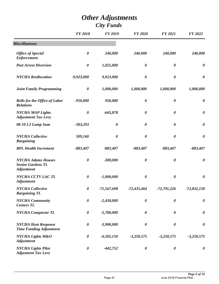|                                                                            | <b>FY 2018</b>        | <b>FY 2019</b>        | <b>FY 2020</b>        | <b>FY 2021</b>        | FY 2022               |
|----------------------------------------------------------------------------|-----------------------|-----------------------|-----------------------|-----------------------|-----------------------|
| <b>Miscellaneous</b>                                                       |                       |                       |                       |                       |                       |
| <b>Office of Special</b><br><b>Enforcement</b>                             | $\boldsymbol{\theta}$ | 240,000               | 240,000               | 240,000               | 240,000               |
| <b>Post Arrest Diversion</b>                                               | $\boldsymbol{\theta}$ | 1,025,000             | $\boldsymbol{\theta}$ | $\boldsymbol{\theta}$ | $\boldsymbol{\theta}$ |
| <b>NYCHA</b> Reallocation                                                  | $-9,923,000$          | 9,923,000             | $\boldsymbol{\theta}$ | $\boldsymbol{\theta}$ | $\boldsymbol{\theta}$ |
| <b>Joint Family Programming</b>                                            | $\boldsymbol{\theta}$ | 1,000,000             | 1,000,000             | 1,000,000             | 1,000,000             |
| <b>Rolls for the Office of Labor</b><br><b>Relations</b>                   | $-950,000$            | 950,000               | $\boldsymbol{\theta}$ | $\boldsymbol{\theta}$ | $\boldsymbol{\theta}$ |
| <b>NYCHA MAP Lights</b><br><b>Adjustment Tax Levy</b>                      | $\boldsymbol{\theta}$ | $-645,878$            | $\boldsymbol{\theta}$ | $\boldsymbol{\theta}$ | $\boldsymbol{\theta}$ |
| 08-10 L3 Lump Sum                                                          | $-303,293$            | $\pmb{\theta}$        | $\boldsymbol{\theta}$ | $\boldsymbol{\theta}$ | $\boldsymbol{\theta}$ |
| <b>NYCHA</b> Collective<br><b>Bargaining</b>                               | 509,160               | $\boldsymbol{\theta}$ | $\boldsymbol{\theta}$ | $\boldsymbol{\theta}$ | $\boldsymbol{\theta}$ |
| <b>BPL Health Increment</b>                                                | $-883,407$            | $-883,407$            | $-883,407$            | $-883,407$            | $-883,407$            |
| <b>NYCHA Adams Houses</b><br><b>Senior Gardens TL</b><br><b>Adjustment</b> | $\boldsymbol{\theta}$ | $-300,000$            | $\boldsymbol{\theta}$ | $\boldsymbol{\theta}$ | $\boldsymbol{\theta}$ |
| NYCHA CCTV LACTL<br><b>Adjustment</b>                                      | $\boldsymbol{\theta}$ | $-1,000,000$          | $\boldsymbol{\theta}$ | $\boldsymbol{\theta}$ | $\boldsymbol{\theta}$ |
| NYCHA Collective<br><b>Bargaining TL</b>                                   | $\boldsymbol{\theta}$ | $-71,567,698$         | $-72,435,464$         | $-72,791,226$         | $-72,832,150$         |
| <b>NYCHA</b> Community<br><b>Centers TL</b>                                | $\boldsymbol{\theta}$ | $-2,430,000$          | $\boldsymbol{\theta}$ | $\boldsymbol{\theta}$ | $\boldsymbol{\theta}$ |
| <b>NYCHA Compactor TL</b>                                                  | $\boldsymbol{\theta}$ | $-5,700,000$          | $\boldsymbol{\theta}$ | $\boldsymbol{\theta}$ | $\boldsymbol{\theta}$ |
| <b>NYCHA Heat Response</b><br><b>Time Funding Adjustment</b>               | $\boldsymbol{\theta}$ | $-3,900,000$          | $\boldsymbol{\theta}$ | $\boldsymbol{\theta}$ | $\boldsymbol{\theta}$ |
| <b>NYCHA Lights M&amp;O</b><br><b>Adjustment</b>                           | $\boldsymbol{\theta}$ | $-6,501,150$          | $-3,250,575$          | $-3,250,575$          | $-3,250,575$          |
| <b>NYCHA Lights Pilot</b><br><b>Adjusment Tax Levy</b>                     | $\boldsymbol{\theta}$ | $-442,752$            | $\boldsymbol{\theta}$ | $\boldsymbol{\theta}$ | $\boldsymbol{\theta}$ |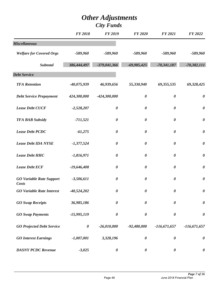|                                                 | <b>FY 2018</b> | <b>FY 2019</b>        | <b>FY 2020</b>        | <b>FY 2021</b>        | <b>FY 2022</b>        |
|-------------------------------------------------|----------------|-----------------------|-----------------------|-----------------------|-----------------------|
| <b>Miscellaneous</b>                            |                |                       |                       |                       |                       |
| <b>Welfare for Covered Orgs</b>                 | $-589,960$     | $-589,960$            | $-589,960$            | $-589,960$            | $-589,960$            |
| Subtotal                                        | 386,444,497    | $-379,041,366$        | $-69,985,425$         | $-70,341,187$         | $-70,382,111$         |
| <b>Debt Service</b>                             |                |                       |                       |                       |                       |
| <b>TFA Retention</b>                            | $-40,075,939$  | 46,939,656            | 55,330,940            | 69,355,535            | 69,328,425            |
| <b>Debt Service Prepayment</b>                  | 424,300,000    | $-424,300,000$        | $\boldsymbol{\theta}$ | $\boldsymbol{\theta}$ | $\boldsymbol{\theta}$ |
| <b>Lease Debt CUCF</b>                          | $-2,528,207$   | $\boldsymbol{\theta}$ | $\boldsymbol{\theta}$ | $\boldsymbol{\theta}$ | $\boldsymbol{\theta}$ |
| <b>TFA BAB Subsidy</b>                          | $-711,521$     | $\pmb{\theta}$        | $\boldsymbol{\theta}$ | $\boldsymbol{\theta}$ | $\boldsymbol{\theta}$ |
| <b>Lease Debt PCDC</b>                          | $-61,275$      | $\boldsymbol{\theta}$ | $\boldsymbol{\theta}$ | $\boldsymbol{\theta}$ | $\boldsymbol{\theta}$ |
| <b>Lease Debt IDA NYSE</b>                      | $-1,377,524$   | $\boldsymbol{\theta}$ | $\boldsymbol{\theta}$ | $\boldsymbol{\theta}$ | $\pmb{\theta}$        |
| <b>Lease Debt HHC</b>                           | $-1,816,971$   | $\boldsymbol{\theta}$ | $\boldsymbol{\theta}$ | $\boldsymbol{\theta}$ | $\boldsymbol{\theta}$ |
| <b>Lease Debt ECF</b>                           | $-19,646,408$  | $\pmb{\theta}$        | $\boldsymbol{\theta}$ | $\boldsymbol{\theta}$ | $\pmb{\theta}$        |
| <b>GO Variable Rate Support</b><br><b>Costs</b> | $-3,506,611$   | $\boldsymbol{\theta}$ | $\boldsymbol{\theta}$ | $\boldsymbol{\theta}$ | $\boldsymbol{\theta}$ |
| <b>GO Variable Rate Interest</b>                | $-40,524,202$  | 0                     | 0                     | 0                     | 0                     |
| <b>GO</b> Swap Receipts                         | 36,985,186     | $\boldsymbol{\theta}$ | $\boldsymbol{\theta}$ | $\boldsymbol{\theta}$ | $\pmb{\theta}$        |
| <b>GO</b> Swap Payments                         | $-15,995,119$  | $\pmb{\theta}$        | $\pmb{\theta}$        | $\boldsymbol{\theta}$ | $\pmb{\theta}$        |
| <b>GO Projected Debt Service</b>                | $\pmb{\theta}$ | $-26,010,000$         | $-92,480,000$         | $-116,671,657$        | $-116,671,657$        |
| <b>GO Interest Earnings</b>                     | $-1,007,001$   | 3,328,196             | $\boldsymbol{\theta}$ | $\boldsymbol{\theta}$ | $\boldsymbol{\theta}$ |
| <b>DASNY PCDC Revenue</b>                       | $-3,025$       | $\boldsymbol{\theta}$ | $\pmb{\theta}$        | 0                     | 0                     |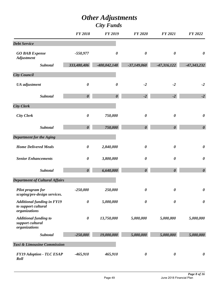# *Other Adjustments*

|                                                                           | <b>FY 2018</b>        | <b>FY 2019</b>        | <b>FY 2020</b>        | <b>FY 2021</b>        | FY 2022               |
|---------------------------------------------------------------------------|-----------------------|-----------------------|-----------------------|-----------------------|-----------------------|
| <b>Debt Service</b>                                                       |                       |                       |                       |                       |                       |
| <b>GO BAB Expense</b><br><b>Adjustment</b>                                | $-550,977$            | $\boldsymbol{\theta}$ | $\boldsymbol{\theta}$ | $\boldsymbol{\theta}$ | $\boldsymbol{\theta}$ |
| <b>Subtotal</b>                                                           | 333,480,406           | $-400,042,148$        | $-37,149,060$         | $-47,316,122$         | $-47,343,232$         |
| <b>City Council</b>                                                       |                       |                       |                       |                       |                       |
| <b>UA</b> adjustment                                                      | $\boldsymbol{\theta}$ | $\boldsymbol{\theta}$ | $-2$                  | $-2$                  | $-2$                  |
| Subtotal                                                                  | $\boldsymbol{\theta}$ | $\boldsymbol{\theta}$ | $-2$                  | $-2$                  | $-2$                  |
| <b>City Clerk</b>                                                         |                       |                       |                       |                       |                       |
| <b>City Clerk</b>                                                         | $\boldsymbol{\theta}$ | 750,000               | $\boldsymbol{\theta}$ | $\boldsymbol{\theta}$ | $\boldsymbol{\theta}$ |
| Subtotal                                                                  | $\boldsymbol{\theta}$ | 750,000               | $\boldsymbol{\theta}$ | $\boldsymbol{\theta}$ | $\boldsymbol{\theta}$ |
| <b>Department for the Aging</b>                                           |                       |                       |                       |                       |                       |
| <b>Home Delivered Meals</b>                                               | $\boldsymbol{\theta}$ | 2,840,000             | $\boldsymbol{\theta}$ | $\boldsymbol{\theta}$ | $\boldsymbol{\theta}$ |
| <b>Senior Enhancements</b>                                                | $\boldsymbol{\theta}$ | 3,800,000             | $\boldsymbol{\theta}$ | $\boldsymbol{\theta}$ | $\boldsymbol{\theta}$ |
| Subtotal                                                                  | $\boldsymbol{\theta}$ | 6,640,000             | $\boldsymbol{\theta}$ | $\boldsymbol{\theta}$ | $\boldsymbol{\theta}$ |
| <b>Department of Cultural Affairs</b>                                     |                       |                       |                       |                       |                       |
| <b>Pilot program for</b><br>scoping/pre-design services.                  | $-250,000$            | 250,000               | $\boldsymbol{\theta}$ | $\boldsymbol{\theta}$ | $\boldsymbol{\theta}$ |
| <b>Additional funding in FY19</b><br>to support cultural<br>organizations | $\boldsymbol{\theta}$ | 5,000,000             | $\boldsymbol{\theta}$ | $\boldsymbol{\theta}$ | $\boldsymbol{\theta}$ |
| <b>Additional funding to</b><br>support cultural<br>organizations         | $\boldsymbol{\theta}$ | 13,750,000            | 5,000,000             | 5,000,000             | 5,000,000             |
| Subtotal                                                                  | $-250,000$            | 19,000,000            | 5,000,000             | 5,000,000             | 5,000,000             |
| Taxi & Limousine Commission                                               |                       |                       |                       |                       |                       |
| <b>FY19 Adoption - TLC ESAP</b><br>Roll                                   | $-465,910$            | 465,910               | $\boldsymbol{\theta}$ | $\boldsymbol{\theta}$ | $\boldsymbol{\theta}$ |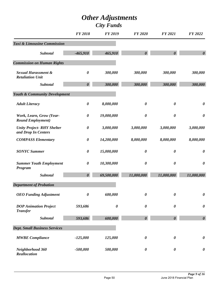|                                                           | <b>FY 2018</b>        | <b>FY 2019</b>        | <b>FY 2020</b>        | <b>FY 2021</b>        | FY 2022               |
|-----------------------------------------------------------|-----------------------|-----------------------|-----------------------|-----------------------|-----------------------|
| Taxi & Limousine Commission                               |                       |                       |                       |                       |                       |
| <b>Subtotal</b>                                           | $-465,910$            | 465,910               | $\boldsymbol{\theta}$ | $\boldsymbol{\theta}$ | $\boldsymbol{\theta}$ |
| <b>Commission on Human Rights</b>                         |                       |                       |                       |                       |                       |
| <b>Sexual Harassment &amp;</b><br><b>Retaliation Unit</b> | $\boldsymbol{\theta}$ | 300,000               | 300,000               | 300,000               | 300,000               |
| <b>Subtotal</b>                                           | $\boldsymbol{\theta}$ | 300,000               | 300,000               | 300,000               | 300,000               |
| <b>Youth &amp; Community Development</b>                  |                       |                       |                       |                       |                       |
| <b>Adult Literacy</b>                                     | $\boldsymbol{\theta}$ | 8,000,000             | $\boldsymbol{\theta}$ | $\boldsymbol{\theta}$ | $\boldsymbol{\theta}$ |
| Work, Learn, Grow (Year-<br><b>Round Employment</b> )     | $\boldsymbol{\theta}$ | 19,000,000            | $\boldsymbol{\theta}$ | $\boldsymbol{\theta}$ | $\boldsymbol{\theta}$ |
| <b>Unity Project-RHY Shelter</b><br>and Drop In Centers   | $\boldsymbol{\theta}$ | 3,000,000             | 3,000,000             | 3,000,000             | 3,000,000             |
| <b>COMPASS Elementary</b>                                 | $\boldsymbol{\theta}$ | 14,200,000            | 8,000,000             | 8,000,000             | 8,000,000             |
| <b>SONYC Summer</b>                                       | $\boldsymbol{\theta}$ | 15,000,000            | $\boldsymbol{\theta}$ | $\boldsymbol{\theta}$ | $\boldsymbol{\theta}$ |
| <b>Summer Youth Employment</b><br>Program                 | $\boldsymbol{\theta}$ | 10,300,000            | $\boldsymbol{\theta}$ | $\boldsymbol{\theta}$ | $\boldsymbol{\theta}$ |
| <b>Subtotal</b>                                           | $\boldsymbol{\theta}$ | 69,500,000            | 11,000,000            | 11,000,000            | 11,000,000            |
| <b>Department of Probation</b>                            |                       |                       |                       |                       |                       |
| <b>OEO</b> Funding Adjustment                             | $\boldsymbol{\theta}$ | 600,000               | $\boldsymbol{\theta}$ | $\boldsymbol{\theta}$ | $\boldsymbol{\theta}$ |
| <b>DOP Animation Project</b><br><b>Transfer</b>           | 593,686               | $\boldsymbol{\theta}$ | $\boldsymbol{\theta}$ | $\boldsymbol{\theta}$ | $\boldsymbol{\theta}$ |
| <b>Subtotal</b>                                           | 593,686               | 600,000               | $\boldsymbol{\theta}$ | $\boldsymbol{\theta}$ | $\boldsymbol{\theta}$ |
| <b>Dept. Small Business Services</b>                      |                       |                       |                       |                       |                       |
| <b>MWBE</b> Compliance                                    | $-125,000$            | 125,000               | $\boldsymbol{\theta}$ | $\boldsymbol{\theta}$ | $\boldsymbol{\theta}$ |
| Neighborhood 360<br>Reallocation                          | $-500,000$            | 500,000               | 0                     | $\boldsymbol{\theta}$ | $\boldsymbol{\theta}$ |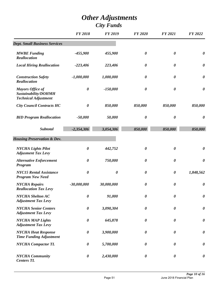|                                                                                | <b>FY 2018</b>        | <b>FY 2019</b>        | <b>FY 2020</b>        | <b>FY 2021</b>        | <b>FY 2022</b>        |
|--------------------------------------------------------------------------------|-----------------------|-----------------------|-----------------------|-----------------------|-----------------------|
| <b>Dept. Small Business Services</b>                                           |                       |                       |                       |                       |                       |
| <b>MWBE</b> Funding<br>Reallocation                                            | $-455,900$            | 455,900               | $\boldsymbol{\theta}$ | 0                     | $\boldsymbol{\theta}$ |
| <b>Local Hiring Reallocation</b>                                               | $-223,406$            | 223,406               | $\boldsymbol{\theta}$ | $\boldsymbol{\theta}$ | $\boldsymbol{\theta}$ |
| <b>Construction Safety</b><br><b>Reallocation</b>                              | $-1,000,000$          | 1,000,000             | $\boldsymbol{\theta}$ | $\boldsymbol{\theta}$ | $\boldsymbol{\theta}$ |
| <b>Mayors Office of</b><br>Sustainability/DOHMH<br><b>Technical Adjustment</b> | $\boldsymbol{\theta}$ | $-150,000$            | $\boldsymbol{\theta}$ | $\boldsymbol{\theta}$ | $\boldsymbol{\theta}$ |
| <b>City Council Contracts HC</b>                                               | $\boldsymbol{\theta}$ | 850,000               | 850,000               | 850,000               | 850,000               |
| <b>BID Program Reallocation</b>                                                | $-50,000$             | 50,000                | $\boldsymbol{\theta}$ | $\boldsymbol{\theta}$ | $\boldsymbol{\theta}$ |
| <b>Subtotal</b>                                                                | $-2,354,306$          | 3,054,306             | 850,000               | 850,000               | 850,000               |
| <b>Housing Preservation &amp; Dev.</b>                                         |                       |                       |                       |                       |                       |
| <b>NYCHA Lights Pilot</b><br><b>Adjusment Tax Levy</b>                         | $\boldsymbol{\theta}$ | 442,752               | $\boldsymbol{\theta}$ | 0                     | $\boldsymbol{\theta}$ |
| <b>Alternative Enforcement</b><br>Program                                      | $\boldsymbol{\theta}$ | 750,000               | $\boldsymbol{\theta}$ | $\boldsymbol{\theta}$ | $\boldsymbol{\theta}$ |
| <b>NYC15 Rental Assistance</b><br><b>Program New Need</b>                      | 0                     | $\boldsymbol{\theta}$ | $\boldsymbol{\theta}$ | $\boldsymbol{\theta}$ | 1,848,562             |
| <b>NYCHA Repairs</b><br><b>Reallocation Tax Levy</b>                           | $-30,000,000$         | 30,000,000            | 0                     | 0                     | $\boldsymbol{\theta}$ |
| <b>NYCHA</b> Shelton AC<br><b>Adjustment Tax Levy</b>                          | 0                     | 91,000                | $\boldsymbol{\theta}$ | 0                     | $\boldsymbol{\theta}$ |
| <b>NYCHA Senior Centers</b><br><b>Adjustment Tax Levy</b>                      | $\boldsymbol{\theta}$ | 3,090,304             | $\boldsymbol{\theta}$ | $\boldsymbol{\theta}$ | $\boldsymbol{\theta}$ |
| <b>NYCHA MAP Lights</b><br><b>Adjustment Tax Levy</b>                          | $\boldsymbol{\theta}$ | 645,878               | $\boldsymbol{\theta}$ | $\boldsymbol{\theta}$ | $\boldsymbol{\theta}$ |
| <b>NYCHA Heat Response</b><br><b>Time Funding Adjustment</b>                   | $\boldsymbol{\theta}$ | 3,900,000             | $\boldsymbol{\theta}$ | $\boldsymbol{\theta}$ | $\boldsymbol{\theta}$ |
| <b>NYCHA Compactor TL</b>                                                      | 0                     | 5,700,000             | $\boldsymbol{\theta}$ | $\boldsymbol{\theta}$ | $\boldsymbol{\theta}$ |
| <b>NYCHA</b> Community<br><b>Centers TL</b>                                    | 0                     | 2,430,000             | $\boldsymbol{\theta}$ | $\boldsymbol{\theta}$ | 0                     |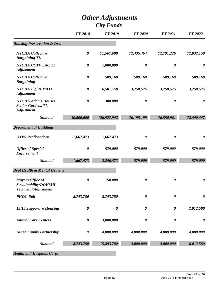|                                                                                | <b>FY 2018</b>        | <b>FY 2019</b>        | <b>FY 2020</b>        | <b>FY 2021</b>        | FY 2022               |
|--------------------------------------------------------------------------------|-----------------------|-----------------------|-----------------------|-----------------------|-----------------------|
| <b>Housing Preservation &amp; Dev.</b>                                         |                       |                       |                       |                       |                       |
| <b>NYCHA</b> Collective<br><b>Bargaining TL</b>                                | $\boldsymbol{\theta}$ | 71,567,698            | 72,435,464            | 72,791,226            | 72,832,150            |
| NYCHA CCTV LACTL<br><b>Adjustment</b>                                          | $\boldsymbol{\theta}$ | 1,000,000             | $\boldsymbol{\theta}$ | $\boldsymbol{\theta}$ | $\boldsymbol{\theta}$ |
| <b>NYCHA</b> Collective<br><b>Bargaining</b>                                   | $\boldsymbol{\theta}$ | 509,160               | 509,160               | 509,160               | 509,160               |
| <b>NYCHA Lights M&amp;O</b><br><b>Adjustment</b>                               | $\boldsymbol{\theta}$ | 6,501,150             | 3,250,575             | 3,250,575             | 3,250,575             |
| <b>NYCHA Adams Houses</b><br><b>Senior Gardens TL</b><br><b>Adjustment</b>     | $\boldsymbol{\theta}$ | 300,000               | $\boldsymbol{\theta}$ | $\boldsymbol{\theta}$ | $\boldsymbol{\theta}$ |
| <b>Subtotal</b>                                                                | $-30,000,000$         | 126,927,942           | 76,195,199            | 76,550,961            | 78,440,447            |
| <b>Department of Buildings</b>                                                 |                       |                       |                       |                       |                       |
| <b>OTPS</b> Reallocations                                                      | $-1,667,473$          | 1,667,473             | $\boldsymbol{\theta}$ | $\boldsymbol{\theta}$ | $\boldsymbol{\theta}$ |
| <b>Office of Special</b><br><b>Enforcement</b>                                 | $\boldsymbol{\theta}$ | 579,000               | 579,000               | 579,000               | 579,000               |
| Subtotal                                                                       | $-1,667,473$          | 2,246,473             | 579,000               | 579,000               | 579,000               |
| Dept Health & Mental Hygiene                                                   |                       |                       |                       |                       |                       |
| <b>Mayors Office of</b><br>Sustainability/DOHMH<br><b>Technical Adjustment</b> | $\boldsymbol{\theta}$ | 150,000               | $\boldsymbol{\theta}$ | $\boldsymbol{\theta}$ | $\boldsymbol{\theta}$ |
| <b>PHDC Roll</b>                                                               | $-8,743,780$          | 8,743,780             | $\boldsymbol{\theta}$ | 0                     | $\boldsymbol{\theta}$ |
| 15/15 Supportive Housing                                                       | $\boldsymbol{\theta}$ | $\boldsymbol{\theta}$ | $\boldsymbol{\theta}$ | $\boldsymbol{\theta}$ | 2,012,580             |
| <b>Animal Care Centers</b>                                                     | $\boldsymbol{\theta}$ | 3,000,000             | $\boldsymbol{\theta}$ | $\boldsymbol{\theta}$ | $\boldsymbol{\theta}$ |
| <b>Nurse Family Partnership</b>                                                | $\boldsymbol{\theta}$ | 4,000,000             | 4,000,000             | 4,000,000             | 4,000,000             |
| Subtotal                                                                       | $-8,743,780$          | 15,893,780            | 4,000,000             | 4,000,000             | 6,012,580             |
| <b>Health and Hospitals Corp.</b>                                              |                       |                       |                       |                       |                       |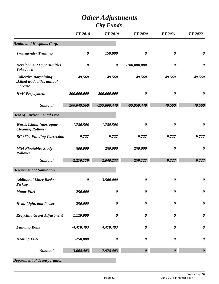|                                                                          | <b>FY 2018</b>        | <b>FY 2019</b>        | <b>FY 2020</b>        | <b>FY 2021</b>        | FY 2022               |
|--------------------------------------------------------------------------|-----------------------|-----------------------|-----------------------|-----------------------|-----------------------|
| <b>Health and Hospitals Corp.</b>                                        |                       |                       |                       |                       |                       |
| <b>Transgender Training</b>                                              | $\boldsymbol{\theta}$ | 150,000               | $\boldsymbol{\theta}$ | $\boldsymbol{\theta}$ | $\boldsymbol{\theta}$ |
| <b>Development Opportunities</b><br><b>Takedown</b>                      | $\boldsymbol{\theta}$ | $\boldsymbol{\theta}$ | $-100,000,000$        | $\boldsymbol{\theta}$ | $\boldsymbol{\theta}$ |
| <b>Collective Bargaining:</b><br>skilled trade titles annual<br>increase | 49,560                | 49,560                | 49,560                | 49,560                | 49,560                |
| <b>H+H</b> Prepayment                                                    | 200,000,000           | $-200,000,000$        | $\boldsymbol{\theta}$ | $\boldsymbol{\theta}$ | $\boldsymbol{\theta}$ |
| <b>Subtotal</b>                                                          | 200,049,560           | $-199,800,440$        | $-99,950,440$         | 49,560                | 49,560                |
| <b>Dept of Environmental Prot.</b>                                       |                       |                       |                       |                       |                       |
| <b>Wards Island Interceptor</b><br><b>Cleaning Rollover</b>              | $-1,780,506$          | 1,780,506             | $\boldsymbol{\theta}$ | $\boldsymbol{\theta}$ | $\boldsymbol{\theta}$ |
| <b>BC 3604 Funding Correction</b>                                        | 9,727                 | 9,727                 | 9,727                 | 9,727                 | 9,727                 |
| <b>MS4 Floatables Study</b><br>Rollover                                  | $-500,000$            | 250,000               | 250,000               | $\boldsymbol{\theta}$ | $\boldsymbol{\theta}$ |
| <b>Subtotal</b>                                                          | $-2,270,779$          | 2,040,233             | 259,727               | 9,727                 | 9,727                 |
| <b>Department of Sanitation</b>                                          |                       |                       |                       |                       |                       |
| <b>Additional Litter Basket</b><br>Pickup                                | $\boldsymbol{\theta}$ | 3,500,000             | $\boldsymbol{\theta}$ | $\boldsymbol{\theta}$ | $\boldsymbol{\theta}$ |
| <b>Motor Fuel</b>                                                        | $-250,000$            | $\boldsymbol{\theta}$ | $\boldsymbol{\theta}$ | $\boldsymbol{\theta}$ | 0                     |
| Heat, Light, and Power                                                   | 250,000               | $\boldsymbol{\theta}$ | $\boldsymbol{\theta}$ | $\boldsymbol{\theta}$ | $\pmb{\theta}$        |
| <b>Recycling Grant Adjustment</b>                                        | 1,120,000             | $\boldsymbol{\theta}$ | $\boldsymbol{\theta}$ | $\boldsymbol{\theta}$ | $\pmb{\theta}$        |
| <b>Funding Rolls</b>                                                     | $-4,478,403$          | 4,478,403             | $\boldsymbol{\theta}$ | $\boldsymbol{\theta}$ | $\boldsymbol{\theta}$ |
| <b>Heating Fuel</b>                                                      | $-250,000$            | $\boldsymbol{\theta}$ | $\boldsymbol{\theta}$ | $\boldsymbol{\theta}$ | $\boldsymbol{\theta}$ |
| <b>Subtotal</b>                                                          | $-3,608,403$          | 7,978,403             | $\boldsymbol{\theta}$ |                       | $\boldsymbol{\theta}$ |
| <b>Department of Transportation</b>                                      |                       |                       |                       |                       |                       |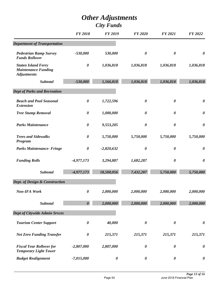|                                                                                | <b>FY 2018</b>        | <b>FY 2019</b>        | <b>FY 2020</b>        | <b>FY 2021</b>        | FY 2022               |
|--------------------------------------------------------------------------------|-----------------------|-----------------------|-----------------------|-----------------------|-----------------------|
| <b>Department of Transportation</b>                                            |                       |                       |                       |                       |                       |
| <b>Pedestrian Ramp Survey</b><br><b>Funds Rollover</b>                         | $-530,000$            | 530,000               | $\boldsymbol{\theta}$ | 0                     | $\boldsymbol{\theta}$ |
| <b>Staten Island Ferry</b><br><b>Maintenance Funding</b><br><b>Adjustments</b> | $\boldsymbol{\theta}$ | 1,036,818             | 1,036,818             | 1,036,818             | 1,036,818             |
| <b>Subtotal</b>                                                                | $-530,000$            | 1,566,818             | 1,036,818             | 1,036,818             | 1,036,818             |
| <b>Dept of Parks and Recreation</b>                                            |                       |                       |                       |                       |                       |
| <b>Beach and Pool Seasonal</b><br><b>Extension</b>                             | $\boldsymbol{\theta}$ | 1,722,596             | $\boldsymbol{\theta}$ | $\boldsymbol{\theta}$ | $\boldsymbol{\theta}$ |
| <b>Tree Stump Removal</b>                                                      | $\boldsymbol{\theta}$ | 1,000,000             | $\boldsymbol{\theta}$ | $\boldsymbol{\theta}$ | $\boldsymbol{\theta}$ |
| <b>Parks Maintenance</b>                                                       | $\pmb{\theta}$        | 9,553,205             | 0                     | 0                     | $\boldsymbol{\theta}$ |
| <b>Trees and Sidewalks</b><br><b>Program</b>                                   | $\boldsymbol{\theta}$ | 5,750,000             | 5,750,000             | 5,750,000             | 5,750,000             |
| <b>Parks Maintenance- Fringe</b>                                               | $\boldsymbol{\theta}$ | $-2,820,632$          | $\boldsymbol{\theta}$ | $\boldsymbol{\theta}$ | $\boldsymbol{\theta}$ |
| <b>Funding Rolls</b>                                                           | $-4,977,173$          | 3,294,887             | 1,682,287             | 0                     | $\boldsymbol{\theta}$ |
| <b>Subtotal</b>                                                                | $-4,977,173$          | 18,500,056            | 7,432,287             | 5,750,000             | 5,750,000             |
| <b>Dept. of Design &amp; Construction</b>                                      |                       |                       |                       |                       |                       |
| Non-IFA Work                                                                   | $\pmb{\theta}$        | 2,000,000             | 2,000,000             | 2,000,000             | 2,000,000             |
| Subtotal                                                                       | $\boldsymbol{\theta}$ | 2,000,000             | 2,000,000             | 2,000,000             | 2,000,000             |
| <b>Dept of Citywide Admin Srvces</b>                                           |                       |                       |                       |                       |                       |
| <b>Tourism Center Support</b>                                                  | $\boldsymbol{\theta}$ | 40,000                | $\boldsymbol{\theta}$ | $\boldsymbol{\theta}$ | $\boldsymbol{\theta}$ |
| <b>Net Zero Funding Transfer</b>                                               | $\pmb{\theta}$        | 215,371               | 215,371               | 215,371               | 215,371               |
| <b>Fiscal Year Rollover for</b><br><b>Temporary Light Tower</b>                | $-2,807,000$          | 2,807,000             | $\pmb{\theta}$        | $\boldsymbol{\theta}$ | $\boldsymbol{\theta}$ |
| <b>Budget Realignment</b>                                                      | $-7,015,000$          | $\boldsymbol{\theta}$ | $\boldsymbol{\theta}$ | $\boldsymbol{\theta}$ | $\boldsymbol{\theta}$ |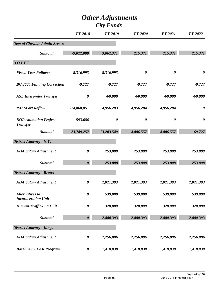|                                                      | <b>FY 2018</b>        | <b>FY 2019</b>        | <b>FY 2020</b>        | <b>FY 2021</b>        | <b>FY 2022</b>        |
|------------------------------------------------------|-----------------------|-----------------------|-----------------------|-----------------------|-----------------------|
| <b>Dept of Citywide Admin Srvces</b>                 |                       |                       |                       |                       |                       |
| Subtotal                                             | $-9,822,000$          | 3,062,371             | 215,371               | 215,371               | 215,371               |
| <b>D.O.I.T.T.</b>                                    |                       |                       |                       |                       |                       |
| <b>Fiscal Year Rollover</b>                          | $-8,316,993$          | 8,316,993             | $\boldsymbol{\theta}$ | $\boldsymbol{\theta}$ | $\boldsymbol{\theta}$ |
| <b>BC 3604 Funding Correction</b>                    | $-9,727$              | $-9,727$              | $-9,727$              | $-9,727$              | $-9,727$              |
| <b>ASL Interpreter Transfer</b>                      | $\boldsymbol{\theta}$ | $-60,000$             | $-60,000$             | $-60,000$             | $-60,000$             |
| <b>PASSPort Reflow</b>                               | $-14,868,851$         | 4,956,283             | 4,956,284             | 4,956,284             | 0                     |
| <b>DOP Animation Project</b><br><b>Transfer</b>      | -593,686              | $\boldsymbol{\theta}$ | $\boldsymbol{\theta}$ | $\boldsymbol{\theta}$ | $\boldsymbol{\theta}$ |
| <b>Subtotal</b>                                      | $-23,789,257$         | 13,203,549            | 4,886,557             | 4,886,557             | $-69,727$             |
| <b>District Attorney - N.Y.</b>                      |                       |                       |                       |                       |                       |
| <b>ADA Salary Adjustment</b>                         | $\boldsymbol{\theta}$ | 253,808               | 253,808               | 253,808               | 253,808               |
| <b>Subtotal</b>                                      | $\boldsymbol{\theta}$ | 253,808               | 253,808               | 253,808               | 253,808               |
| <b>District Attorney - Bronx</b>                     |                       |                       |                       |                       |                       |
| <b>ADA Salary Adjustment</b>                         | $\boldsymbol{\theta}$ | 2,021,393             | 2,021,393             | 2,021,393             | 2,021,393             |
| <b>Alternatives to</b><br><b>Incaraceration Unit</b> | $\boldsymbol{\theta}$ | 539,000               | 539,000               | 539,000               | 539,000               |
| <b>Human Trafficking Unit</b>                        | $\boldsymbol{\theta}$ | 320,000               | 320,000               | 320,000               | 320,000               |
| Subtotal                                             | $\boldsymbol{\theta}$ | 2,880,393             | 2,880,393             | 2,880,393             | 2,880,393             |
| <b>District Attorney - Kings</b>                     |                       |                       |                       |                       |                       |
| <b>ADA Salary Adjustment</b>                         | $\boldsymbol{\theta}$ | 2,256,086             | 2,256,086             | 2,256,086             | 2,256,086             |
| <b>Baseline CLEAR Program</b>                        | $\boldsymbol{\theta}$ | 1,418,030             | 1,418,030             | 1,418,030             | 1,418,030             |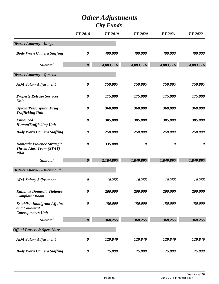|                                                                                       | <b>FY 2018</b>        | <b>FY 2019</b> | <b>FY 2020</b>        | <b>FY 2021</b>        | <b>FY 2022</b>        |
|---------------------------------------------------------------------------------------|-----------------------|----------------|-----------------------|-----------------------|-----------------------|
| <b>District Attorney - Kings</b>                                                      |                       |                |                       |                       |                       |
| <b>Body Worn Camera Staffing</b>                                                      | $\boldsymbol{\theta}$ | 409,000        | 409,000               | 409,000               | 409,000               |
| Subtotal                                                                              | $\boldsymbol{\theta}$ | 4,083,116      | 4,083,116             | 4,083,116             | 4,083,116             |
| <b>District Attorney - Queens</b>                                                     |                       |                |                       |                       |                       |
| <b>ADA Salary Adjustment</b>                                                          | $\boldsymbol{\theta}$ | 759,895        | 759,895               | 759,895               | 759,895               |
| <b>Property Release Services</b><br>Unit                                              | 0                     | 175,000        | 175,000               | 175,000               | 175,000               |
| <b>Opioid/Prescription Drug</b><br><b>Trafficking Unit</b>                            | 0                     | 360,000        | 360,000               | 360,000               | 360,000               |
| <b>Enhanced</b><br><b>HumanTrafficking Unit</b>                                       | 0                     | 305,000        | 305,000               | 305,000               | 305,000               |
| <b>Body Worn Camera Staffing</b>                                                      | $\boldsymbol{\theta}$ | 250,000        | 250,000               | 250,000               | 250,000               |
| <b>Domestic Violence Strategic</b><br><b>Threat Alert Team (STAT)</b><br><b>Pilot</b> | 0                     | 335,000        | $\boldsymbol{\theta}$ | $\boldsymbol{\theta}$ | $\boldsymbol{\theta}$ |
| Subtotal                                                                              | $\boldsymbol{\theta}$ | 2,184,895      | 1,849,895             | 1,849,895             | 1,849,895             |
| <b>District Attorney - Richmond</b>                                                   |                       |                |                       |                       |                       |
| <b>ADA Salary Adjustment</b>                                                          | 0                     | 10,255         | 10,255                | 10,255                | 10,255                |
| <b>Enhance Domestic Violence</b><br><b>Complaint Room</b>                             | 0                     | 200,000        | 200,000               | 200,000               | 200,000               |
| <b>Establish Immigrant Affairs</b><br>and Collateral<br><b>Consequences Unit</b>      | $\boldsymbol{\theta}$ | 150,000        | 150,000               | 150,000               | 150,000               |
| Subtotal                                                                              | $\boldsymbol{\theta}$ | 360,255        | 360,255               | 360,255               | 360,255               |
| Off. of Prosec. & Spec. Narc.                                                         |                       |                |                       |                       |                       |
| <b>ADA Salary Adjustment</b>                                                          | $\boldsymbol{\theta}$ | 129,849        | 129,849               | 129,849               | 129,849               |
| <b>Body Worn Camera Staffing</b>                                                      | $\pmb{\theta}$        | 75,000         | 75,000                | 75,000                | 75,000                |